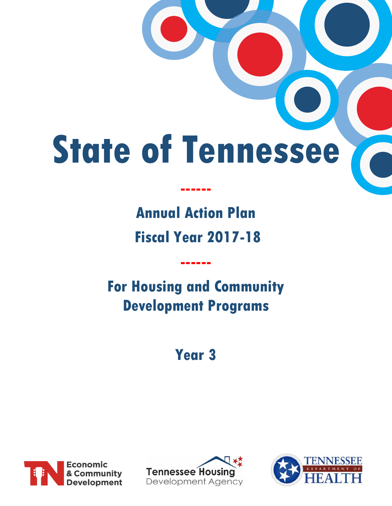# **State of Tennessee**

# **Annual Action Plan Fiscal Year 2017-18**

**------**

# **For Housing and Community Development Programs**

**------**

# **Year 3**





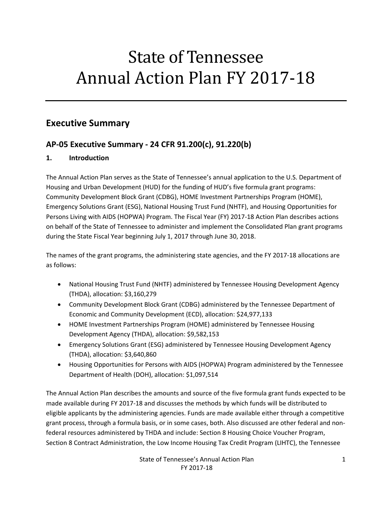# **State of Tennessee** Annual Action Plan FY 2017-18

# **Executive Summary**

# **AP‐05 Executive Summary ‐ 24 CFR 91.200(c), 91.220(b)**

#### **1. Introduction**

The Annual Action Plan serves as the State of Tennessee's annual application to the U.S. Department of Housing and Urban Development (HUD) for the funding of HUD's five formula grant programs: Community Development Block Grant (CDBG), HOME Investment Partnerships Program (HOME), Emergency Solutions Grant (ESG), National Housing Trust Fund (NHTF), and Housing Opportunities for Persons Living with AIDS (HOPWA) Program. The Fiscal Year (FY) 2017‐18 Action Plan describes actions on behalf of the State of Tennessee to administer and implement the Consolidated Plan grant programs during the State Fiscal Year beginning July 1, 2017 through June 30, 2018.

The names of the grant programs, the administering state agencies, and the FY 2017‐18 allocations are as follows:

- National Housing Trust Fund (NHTF) administered by Tennessee Housing Development Agency (THDA), allocation: \$3,160,279
- Community Development Block Grant (CDBG) administered by the Tennessee Department of Economic and Community Development (ECD), allocation: \$24,977,133
- HOME Investment Partnerships Program (HOME) administered by Tennessee Housing Development Agency (THDA), allocation: \$9,582,153
- Emergency Solutions Grant (ESG) administered by Tennessee Housing Development Agency (THDA), allocation: \$3,640,860
- Housing Opportunities for Persons with AIDS (HOPWA) Program administered by the Tennessee Department of Health (DOH), allocation: \$1,097,514

The Annual Action Plan describes the amounts and source of the five formula grant funds expected to be made available during FY 2017‐18 and discusses the methods by which funds will be distributed to eligible applicants by the administering agencies. Funds are made available either through a competitive grant process, through a formula basis, or in some cases, both. Also discussed are other federal and non‐ federal resources administered by THDA and include: Section 8 Housing Choice Voucher Program, Section 8 Contract Administration, the Low Income Housing Tax Credit Program (LIHTC), the Tennessee

> State of Tennessee's Annual Action Plan FY 2017‐18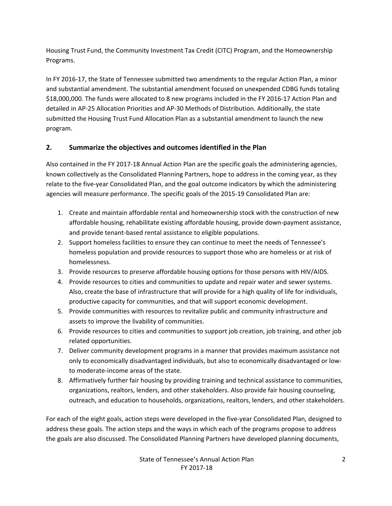Housing Trust Fund, the Community Investment Tax Credit (CITC) Program, and the Homeownership Programs.

In FY 2016‐17, the State of Tennessee submitted two amendments to the regular Action Plan, a minor and substantial amendment. The substantial amendment focused on unexpended CDBG funds totaling \$18,000,000. The funds were allocated to 8 new programs included in the FY 2016‐17 Action Plan and detailed in AP‐25 Allocation Priorities and AP‐30 Methods of Distribution. Additionally, the state submitted the Housing Trust Fund Allocation Plan as a substantial amendment to launch the new program.

#### **2. Summarize the objectives and outcomes identified in the Plan**

Also contained in the FY 2017‐18 Annual Action Plan are the specific goals the administering agencies, known collectively as the Consolidated Planning Partners, hope to address in the coming year, as they relate to the five‐year Consolidated Plan, and the goal outcome indicators by which the administering agencies will measure performance. The specific goals of the 2015‐19 Consolidated Plan are:

- 1. Create and maintain affordable rental and homeownership stock with the construction of new affordable housing, rehabilitate existing affordable housing, provide down‐payment assistance, and provide tenant‐based rental assistance to eligible populations.
- 2. Support homeless facilities to ensure they can continue to meet the needs of Tennessee's homeless population and provide resources to support those who are homeless or at risk of homelessness.
- 3. Provide resources to preserve affordable housing options for those persons with HIV/AIDS.
- 4. Provide resources to cities and communities to update and repair water and sewer systems. Also, create the base of infrastructure that will provide for a high quality of life for individuals, productive capacity for communities, and that will support economic development.
- 5. Provide communities with resources to revitalize public and community infrastructure and assets to improve the livability of communities.
- 6. Provide resources to cities and communities to support job creation, job training, and other job related opportunities.
- 7. Deliver community development programs in a manner that provides maximum assistance not only to economically disadvantaged individuals, but also to economically disadvantaged or low‐ to moderate‐income areas of the state.
- 8. Affirmatively further fair housing by providing training and technical assistance to communities, organizations, realtors, lenders, and other stakeholders. Also provide fair housing counseling, outreach, and education to households, organizations, realtors, lenders, and other stakeholders.

For each of the eight goals, action steps were developed in the five-year Consolidated Plan, designed to address these goals. The action steps and the ways in which each of the programs propose to address the goals are also discussed. The Consolidated Planning Partners have developed planning documents,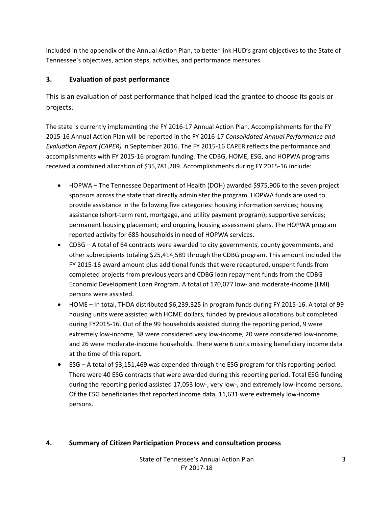included in the appendix of the Annual Action Plan, to better link HUD's grant objectives to the State of Tennessee's objectives, action steps, activities, and performance measures.

### **3. Evaluation of past performance**

This is an evaluation of past performance that helped lead the grantee to choose its goals or projects.

The state is currently implementing the FY 2016‐17 Annual Action Plan. Accomplishments for the FY 2015‐16 Annual Action Plan will be reported in the FY 2016‐17 *Consolidated Annual Performance and Evaluation Report (CAPER)* in September 2016. The FY 2015‐16 CAPER reflects the performance and accomplishments with FY 2015‐16 program funding. The CDBG, HOME, ESG, and HOPWA programs received a combined allocation of \$35,781,289. Accomplishments during FY 2015‐16 include:

- HOPWA The Tennessee Department of Health (DOH) awarded \$975,906 to the seven project sponsors across the state that directly administer the program. HOPWA funds are used to provide assistance in the following five categories: housing information services; housing assistance (short-term rent, mortgage, and utility payment program); supportive services; permanent housing placement; and ongoing housing assessment plans. The HOPWA program reported activity for 685 households in need of HOPWA services.
- CDBG A total of 64 contracts were awarded to city governments, county governments, and other subrecipients totaling \$25,414,589 through the CDBG program. This amount included the FY 2015‐16 award amount plus additional funds that were recaptured, unspent funds from completed projects from previous years and CDBG loan repayment funds from the CDBG Economic Development Loan Program. A total of 170,077 low‐ and moderate‐income (LMI) persons were assisted.
- HOME In total, THDA distributed \$6,239,325 in program funds during FY 2015‐16. A total of 99 housing units were assisted with HOME dollars, funded by previous allocations but completed during FY2015‐16. Out of the 99 households assisted during the reporting period, 9 were extremely low‐income, 38 were considered very low‐income, 20 were considered low‐income, and 26 were moderate-income households. There were 6 units missing beneficiary income data at the time of this report.
- ESG A total of \$3,151,469 was expended through the ESG program for this reporting period. There were 40 ESG contracts that were awarded during this reporting period. Total ESG funding during the reporting period assisted 17,053 low‐, very low‐, and extremely low‐income persons. Of the ESG beneficiaries that reported income data, 11,631 were extremely low‐income persons.

#### **4. Summary of Citizen Participation Process and consultation process**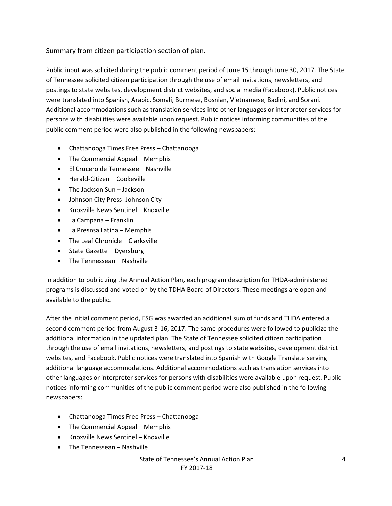Summary from citizen participation section of plan.

Public input was solicited during the public comment period of June 15 through June 30, 2017. The State of Tennessee solicited citizen participation through the use of email invitations, newsletters, and postings to state websites, development district websites, and social media (Facebook). Public notices were translated into Spanish, Arabic, Somali, Burmese, Bosnian, Vietnamese, Badini, and Sorani. Additional accommodations such as translation services into other languages or interpreter services for persons with disabilities were available upon request. Public notices informing communities of the public comment period were also published in the following newspapers:

- Chattanooga Times Free Press Chattanooga
- The Commercial Appeal Memphis
- El Crucero de Tennessee Nashville
- Herald-Citizen Cookeville
- The Jackson Sun Jackson
- Johnson City Press-Johnson City
- Knoxville News Sentinel Knoxville
- La Campana Franklin
- La Presnsa Latina Memphis
- The Leaf Chronicle Clarksville
- State Gazette Dyersburg
- The Tennessean Nashville

In addition to publicizing the Annual Action Plan, each program description for THDA‐administered programs is discussed and voted on by the TDHA Board of Directors. These meetings are open and available to the public.

After the initial comment period, ESG was awarded an additional sum of funds and THDA entered a second comment period from August 3‐16, 2017. The same procedures were followed to publicize the additional information in the updated plan. The State of Tennessee solicited citizen participation through the use of email invitations, newsletters, and postings to state websites, development district websites, and Facebook. Public notices were translated into Spanish with Google Translate serving additional language accommodations. Additional accommodations such as translation services into other languages or interpreter services for persons with disabilities were available upon request. Public notices informing communities of the public comment period were also published in the following newspapers:

- Chattanooga Times Free Press Chattanooga
- The Commercial Appeal Memphis
- Knoxville News Sentinel Knoxville
- The Tennessean Nashville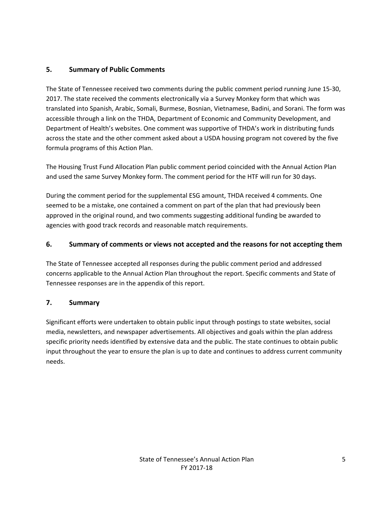#### **5. Summary of Public Comments**

The State of Tennessee received two comments during the public comment period running June 15‐30, 2017. The state received the comments electronically via a Survey Monkey form that which was translated into Spanish, Arabic, Somali, Burmese, Bosnian, Vietnamese, Badini, and Sorani. The form was accessible through a link on the THDA, Department of Economic and Community Development, and Department of Health's websites. One comment was supportive of THDA's work in distributing funds across the state and the other comment asked about a USDA housing program not covered by the five formula programs of this Action Plan.

The Housing Trust Fund Allocation Plan public comment period coincided with the Annual Action Plan and used the same Survey Monkey form. The comment period for the HTF will run for 30 days.

During the comment period for the supplemental ESG amount, THDA received 4 comments. One seemed to be a mistake, one contained a comment on part of the plan that had previously been approved in the original round, and two comments suggesting additional funding be awarded to agencies with good track records and reasonable match requirements.

#### **6. Summary of comments or views not accepted and the reasons for not accepting them**

The State of Tennessee accepted all responses during the public comment period and addressed concerns applicable to the Annual Action Plan throughout the report. Specific comments and State of Tennessee responses are in the appendix of this report.

#### **7. Summary**

Significant efforts were undertaken to obtain public input through postings to state websites, social media, newsletters, and newspaper advertisements. All objectives and goals within the plan address specific priority needs identified by extensive data and the public. The state continues to obtain public input throughout the year to ensure the plan is up to date and continues to address current community needs.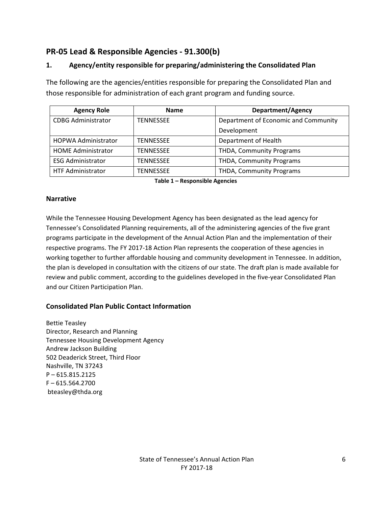## **PR‐05 Lead & Responsible Agencies ‐ 91.300(b)**

#### **1. Agency/entity responsible for preparing/administering the Consolidated Plan**

The following are the agencies/entities responsible for preparing the Consolidated Plan and those responsible for administration of each grant program and funding source.

| <b>Agency Role</b>         | <b>Name</b>      | <b>Department/Agency</b>             |
|----------------------------|------------------|--------------------------------------|
| <b>CDBG Administrator</b>  | <b>TENNESSEE</b> | Department of Economic and Community |
|                            |                  | Development                          |
| <b>HOPWA Administrator</b> | <b>TENNESSEE</b> | Department of Health                 |
| <b>HOME Administrator</b>  | <b>TENNESSEE</b> | <b>THDA, Community Programs</b>      |
| <b>ESG Administrator</b>   | <b>TENNESSEE</b> | THDA, Community Programs             |
| HTF Administrator          | <b>TENNESSEE</b> | <b>THDA, Community Programs</b>      |

**Table 1 – Responsible Agencies**

#### **Narrative**

While the Tennessee Housing Development Agency has been designated as the lead agency for Tennessee's Consolidated Planning requirements, all of the administering agencies of the five grant programs participate in the development of the Annual Action Plan and the implementation of their respective programs. The FY 2017‐18 Action Plan represents the cooperation of these agencies in working together to further affordable housing and community development in Tennessee. In addition, the plan is developed in consultation with the citizens of our state. The draft plan is made available for review and public comment, according to the guidelines developed in the five‐year Consolidated Plan and our Citizen Participation Plan.

#### **Consolidated Plan Public Contact Information**

Bettie Teasley Director, Research and Planning Tennessee Housing Development Agency Andrew Jackson Building 502 Deaderick Street, Third Floor Nashville, TN 37243 P – 615.815.2125 F – 615.564.2700 bteasley@thda.org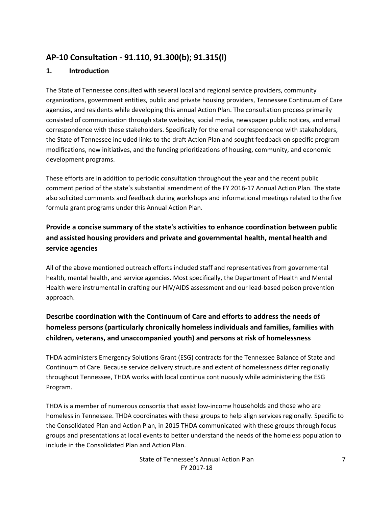# **AP‐10 Consultation ‐ 91.110, 91.300(b); 91.315(l)**

#### **1. Introduction**

The State of Tennessee consulted with several local and regional service providers, community organizations, government entities, public and private housing providers, Tennessee Continuum of Care agencies, and residents while developing this annual Action Plan. The consultation process primarily consisted of communication through state websites, social media, newspaper public notices, and email correspondence with these stakeholders. Specifically for the email correspondence with stakeholders, the State of Tennessee included links to the draft Action Plan and sought feedback on specific program modifications, new initiatives, and the funding prioritizations of housing, community, and economic development programs.

These efforts are in addition to periodic consultation throughout the year and the recent public comment period of the state's substantial amendment of the FY 2016‐17 Annual Action Plan. The state also solicited comments and feedback during workshops and informational meetings related to the five formula grant programs under this Annual Action Plan.

# **Provide a concise summary of the state's activities to enhance coordination between public and assisted housing providers and private and governmental health, mental health and service agencies**

All of the above mentioned outreach efforts included staff and representatives from governmental health, mental health, and service agencies. Most specifically, the Department of Health and Mental Health were instrumental in crafting our HIV/AIDS assessment and our lead‐based poison prevention approach.

# **Describe coordination with the Continuum of Care and efforts to address the needs of homeless persons (particularly chronically homeless individuals and families, families with children, veterans, and unaccompanied youth) and persons at risk of homelessness**

THDA administers Emergency Solutions Grant (ESG) contracts for the Tennessee Balance of State and Continuum of Care. Because service delivery structure and extent of homelessness differ regionally throughout Tennessee, THDA works with local continua continuously while administering the ESG Program.

THDA is a member of numerous consortia that assist low‐income households and those who are homeless in Tennessee. THDA coordinates with these groups to help align services regionally. Specific to the Consolidated Plan and Action Plan, in 2015 THDA communicated with these groups through focus groups and presentations at local events to better understand the needs of the homeless population to include in the Consolidated Plan and Action Plan.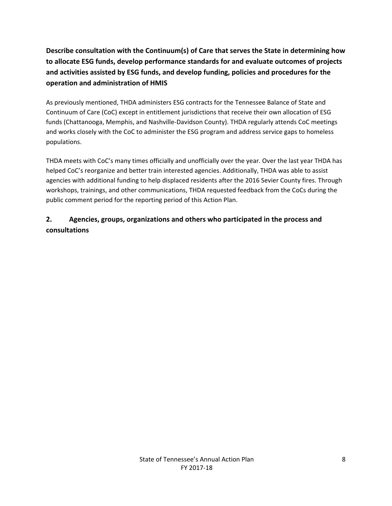**Describe consultation with the Continuum(s) of Care that serves the State in determining how to allocate ESG funds, develop performance standards for and evaluate outcomes of projects and activities assisted by ESG funds, and develop funding, policies and procedures for the operation and administration of HMIS**

As previously mentioned, THDA administers ESG contracts for the Tennessee Balance of State and Continuum of Care (CoC) except in entitlement jurisdictions that receive their own allocation of ESG funds (Chattanooga, Memphis, and Nashville‐Davidson County). THDA regularly attends CoC meetings and works closely with the CoC to administer the ESG program and address service gaps to homeless populations.

THDA meets with CoC's many times officially and unofficially over the year. Over the last year THDA has helped CoC's reorganize and better train interested agencies. Additionally, THDA was able to assist agencies with additional funding to help displaced residents after the 2016 Sevier County fires. Through workshops, trainings, and other communications, THDA requested feedback from the CoCs during the public comment period for the reporting period of this Action Plan.

## **2. Agencies, groups, organizations and others who participated in the process and consultations**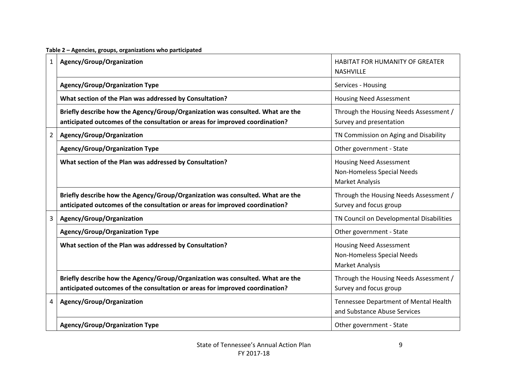|  | Table 2 - Agencies, groups, organizations who participated |
|--|------------------------------------------------------------|
|--|------------------------------------------------------------|

| 1              | Agency/Group/Organization                                                                                                                                      | HABITAT FOR HUMANITY OF GREATER<br><b>NASHVILLE</b>                                    |
|----------------|----------------------------------------------------------------------------------------------------------------------------------------------------------------|----------------------------------------------------------------------------------------|
|                | <b>Agency/Group/Organization Type</b>                                                                                                                          | Services - Housing                                                                     |
|                | What section of the Plan was addressed by Consultation?                                                                                                        | <b>Housing Need Assessment</b>                                                         |
|                | Briefly describe how the Agency/Group/Organization was consulted. What are the<br>anticipated outcomes of the consultation or areas for improved coordination? | Through the Housing Needs Assessment /<br>Survey and presentation                      |
| $\overline{2}$ | Agency/Group/Organization                                                                                                                                      | TN Commission on Aging and Disability                                                  |
|                | <b>Agency/Group/Organization Type</b>                                                                                                                          | Other government - State                                                               |
|                | What section of the Plan was addressed by Consultation?                                                                                                        | <b>Housing Need Assessment</b><br>Non-Homeless Special Needs<br>Market Analysis        |
|                | Briefly describe how the Agency/Group/Organization was consulted. What are the<br>anticipated outcomes of the consultation or areas for improved coordination? | Through the Housing Needs Assessment /<br>Survey and focus group                       |
| 3              | Agency/Group/Organization                                                                                                                                      | TN Council on Developmental Disabilities                                               |
|                | <b>Agency/Group/Organization Type</b>                                                                                                                          | Other government - State                                                               |
|                | What section of the Plan was addressed by Consultation?                                                                                                        | <b>Housing Need Assessment</b><br>Non-Homeless Special Needs<br><b>Market Analysis</b> |
|                | Briefly describe how the Agency/Group/Organization was consulted. What are the<br>anticipated outcomes of the consultation or areas for improved coordination? | Through the Housing Needs Assessment /<br>Survey and focus group                       |
| 4              | Agency/Group/Organization                                                                                                                                      | Tennessee Department of Mental Health<br>and Substance Abuse Services                  |
|                | <b>Agency/Group/Organization Type</b>                                                                                                                          | Other government - State                                                               |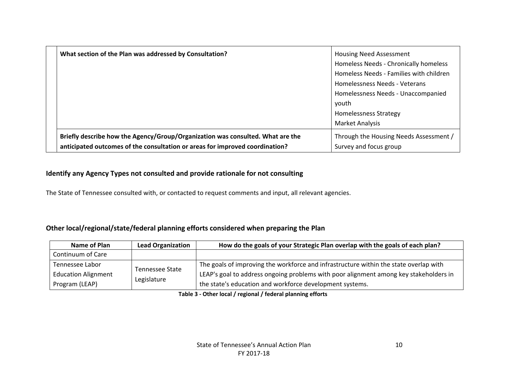| What section of the Plan was addressed by Consultation?                                                                                                        | <b>Housing Need Assessment</b><br>Homeless Needs - Chronically homeless                                        |
|----------------------------------------------------------------------------------------------------------------------------------------------------------------|----------------------------------------------------------------------------------------------------------------|
|                                                                                                                                                                | Homeless Needs - Families with children<br>Homelessness Needs - Veterans<br>Homelessness Needs - Unaccompanied |
|                                                                                                                                                                | vouth<br><b>Homelessness Strategy</b><br><b>Market Analysis</b>                                                |
| Briefly describe how the Agency/Group/Organization was consulted. What are the<br>anticipated outcomes of the consultation or areas for improved coordination? | Through the Housing Needs Assessment /<br>Survey and focus group                                               |

# **Identify any Agency Types not consulted and provide rationale for not consulting**

The State of Tennessee consulted with, or contacted to request comments and input, all relevant agencies.

#### **Other local/regional/state/federal planning efforts considered when preparing the Plan**

| Name of Plan                                                    | <b>Lead Organization</b>       | How do the goals of your Strategic Plan overlap with the goals of each plan?                                                                                                                                                               |
|-----------------------------------------------------------------|--------------------------------|--------------------------------------------------------------------------------------------------------------------------------------------------------------------------------------------------------------------------------------------|
| Continuum of Care                                               |                                |                                                                                                                                                                                                                                            |
| Tennessee Labor<br><b>Education Alignment</b><br>Program (LEAP) | Tennessee State<br>Legislature | The goals of improving the workforce and infrastructure within the state overlap with<br>LEAP's goal to address ongoing problems with poor alignment among key stakeholders in<br>the state's education and workforce development systems. |

**Table 3 ‐ Other local / regional / federal planning efforts**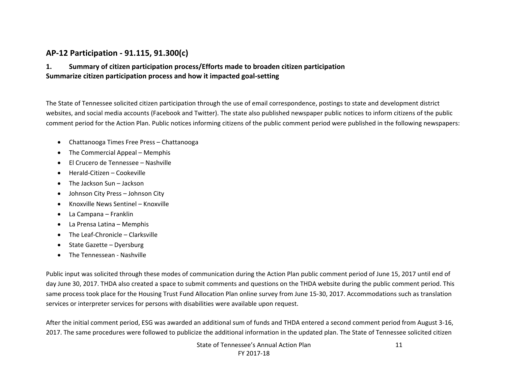## **AP‐12 Participation ‐ 91.115, 91.300(c)**

#### **1. Summary of citizen participation process/Efforts made to broaden citizen participation Summarize citizen participation process and how it impacted goal‐setting**

The State of Tennessee solicited citizen participation through the use of email correspondence, postings to state and development district websites, and social media accounts (Facebook and Twitter). The state also published newspaper public notices to inform citizens of the public comment period for the Action Plan. Public notices informing citizens of the public comment period were published in the following newspapers:

- $\bullet$ Chattanooga Times Free Press – Chattanooga
- $\bullet$ The Commercial Appeal – Memphis
- 0 El Crucero de Tennessee – Nashville
- $\bullet$ ● Herald-Citizen – Cookeville
- $\bullet$ The Jackson Sun – Jackson
- $\bullet$ Johnson City Press – Johnson City
- $\bullet$ Knoxville News Sentinel – Knoxville
- $\bullet$ La Campana – Franklin
- $\bullet$ La Prensa Latina – Memphis
- $\bullet$ ● The Leaf-Chronicle – Clarksville
- $\bullet$ • State Gazette – Dyersburg
- $\bullet$ ● The Tennessean - Nashville

Public input was solicited through these modes of communication during the Action Plan public comment period of June 15, 2017 until end of day June 30, 2017. THDA also created <sup>a</sup> space to submit comments and questions on the THDA website during the public comment period. This same process took place for the Housing Trust Fund Allocation Plan online survey from June 15‐30, 2017. Accommodations such as translation services or interpreter services for persons with disabilities were available upon request.

After the initial comment period, ESG was awarded an additional sum of funds and THDA entered <sup>a</sup> second comment period from August 3‐16, 2017. The same procedures were followed to publicize the additional information in the updated plan. The State of Tennessee solicited citizen

> State of Tennessee's Annual Action Plan FY 2017‐18

11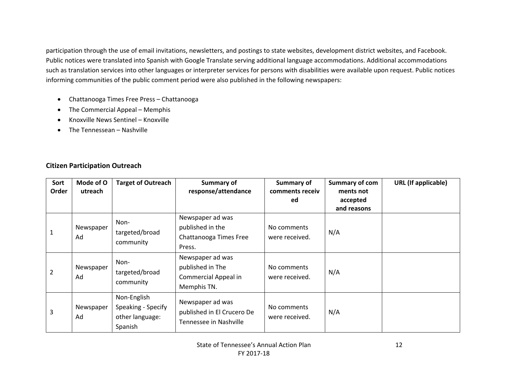participation through the use of email invitations, newsletters, and postings to state websites, development district websites, and Facebook. Public notices were translated into Spanish with Google Translate serving additional language accommodations. Additional accommodations such as translation services into other languages or interpreter services for persons with disabilities were available upon request. Public notices informing communities of the public comment period were also published in the following newspapers:

- $\bullet$ Chattanooga Times Free Press – Chattanooga
- $\bullet$ The Commercial Appeal – Memphis
- $\bullet$ Knoxville News Sentinel – Knoxville
- $\bullet$ The Tennessean – Nashville

#### **Citizen Participation Outreach**

| Sort<br>Order | Mode of O<br>utreach                                                               | <b>Target of Outreach</b><br>Summary of<br>response/attendance |                                                                             | Summary of<br>comments receiv<br>ed | <b>Summary of com</b><br>ments not<br>accepted | URL (If applicable) |
|---------------|------------------------------------------------------------------------------------|----------------------------------------------------------------|-----------------------------------------------------------------------------|-------------------------------------|------------------------------------------------|---------------------|
|               |                                                                                    |                                                                |                                                                             |                                     | and reasons                                    |                     |
| 1             | Newspaper<br>Ad                                                                    | Non-<br>targeted/broad<br>community                            | Newspaper ad was<br>published in the<br>Chattanooga Times Free<br>Press.    | No comments<br>were received.       | N/A                                            |                     |
| 2             | Newspaper<br>Ad                                                                    | Non-<br>targeted/broad<br>community                            | Newspaper ad was<br>published in The<br>Commercial Appeal in<br>Memphis TN. | No comments<br>were received.       | N/A                                            |                     |
| 3             | Non-English<br>Speaking - Specify<br>Newspaper<br>other language:<br>Ad<br>Spanish |                                                                | Newspaper ad was<br>published in El Crucero De<br>Tennessee in Nashville    | No comments<br>were received.       | N/A                                            |                     |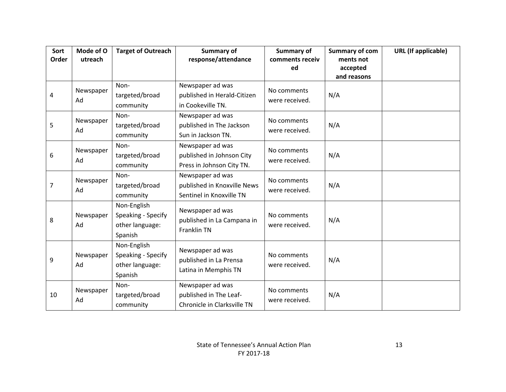| Sort           | Mode of O<br>Summary of<br><b>Target of Outreach</b>                               |                                                                 | Summary of                                                                  | <b>Summary of com</b>         | <b>URL</b> (If applicable) |  |
|----------------|------------------------------------------------------------------------------------|-----------------------------------------------------------------|-----------------------------------------------------------------------------|-------------------------------|----------------------------|--|
| Order          | utreach                                                                            |                                                                 | response/attendance                                                         | comments receiv               | ments not                  |  |
|                |                                                                                    |                                                                 |                                                                             | ed                            | accepted                   |  |
| 4              | Non-<br>Newspaper<br>targeted/broad<br>Ad                                          |                                                                 | Newspaper ad was<br>published in Herald-Citizen<br>in Cookeville TN.        | No comments<br>were received. | and reasons<br>N/A         |  |
| 5              | Newspaper<br>Ad                                                                    | community<br>Non-<br>targeted/broad<br>community                | Newspaper ad was<br>published in The Jackson<br>Sun in Jackson TN.          | No comments<br>were received. | N/A                        |  |
| 6              | Non-<br>Newspaper<br>targeted/broad<br>Ad<br>community                             |                                                                 | Newspaper ad was<br>published in Johnson City<br>Press in Johnson City TN.  | No comments<br>were received. | N/A                        |  |
| $\overline{7}$ | Non-<br>Newspaper<br>targeted/broad<br>Ad<br>community                             |                                                                 | Newspaper ad was<br>published in Knoxville News<br>Sentinel in Knoxville TN | No comments<br>were received. | N/A                        |  |
| 8              | Non-English<br>Speaking - Specify<br>Newspaper<br>Ad<br>other language:<br>Spanish |                                                                 | Newspaper ad was<br>published in La Campana in<br>Franklin TN               | No comments<br>were received. | N/A                        |  |
| 9              | Newspaper<br>Ad                                                                    | Non-English<br>Speaking - Specify<br>other language:<br>Spanish | Newspaper ad was<br>published in La Prensa<br>Latina in Memphis TN          | No comments<br>were received. | N/A                        |  |
| 10             | Newspaper<br>Ad                                                                    | Non-<br>targeted/broad<br>community                             | Newspaper ad was<br>published in The Leaf-<br>Chronicle in Clarksville TN   | No comments<br>were received. | N/A                        |  |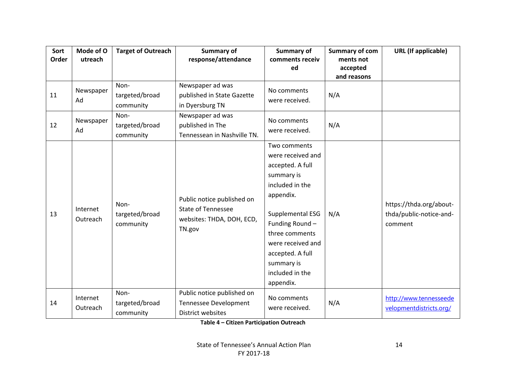| Sort  | Mode of O            | <b>Target of Outreach</b>           | Summary of                                                                                     | Summary of                                                                                                                                                                                                                                         | <b>Summary of com</b>   | <b>URL</b> (If applicable)                                    |
|-------|----------------------|-------------------------------------|------------------------------------------------------------------------------------------------|----------------------------------------------------------------------------------------------------------------------------------------------------------------------------------------------------------------------------------------------------|-------------------------|---------------------------------------------------------------|
| Order | utreach              |                                     | response/attendance                                                                            | comments receiv                                                                                                                                                                                                                                    | ments not               |                                                               |
|       |                      |                                     |                                                                                                | ed                                                                                                                                                                                                                                                 | accepted<br>and reasons |                                                               |
| 11    | Newspaper<br>Ad      | Non-<br>targeted/broad<br>community | Newspaper ad was<br>published in State Gazette<br>in Dyersburg TN                              | No comments<br>were received.                                                                                                                                                                                                                      | N/A                     |                                                               |
| 12    | Newspaper<br>Ad      | Non-<br>targeted/broad<br>community | Newspaper ad was<br>published in The<br>Tennessean in Nashville TN.                            | No comments<br>were received.                                                                                                                                                                                                                      | N/A                     |                                                               |
| 13    | Internet<br>Outreach | Non-<br>targeted/broad<br>community | Public notice published on<br><b>State of Tennessee</b><br>websites: THDA, DOH, ECD,<br>TN.gov | Two comments<br>were received and<br>accepted. A full<br>summary is<br>included in the<br>appendix.<br>Supplemental ESG<br>Funding Round-<br>three comments<br>were received and<br>accepted. A full<br>summary is<br>included in the<br>appendix. | N/A                     | https://thda.org/about-<br>thda/public-notice-and-<br>comment |
| 14    | Internet<br>Outreach | Non-<br>targeted/broad<br>community | Public notice published on<br>Tennessee Development<br><b>District websites</b>                | No comments<br>were received.                                                                                                                                                                                                                      | N/A                     | http://www.tennesseede<br>velopmentdistricts.org/             |

**Table 4 – Citizen Participation Outreach**

State of Tennessee's Annual Action Plan FY 2017‐18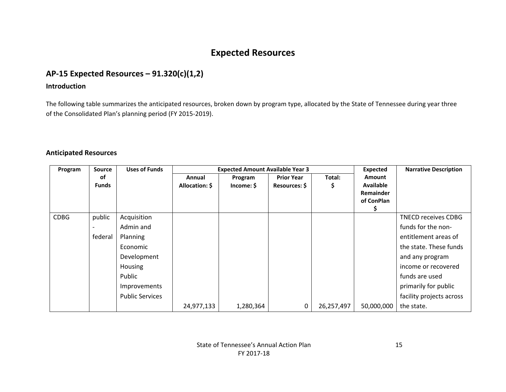# **Expected Resources**

# **AP‐15 Expected Resources – 91.320(c)(1,2)**

#### **Introduction**

The following table summarizes the anticipated resources, broken down by program type, allocated by the State of Tennessee during year three of the Consolidated Plan's planning period (FY 2015‐2019).

#### **Anticipated Resources**

| Program     | <b>Source</b>      | <b>Uses of Funds</b>   |                          | <b>Expected Amount Available Year 3</b> |                                    |              | <b>Expected</b>                                              | <b>Narrative Description</b> |
|-------------|--------------------|------------------------|--------------------------|-----------------------------------------|------------------------------------|--------------|--------------------------------------------------------------|------------------------------|
|             | 0f<br><b>Funds</b> |                        | Annual<br>Allocation: \$ | Program<br>Income: \$                   | <b>Prior Year</b><br>Resources: \$ | Total:<br>\$ | <b>Amount</b><br><b>Available</b><br>Remainder<br>of ConPlan |                              |
| <b>CDBG</b> | public             | Acquisition            |                          |                                         |                                    |              |                                                              | <b>TNECD receives CDBG</b>   |
|             |                    | Admin and              |                          |                                         |                                    |              |                                                              | funds for the non-           |
|             | federal            | Planning               |                          |                                         |                                    |              |                                                              | entitlement areas of         |
|             |                    | Economic               |                          |                                         |                                    |              |                                                              | the state. These funds       |
|             |                    | Development            |                          |                                         |                                    |              |                                                              | and any program              |
|             |                    | Housing                |                          |                                         |                                    |              |                                                              | income or recovered          |
|             |                    | Public                 |                          |                                         |                                    |              |                                                              | funds are used               |
|             |                    | Improvements           |                          |                                         |                                    |              |                                                              | primarily for public         |
|             |                    | <b>Public Services</b> |                          |                                         |                                    |              |                                                              | facility projects across     |
|             |                    |                        | 24,977,133               | 1,280,364                               | 0                                  | 26,257,497   | 50,000,000                                                   | the state.                   |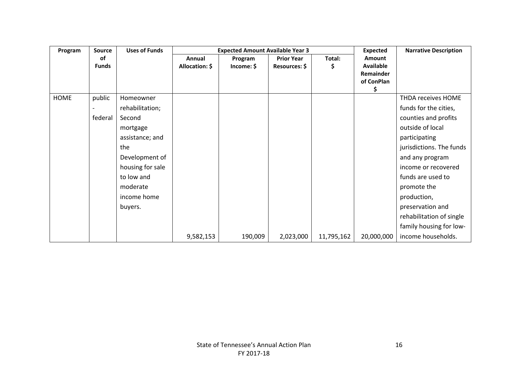| Program     | <b>Source</b>      | <b>Uses of Funds</b> | <b>Expected Amount Available Year 3</b> |                       |                                    | <b>Expected</b> | <b>Narrative Description</b>                                |                           |
|-------------|--------------------|----------------------|-----------------------------------------|-----------------------|------------------------------------|-----------------|-------------------------------------------------------------|---------------------------|
|             | of<br><b>Funds</b> |                      | Annual<br>Allocation: \$                | Program<br>Income: \$ | <b>Prior Year</b><br>Resources: \$ | Total:<br>Ş     | Amount<br><b>Available</b><br>Remainder<br>of ConPlan<br>\$ |                           |
| <b>HOME</b> | public             | Homeowner            |                                         |                       |                                    |                 |                                                             | <b>THDA receives HOME</b> |
|             |                    | rehabilitation;      |                                         |                       |                                    |                 |                                                             | funds for the cities,     |
|             | federal            | Second               |                                         |                       |                                    |                 |                                                             | counties and profits      |
|             |                    | mortgage             |                                         |                       |                                    |                 |                                                             | outside of local          |
|             |                    | assistance; and      |                                         |                       |                                    |                 |                                                             | participating             |
|             |                    | the                  |                                         |                       |                                    |                 |                                                             | jurisdictions. The funds  |
|             |                    | Development of       |                                         |                       |                                    |                 |                                                             | and any program           |
|             |                    | housing for sale     |                                         |                       |                                    |                 |                                                             | income or recovered       |
|             |                    | to low and           |                                         |                       |                                    |                 |                                                             | funds are used to         |
|             |                    | moderate             |                                         |                       |                                    |                 |                                                             | promote the               |
|             |                    | income home          |                                         |                       |                                    |                 |                                                             | production,               |
|             |                    | buyers.              |                                         |                       |                                    |                 |                                                             | preservation and          |
|             |                    |                      |                                         |                       |                                    |                 |                                                             | rehabilitation of single  |
|             |                    |                      |                                         |                       |                                    |                 |                                                             | family housing for low-   |
|             |                    |                      | 9,582,153                               | 190,009               | 2,023,000                          | 11,795,162      | 20,000,000                                                  | income households.        |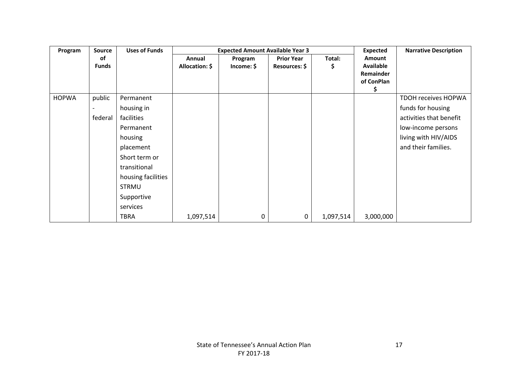| Program      | <b>Source</b> | <b>Uses of Funds</b> |                | <b>Expected Amount Available Year 3</b> |                   |           | <b>Expected</b>         | <b>Narrative Description</b> |
|--------------|---------------|----------------------|----------------|-----------------------------------------|-------------------|-----------|-------------------------|------------------------------|
|              | of            |                      | Annual         | Program                                 | <b>Prior Year</b> | Total:    | Amount                  |                              |
|              | <b>Funds</b>  |                      | Allocation: \$ | Income: \$                              | Resources: \$     | \$        | Available               |                              |
|              |               |                      |                |                                         |                   |           | Remainder<br>of ConPlan |                              |
|              |               |                      |                |                                         |                   |           | S                       |                              |
| <b>HOPWA</b> | public        | Permanent            |                |                                         |                   |           |                         | <b>TDOH receives HOPWA</b>   |
|              |               | housing in           |                |                                         |                   |           |                         | funds for housing            |
|              | federal       | facilities           |                |                                         |                   |           |                         | activities that benefit      |
|              |               | Permanent            |                |                                         |                   |           |                         | low-income persons           |
|              |               | housing              |                |                                         |                   |           |                         | living with HIV/AIDS         |
|              |               | placement            |                |                                         |                   |           |                         | and their families.          |
|              |               | Short term or        |                |                                         |                   |           |                         |                              |
|              |               | transitional         |                |                                         |                   |           |                         |                              |
|              |               | housing facilities   |                |                                         |                   |           |                         |                              |
|              |               | <b>STRMU</b>         |                |                                         |                   |           |                         |                              |
|              |               | Supportive           |                |                                         |                   |           |                         |                              |
|              |               | services             |                |                                         |                   |           |                         |                              |
|              |               | <b>TBRA</b>          | 1,097,514      | 0                                       | 0                 | 1,097,514 | 3,000,000               |                              |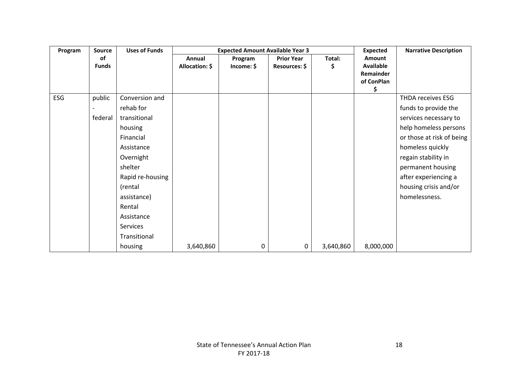| Program | Source             | <b>Uses of Funds</b> | <b>Expected Amount Available Year 3</b> |                       |                                    | <b>Expected</b> | <b>Narrative Description</b>                                       |                           |
|---------|--------------------|----------------------|-----------------------------------------|-----------------------|------------------------------------|-----------------|--------------------------------------------------------------------|---------------------------|
|         | of<br><b>Funds</b> |                      | Annual<br>Allocation: \$                | Program<br>Income: \$ | <b>Prior Year</b><br>Resources: \$ | Total:<br>Ş     | <b>Amount</b><br><b>Available</b><br>Remainder<br>of ConPlan<br>\$ |                           |
| ESG     | public             | Conversion and       |                                         |                       |                                    |                 |                                                                    | <b>THDA receives ESG</b>  |
|         |                    | rehab for            |                                         |                       |                                    |                 |                                                                    | funds to provide the      |
|         | federal            | transitional         |                                         |                       |                                    |                 |                                                                    | services necessary to     |
|         |                    | housing              |                                         |                       |                                    |                 |                                                                    | help homeless persons     |
|         |                    | Financial            |                                         |                       |                                    |                 |                                                                    | or those at risk of being |
|         |                    | Assistance           |                                         |                       |                                    |                 |                                                                    | homeless quickly          |
|         |                    | Overnight            |                                         |                       |                                    |                 |                                                                    | regain stability in       |
|         |                    | shelter              |                                         |                       |                                    |                 |                                                                    | permanent housing         |
|         |                    | Rapid re-housing     |                                         |                       |                                    |                 |                                                                    | after experiencing a      |
|         |                    | (rental              |                                         |                       |                                    |                 |                                                                    | housing crisis and/or     |
|         |                    | assistance)          |                                         |                       |                                    |                 |                                                                    | homelessness.             |
|         |                    | Rental               |                                         |                       |                                    |                 |                                                                    |                           |
|         |                    | Assistance           |                                         |                       |                                    |                 |                                                                    |                           |
|         |                    | Services             |                                         |                       |                                    |                 |                                                                    |                           |
|         |                    | Transitional         |                                         |                       |                                    |                 |                                                                    |                           |
|         |                    | housing              | 3,640,860                               | 0                     | 0                                  | 3,640,860       | 8,000,000                                                          |                           |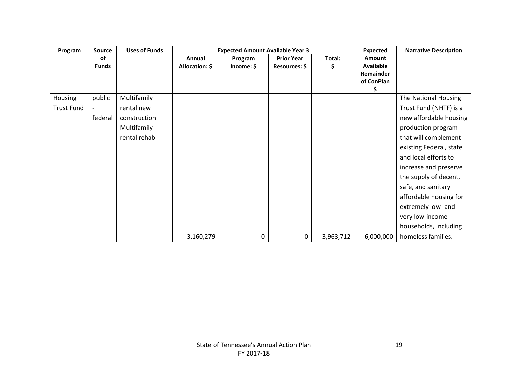| Program           | Source             | <b>Uses of Funds</b> |                          | <b>Expected Amount Available Year 3</b> |                                    |             | <b>Expected</b>                                | <b>Narrative Description</b> |
|-------------------|--------------------|----------------------|--------------------------|-----------------------------------------|------------------------------------|-------------|------------------------------------------------|------------------------------|
|                   | of<br><b>Funds</b> |                      | Annual<br>Allocation: \$ | Program<br>Income: \$                   | <b>Prior Year</b><br>Resources: \$ | Total:<br>Ş | Amount<br>Available<br>Remainder<br>of ConPlan |                              |
| <b>Housing</b>    | public             | Multifamily          |                          |                                         |                                    |             |                                                | The National Housing         |
| <b>Trust Fund</b> |                    | rental new           |                          |                                         |                                    |             |                                                | Trust Fund (NHTF) is a       |
|                   | federal            | construction         |                          |                                         |                                    |             |                                                | new affordable housing       |
|                   |                    | Multifamily          |                          |                                         |                                    |             |                                                | production program           |
|                   |                    | rental rehab         |                          |                                         |                                    |             |                                                | that will complement         |
|                   |                    |                      |                          |                                         |                                    |             |                                                | existing Federal, state      |
|                   |                    |                      |                          |                                         |                                    |             |                                                | and local efforts to         |
|                   |                    |                      |                          |                                         |                                    |             |                                                | increase and preserve        |
|                   |                    |                      |                          |                                         |                                    |             |                                                | the supply of decent,        |
|                   |                    |                      |                          |                                         |                                    |             |                                                | safe, and sanitary           |
|                   |                    |                      |                          |                                         |                                    |             |                                                | affordable housing for       |
|                   |                    |                      |                          |                                         |                                    |             |                                                | extremely low- and           |
|                   |                    |                      |                          |                                         |                                    |             |                                                | very low-income              |
|                   |                    |                      |                          |                                         |                                    |             |                                                | households, including        |
|                   |                    |                      | 3,160,279                | 0                                       | 0                                  | 3,963,712   | 6,000,000                                      | homeless families.           |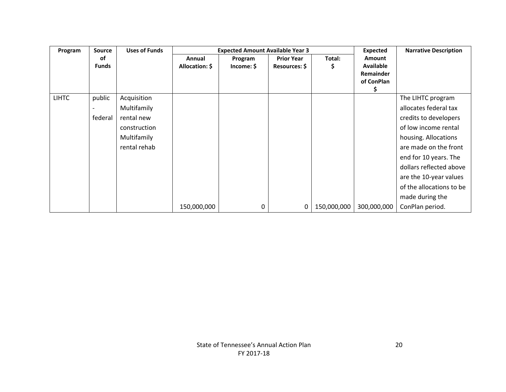| Program      | <b>Source</b>      | <b>Uses of Funds</b> |                          | <b>Expected Amount Available Year 3</b> |                                    |             | <b>Expected</b>                                       | <b>Narrative Description</b> |
|--------------|--------------------|----------------------|--------------------------|-----------------------------------------|------------------------------------|-------------|-------------------------------------------------------|------------------------------|
|              | оf<br><b>Funds</b> |                      | Annual<br>Allocation: \$ | Program<br>Income: \$                   | <b>Prior Year</b><br>Resources: \$ | Total:<br>Ş | <b>Amount</b><br>Available<br>Remainder<br>of ConPlan |                              |
| <b>LIHTC</b> | public             | Acquisition          |                          |                                         |                                    |             |                                                       | The LIHTC program            |
|              |                    | Multifamily          |                          |                                         |                                    |             |                                                       | allocates federal tax        |
|              | federal            | rental new           |                          |                                         |                                    |             |                                                       | credits to developers        |
|              |                    | construction         |                          |                                         |                                    |             |                                                       | of low income rental         |
|              |                    | Multifamily          |                          |                                         |                                    |             |                                                       | housing. Allocations         |
|              |                    | rental rehab         |                          |                                         |                                    |             |                                                       | are made on the front        |
|              |                    |                      |                          |                                         |                                    |             |                                                       | end for 10 years. The        |
|              |                    |                      |                          |                                         |                                    |             |                                                       | dollars reflected above      |
|              |                    |                      |                          |                                         |                                    |             |                                                       | are the 10-year values       |
|              |                    |                      |                          |                                         |                                    |             |                                                       | of the allocations to be     |
|              |                    |                      |                          |                                         |                                    |             |                                                       | made during the              |
|              |                    |                      | 150,000,000              | 0                                       | 0                                  | 150,000,000 | 300,000,000                                           | ConPlan period.              |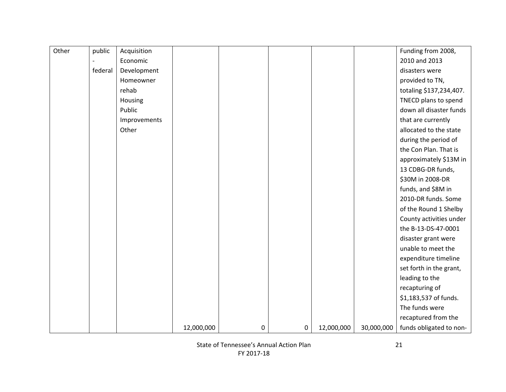| Other | public  | Acquisition  |            |   |   |            |            | Funding from 2008,      |
|-------|---------|--------------|------------|---|---|------------|------------|-------------------------|
|       |         | Economic     |            |   |   |            |            | 2010 and 2013           |
|       | federal | Development  |            |   |   |            |            | disasters were          |
|       |         | Homeowner    |            |   |   |            |            | provided to TN,         |
|       |         | rehab        |            |   |   |            |            | totaling \$137,234,407. |
|       |         | Housing      |            |   |   |            |            | TNECD plans to spend    |
|       |         | Public       |            |   |   |            |            | down all disaster funds |
|       |         | Improvements |            |   |   |            |            | that are currently      |
|       |         | Other        |            |   |   |            |            | allocated to the state  |
|       |         |              |            |   |   |            |            | during the period of    |
|       |         |              |            |   |   |            |            | the Con Plan. That is   |
|       |         |              |            |   |   |            |            | approximately \$13M in  |
|       |         |              |            |   |   |            |            | 13 CDBG-DR funds,       |
|       |         |              |            |   |   |            |            | \$30M in 2008-DR        |
|       |         |              |            |   |   |            |            | funds, and \$8M in      |
|       |         |              |            |   |   |            |            | 2010-DR funds. Some     |
|       |         |              |            |   |   |            |            | of the Round 1 Shelby   |
|       |         |              |            |   |   |            |            | County activities under |
|       |         |              |            |   |   |            |            | the B-13-DS-47-0001     |
|       |         |              |            |   |   |            |            | disaster grant were     |
|       |         |              |            |   |   |            |            | unable to meet the      |
|       |         |              |            |   |   |            |            | expenditure timeline    |
|       |         |              |            |   |   |            |            | set forth in the grant, |
|       |         |              |            |   |   |            |            | leading to the          |
|       |         |              |            |   |   |            |            | recapturing of          |
|       |         |              |            |   |   |            |            | \$1,183,537 of funds.   |
|       |         |              |            |   |   |            |            | The funds were          |
|       |         |              |            |   |   |            |            | recaptured from the     |
|       |         |              | 12,000,000 | 0 | 0 | 12,000,000 | 30,000,000 | funds obligated to non- |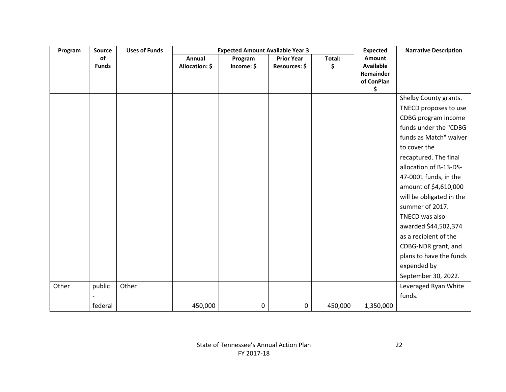| Program | <b>Source</b> | <b>Uses of Funds</b> |                | <b>Expected Amount Available Year 3</b> |                   |         | <b>Expected</b>  | <b>Narrative Description</b> |
|---------|---------------|----------------------|----------------|-----------------------------------------|-------------------|---------|------------------|------------------------------|
|         | of            |                      | Annual         | Program                                 | <b>Prior Year</b> | Total:  | Amount           |                              |
|         | <b>Funds</b>  |                      | Allocation: \$ | Income: \$                              | Resources: \$     | \$      | <b>Available</b> |                              |
|         |               |                      |                |                                         |                   |         | Remainder        |                              |
|         |               |                      |                |                                         |                   |         | of ConPlan<br>\$ |                              |
|         |               |                      |                |                                         |                   |         |                  | Shelby County grants.        |
|         |               |                      |                |                                         |                   |         |                  | TNECD proposes to use        |
|         |               |                      |                |                                         |                   |         |                  | CDBG program income          |
|         |               |                      |                |                                         |                   |         |                  | funds under the "CDBG        |
|         |               |                      |                |                                         |                   |         |                  | funds as Match" waiver       |
|         |               |                      |                |                                         |                   |         |                  | to cover the                 |
|         |               |                      |                |                                         |                   |         |                  | recaptured. The final        |
|         |               |                      |                |                                         |                   |         |                  | allocation of B-13-DS-       |
|         |               |                      |                |                                         |                   |         |                  | 47-0001 funds, in the        |
|         |               |                      |                |                                         |                   |         |                  | amount of \$4,610,000        |
|         |               |                      |                |                                         |                   |         |                  | will be obligated in the     |
|         |               |                      |                |                                         |                   |         |                  | summer of 2017.              |
|         |               |                      |                |                                         |                   |         |                  | TNECD was also               |
|         |               |                      |                |                                         |                   |         |                  | awarded \$44,502,374         |
|         |               |                      |                |                                         |                   |         |                  | as a recipient of the        |
|         |               |                      |                |                                         |                   |         |                  | CDBG-NDR grant, and          |
|         |               |                      |                |                                         |                   |         |                  | plans to have the funds      |
|         |               |                      |                |                                         |                   |         |                  | expended by                  |
|         |               |                      |                |                                         |                   |         |                  | September 30, 2022.          |
| Other   | public        | Other                |                |                                         |                   |         |                  | Leveraged Ryan White         |
|         |               |                      |                |                                         |                   |         |                  | funds.                       |
|         | federal       |                      | 450,000        | 0                                       | 0                 | 450,000 | 1,350,000        |                              |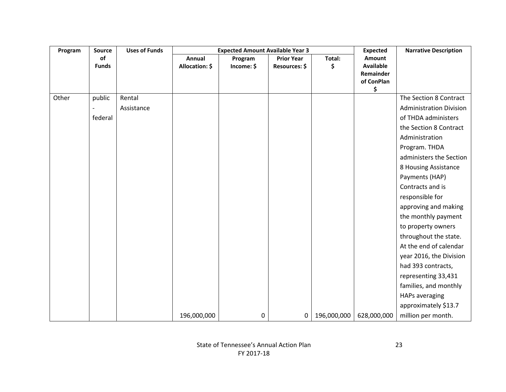| Program | Source       | <b>Uses of Funds</b> |                | <b>Expected Amount Available Year 3</b> |                   |             | <b>Expected</b>  | <b>Narrative Description</b>   |
|---------|--------------|----------------------|----------------|-----------------------------------------|-------------------|-------------|------------------|--------------------------------|
|         | of           |                      | Annual         | Program                                 | <b>Prior Year</b> | Total:      | Amount           |                                |
|         | <b>Funds</b> |                      | Allocation: \$ | Income: \$                              | Resources: \$     | \$          | <b>Available</b> |                                |
|         |              |                      |                |                                         |                   |             | Remainder        |                                |
|         |              |                      |                |                                         |                   |             | of ConPlan<br>\$ |                                |
| Other   | public       | Rental               |                |                                         |                   |             |                  | The Section 8 Contract         |
|         |              | Assistance           |                |                                         |                   |             |                  | <b>Administration Division</b> |
|         | federal      |                      |                |                                         |                   |             |                  | of THDA administers            |
|         |              |                      |                |                                         |                   |             |                  | the Section 8 Contract         |
|         |              |                      |                |                                         |                   |             |                  | Administration                 |
|         |              |                      |                |                                         |                   |             |                  | Program. THDA                  |
|         |              |                      |                |                                         |                   |             |                  | administers the Section        |
|         |              |                      |                |                                         |                   |             |                  | 8 Housing Assistance           |
|         |              |                      |                |                                         |                   |             |                  | Payments (HAP)                 |
|         |              |                      |                |                                         |                   |             |                  | Contracts and is               |
|         |              |                      |                |                                         |                   |             |                  | responsible for                |
|         |              |                      |                |                                         |                   |             |                  | approving and making           |
|         |              |                      |                |                                         |                   |             |                  | the monthly payment            |
|         |              |                      |                |                                         |                   |             |                  | to property owners             |
|         |              |                      |                |                                         |                   |             |                  | throughout the state.          |
|         |              |                      |                |                                         |                   |             |                  | At the end of calendar         |
|         |              |                      |                |                                         |                   |             |                  | year 2016, the Division        |
|         |              |                      |                |                                         |                   |             |                  | had 393 contracts,             |
|         |              |                      |                |                                         |                   |             |                  | representing 33,431            |
|         |              |                      |                |                                         |                   |             |                  | families, and monthly          |
|         |              |                      |                |                                         |                   |             |                  | HAPs averaging                 |
|         |              |                      |                |                                         |                   |             |                  | approximately \$13.7           |
|         |              |                      | 196,000,000    | 0                                       | 0                 | 196,000,000 | 628,000,000      | million per month.             |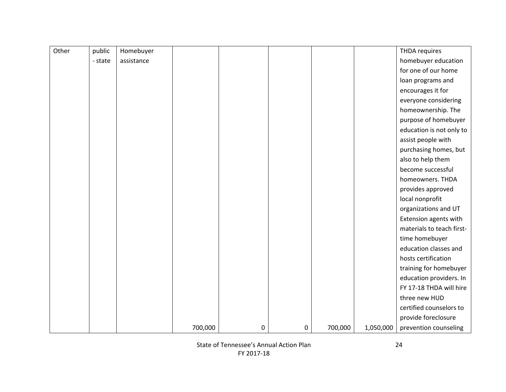| Other | public  | Homebuyer  |         |   |   |         |           | <b>THDA requires</b>      |
|-------|---------|------------|---------|---|---|---------|-----------|---------------------------|
|       | - state | assistance |         |   |   |         |           | homebuyer education       |
|       |         |            |         |   |   |         |           | for one of our home       |
|       |         |            |         |   |   |         |           | loan programs and         |
|       |         |            |         |   |   |         |           | encourages it for         |
|       |         |            |         |   |   |         |           | everyone considering      |
|       |         |            |         |   |   |         |           | homeownership. The        |
|       |         |            |         |   |   |         |           | purpose of homebuyer      |
|       |         |            |         |   |   |         |           | education is not only to  |
|       |         |            |         |   |   |         |           | assist people with        |
|       |         |            |         |   |   |         |           | purchasing homes, but     |
|       |         |            |         |   |   |         |           | also to help them         |
|       |         |            |         |   |   |         |           | become successful         |
|       |         |            |         |   |   |         |           | homeowners. THDA          |
|       |         |            |         |   |   |         |           | provides approved         |
|       |         |            |         |   |   |         |           | local nonprofit           |
|       |         |            |         |   |   |         |           | organizations and UT      |
|       |         |            |         |   |   |         |           | Extension agents with     |
|       |         |            |         |   |   |         |           | materials to teach first- |
|       |         |            |         |   |   |         |           | time homebuyer            |
|       |         |            |         |   |   |         |           | education classes and     |
|       |         |            |         |   |   |         |           | hosts certification       |
|       |         |            |         |   |   |         |           | training for homebuyer    |
|       |         |            |         |   |   |         |           | education providers. In   |
|       |         |            |         |   |   |         |           | FY 17-18 THDA will hire   |
|       |         |            |         |   |   |         |           | three new HUD             |
|       |         |            |         |   |   |         |           | certified counselors to   |
|       |         |            |         |   |   |         |           | provide foreclosure       |
|       |         |            | 700,000 | 0 | 0 | 700,000 | 1,050,000 | prevention counseling     |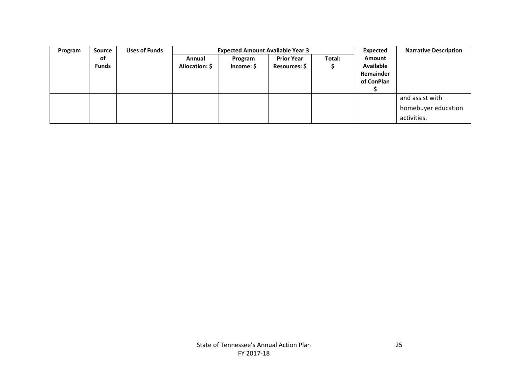| Program | Source             | <b>Uses of Funds</b> |                          | <b>Expected Amount Available Year 3</b> |                                    |        | Expected<br>Amount<br>Available<br>Remainder<br>of ConPlan | <b>Narrative Description</b>                          |
|---------|--------------------|----------------------|--------------------------|-----------------------------------------|------------------------------------|--------|------------------------------------------------------------|-------------------------------------------------------|
|         | of<br><b>Funds</b> |                      | Annual<br>Allocation: \$ | Program<br>Income: \$                   | <b>Prior Year</b><br>Resources: \$ | Total: |                                                            |                                                       |
|         |                    |                      |                          |                                         |                                    |        |                                                            | and assist with<br>homebuyer education<br>activities. |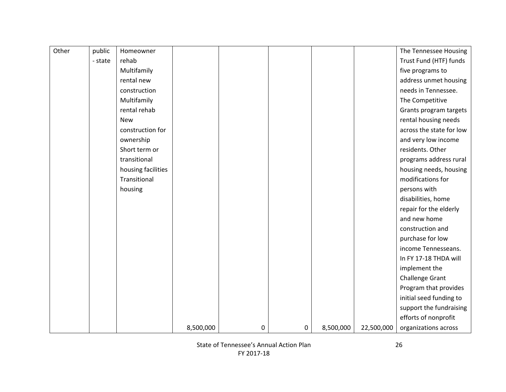| Other | public  | Homeowner          |           |   |             |           |            | The Tennessee Housing    |
|-------|---------|--------------------|-----------|---|-------------|-----------|------------|--------------------------|
|       | - state | rehab              |           |   |             |           |            | Trust Fund (HTF) funds   |
|       |         | Multifamily        |           |   |             |           |            | five programs to         |
|       |         | rental new         |           |   |             |           |            | address unmet housing    |
|       |         | construction       |           |   |             |           |            | needs in Tennessee.      |
|       |         | Multifamily        |           |   |             |           |            | The Competitive          |
|       |         | rental rehab       |           |   |             |           |            | Grants program targets   |
|       |         | <b>New</b>         |           |   |             |           |            | rental housing needs     |
|       |         | construction for   |           |   |             |           |            | across the state for low |
|       |         | ownership          |           |   |             |           |            | and very low income      |
|       |         | Short term or      |           |   |             |           |            | residents. Other         |
|       |         | transitional       |           |   |             |           |            | programs address rural   |
|       |         | housing facilities |           |   |             |           |            | housing needs, housing   |
|       |         | Transitional       |           |   |             |           |            | modifications for        |
|       |         | housing            |           |   |             |           |            | persons with             |
|       |         |                    |           |   |             |           |            | disabilities, home       |
|       |         |                    |           |   |             |           |            | repair for the elderly   |
|       |         |                    |           |   |             |           |            | and new home             |
|       |         |                    |           |   |             |           |            | construction and         |
|       |         |                    |           |   |             |           |            | purchase for low         |
|       |         |                    |           |   |             |           |            | income Tennesseans.      |
|       |         |                    |           |   |             |           |            | In FY 17-18 THDA will    |
|       |         |                    |           |   |             |           |            | implement the            |
|       |         |                    |           |   |             |           |            | <b>Challenge Grant</b>   |
|       |         |                    |           |   |             |           |            | Program that provides    |
|       |         |                    |           |   |             |           |            | initial seed funding to  |
|       |         |                    |           |   |             |           |            | support the fundraising  |
|       |         |                    |           |   |             |           |            | efforts of nonprofit     |
|       |         |                    | 8,500,000 | 0 | $\mathbf 0$ | 8,500,000 | 22,500,000 | organizations across     |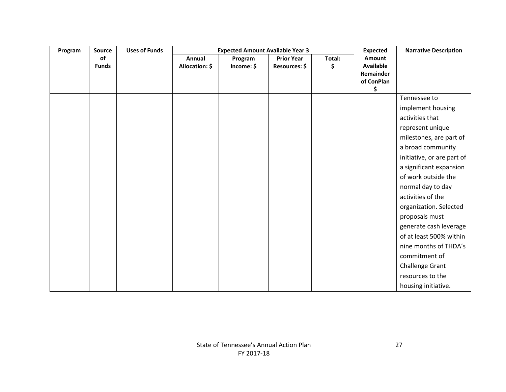| Program | Source       | <b>Uses of Funds</b> |                | <b>Expected Amount Available Year 3</b> |                   |        | <b>Expected</b>               | <b>Narrative Description</b> |
|---------|--------------|----------------------|----------------|-----------------------------------------|-------------------|--------|-------------------------------|------------------------------|
|         | of           |                      | Annual         | Program                                 | <b>Prior Year</b> | Total: | Amount                        |                              |
|         | <b>Funds</b> |                      | Allocation: \$ | Income: \$                              | Resources: \$     | \$     | <b>Available</b><br>Remainder |                              |
|         |              |                      |                |                                         |                   |        | of ConPlan                    |                              |
|         |              |                      |                |                                         |                   |        | \$                            |                              |
|         |              |                      |                |                                         |                   |        |                               | Tennessee to                 |
|         |              |                      |                |                                         |                   |        |                               | implement housing            |
|         |              |                      |                |                                         |                   |        |                               | activities that              |
|         |              |                      |                |                                         |                   |        |                               | represent unique             |
|         |              |                      |                |                                         |                   |        |                               | milestones, are part of      |
|         |              |                      |                |                                         |                   |        |                               | a broad community            |
|         |              |                      |                |                                         |                   |        |                               | initiative, or are part of   |
|         |              |                      |                |                                         |                   |        |                               | a significant expansion      |
|         |              |                      |                |                                         |                   |        |                               | of work outside the          |
|         |              |                      |                |                                         |                   |        |                               | normal day to day            |
|         |              |                      |                |                                         |                   |        |                               | activities of the            |
|         |              |                      |                |                                         |                   |        |                               | organization. Selected       |
|         |              |                      |                |                                         |                   |        |                               | proposals must               |
|         |              |                      |                |                                         |                   |        |                               | generate cash leverage       |
|         |              |                      |                |                                         |                   |        |                               | of at least 500% within      |
|         |              |                      |                |                                         |                   |        |                               | nine months of THDA's        |
|         |              |                      |                |                                         |                   |        |                               | commitment of                |
|         |              |                      |                |                                         |                   |        |                               | Challenge Grant              |
|         |              |                      |                |                                         |                   |        |                               | resources to the             |
|         |              |                      |                |                                         |                   |        |                               | housing initiative.          |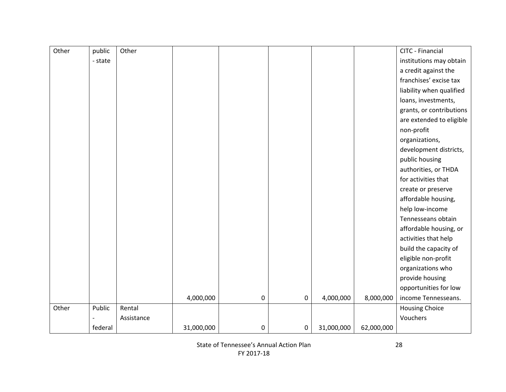| Other | public  | Other      |            |           |           |            |            | CITC - Financial         |
|-------|---------|------------|------------|-----------|-----------|------------|------------|--------------------------|
|       | - state |            |            |           |           |            |            | institutions may obtain  |
|       |         |            |            |           |           |            |            | a credit against the     |
|       |         |            |            |           |           |            |            | franchises' excise tax   |
|       |         |            |            |           |           |            |            | liability when qualified |
|       |         |            |            |           |           |            |            | loans, investments,      |
|       |         |            |            |           |           |            |            | grants, or contributions |
|       |         |            |            |           |           |            |            | are extended to eligible |
|       |         |            |            |           |           |            |            | non-profit               |
|       |         |            |            |           |           |            |            | organizations,           |
|       |         |            |            |           |           |            |            | development districts,   |
|       |         |            |            |           |           |            |            | public housing           |
|       |         |            |            |           |           |            |            | authorities, or THDA     |
|       |         |            |            |           |           |            |            | for activities that      |
|       |         |            |            |           |           |            |            | create or preserve       |
|       |         |            |            |           |           |            |            | affordable housing,      |
|       |         |            |            |           |           |            |            | help low-income          |
|       |         |            |            |           |           |            |            | Tennesseans obtain       |
|       |         |            |            |           |           |            |            | affordable housing, or   |
|       |         |            |            |           |           |            |            | activities that help     |
|       |         |            |            |           |           |            |            | build the capacity of    |
|       |         |            |            |           |           |            |            | eligible non-profit      |
|       |         |            |            |           |           |            |            | organizations who        |
|       |         |            |            |           |           |            |            | provide housing          |
|       |         |            |            |           |           |            |            | opportunities for low    |
|       |         |            | 4,000,000  | $\pmb{0}$ | 0         | 4,000,000  | 8,000,000  | income Tennesseans.      |
| Other | Public  | Rental     |            |           |           |            |            | <b>Housing Choice</b>    |
|       |         | Assistance |            |           |           |            |            | Vouchers                 |
|       | federal |            | 31,000,000 | 0         | $\pmb{0}$ | 31,000,000 | 62,000,000 |                          |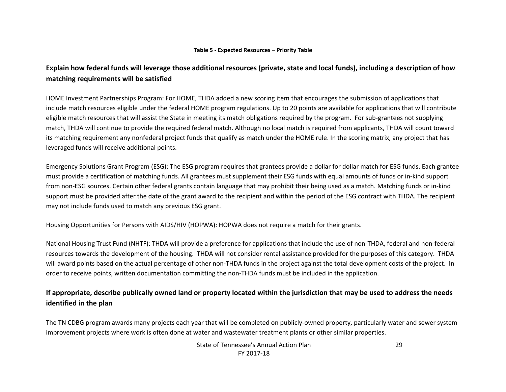#### **Table 5 ‐ Expected Resources – Priority Table**

#### Explain how federal funds will leverage those additional resources (private, state and local funds), including a description of how **matching requirements will be satisfied**

HOME Investment Partnerships Program: For HOME, THDA added <sup>a</sup> new scoring item that encourages the submission of applications that include match resources eligible under the federal HOME program regulations. Up to 20 points are available for applications that will contribute eligible match resources that will assist the State in meeting its match obligations required by the program. For sub-grantees not supplying match, THDA will continue to provide the required federal match. Although no local match is required from applicants, THDA will count toward its matching requirement any nonfederal project funds that qualify as match under the HOME rule. In the scoring matrix, any project that has leveraged funds will receive additional points.

Emergency Solutions Grant Program (ESG): The ESG program requires that grantees provide <sup>a</sup> dollar for dollar match for ESG funds. Each grantee must provide <sup>a</sup> certification of matching funds. All grantees must supplement their ESG funds with equal amounts of funds or in‐kind support from non‐ESG sources. Certain other federal grants contain language that may prohibit their being used as <sup>a</sup> match. Matching funds or in‐kind support must be provided after the date of the grant award to the recipient and within the period of the ESG contract with THDA. The recipient may not include funds used to match any previous ESG grant.

Housing Opportunities for Persons with AIDS/HIV (HOPWA): HOPWA does not require <sup>a</sup> match for their grants.

National Housing Trust Fund (NHTF): THDA will provide a preference for applications that include the use of non-THDA, federal and non-federal resources towards the development of the housing. THDA will not consider rental assistance provided for the purposes of this category. THDA will award points based on the actual percentage of other non‐THDA funds in the project against the total development costs of the project. In order to receive points, written documentation committing the non‐THDA funds must be included in the application.

#### If appropriate, describe publically owned land or property located within the jurisdiction that may be used to address the needs **identified in the plan**

The TN CDBG program awards many projects each year that will be completed on publicly‐owned property, particularly water and sewer system improvement projects where work is often done at water and wastewater treatment plants or other similar properties.

> State of Tennessee's Annual Action Plan FY 2017‐18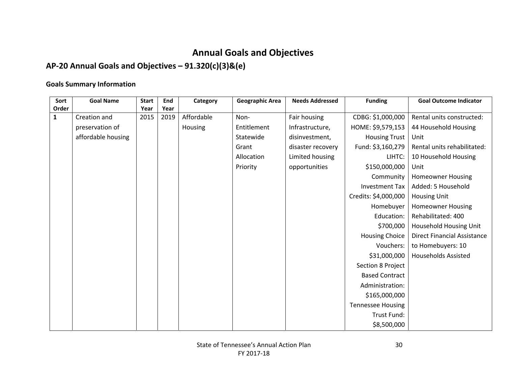# **Annual Goals and Objectives**

# **AP‐20 Annual Goals and Objectives – 91.320(c)(3)&(e)**

#### **Goals Summary Information**

| Sort         | <b>Goal Name</b>   | <b>Start</b> | End  | Category   | <b>Geographic Area</b> | <b>Needs Addressed</b> | <b>Funding</b>           | <b>Goal Outcome Indicator</b>      |
|--------------|--------------------|--------------|------|------------|------------------------|------------------------|--------------------------|------------------------------------|
| Order        |                    | Year         | Year |            |                        |                        |                          |                                    |
| $\mathbf{1}$ | Creation and       | 2015         | 2019 | Affordable | Non-                   | Fair housing           | CDBG: \$1,000,000        | Rental units constructed:          |
|              | preservation of    |              |      | Housing    | Entitlement            | Infrastructure,        | HOME: \$9,579,153        | 44 Household Housing               |
|              | affordable housing |              |      |            | Statewide              | disinvestment,         | <b>Housing Trust</b>     | Unit                               |
|              |                    |              |      |            | Grant                  | disaster recovery      | Fund: \$3,160,279        | Rental units rehabilitated:        |
|              |                    |              |      |            | Allocation             | Limited housing        | LIHTC:                   | 10 Household Housing               |
|              |                    |              |      |            | Priority               | opportunities          | \$150,000,000            | Unit                               |
|              |                    |              |      |            |                        |                        | Community                | <b>Homeowner Housing</b>           |
|              |                    |              |      |            |                        |                        | <b>Investment Tax</b>    | Added: 5 Household                 |
|              |                    |              |      |            |                        |                        | Credits: \$4,000,000     | <b>Housing Unit</b>                |
|              |                    |              |      |            |                        |                        | Homebuyer                | <b>Homeowner Housing</b>           |
|              |                    |              |      |            |                        |                        | Education:               | Rehabilitated: 400                 |
|              |                    |              |      |            |                        |                        | \$700,000                | Household Housing Unit             |
|              |                    |              |      |            |                        |                        | <b>Housing Choice</b>    | <b>Direct Financial Assistance</b> |
|              |                    |              |      |            |                        |                        | Vouchers:                | to Homebuyers: 10                  |
|              |                    |              |      |            |                        |                        | \$31,000,000             | <b>Households Assisted</b>         |
|              |                    |              |      |            |                        |                        | Section 8 Project        |                                    |
|              |                    |              |      |            |                        |                        | <b>Based Contract</b>    |                                    |
|              |                    |              |      |            |                        |                        | Administration:          |                                    |
|              |                    |              |      |            |                        |                        | \$165,000,000            |                                    |
|              |                    |              |      |            |                        |                        | <b>Tennessee Housing</b> |                                    |
|              |                    |              |      |            |                        |                        | <b>Trust Fund:</b>       |                                    |
|              |                    |              |      |            |                        |                        | \$8,500,000              |                                    |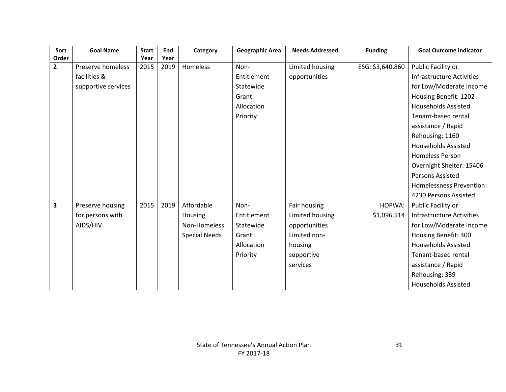| Sort                    | <b>Goal Name</b>    | <b>Start</b> | End  | Category             | <b>Geographic Area</b> | <b>Needs Addressed</b> | <b>Funding</b>   | <b>Goal Outcome Indicator</b>   |
|-------------------------|---------------------|--------------|------|----------------------|------------------------|------------------------|------------------|---------------------------------|
| Order                   |                     | Year         | Year |                      |                        |                        |                  |                                 |
| $\mathbf{2}$            | Preserve homeless   | 2015         | 2019 | Homeless             | Non-                   | Limited housing        | ESG: \$3,640,860 | Public Facility or              |
|                         | facilities &        |              |      |                      | Entitlement            | opportunities          |                  | Infrastructure Activities       |
|                         | supportive services |              |      |                      | Statewide              |                        |                  | for Low/Moderate Income         |
|                         |                     |              |      |                      | Grant                  |                        |                  | Housing Benefit: 1202           |
|                         |                     |              |      |                      | Allocation             |                        |                  | <b>Households Assisted</b>      |
|                         |                     |              |      |                      | Priority               |                        |                  | Tenant-based rental             |
|                         |                     |              |      |                      |                        |                        |                  | assistance / Rapid              |
|                         |                     |              |      |                      |                        |                        |                  | Rehousing: 1160                 |
|                         |                     |              |      |                      |                        |                        |                  | <b>Households Assisted</b>      |
|                         |                     |              |      |                      |                        |                        |                  | <b>Homeless Person</b>          |
|                         |                     |              |      |                      |                        |                        |                  | Overnight Shelter: 15406        |
|                         |                     |              |      |                      |                        |                        |                  | Persons Assisted                |
|                         |                     |              |      |                      |                        |                        |                  | <b>Homelessness Prevention:</b> |
|                         |                     |              |      |                      |                        |                        |                  | 4230 Persons Assisted           |
| $\overline{\mathbf{3}}$ | Preserve housing    | 2015         | 2019 | Affordable           | Non-                   | Fair housing           | HOPWA:           | Public Facility or              |
|                         | for persons with    |              |      | Housing              | Entitlement            | Limited housing        | \$1,096,514      | Infrastructure Activities       |
|                         | AIDS/HIV            |              |      | Non-Homeless         | Statewide              | opportunities          |                  | for Low/Moderate Income         |
|                         |                     |              |      | <b>Special Needs</b> | Grant                  | Limited non-           |                  | Housing Benefit: 300            |
|                         |                     |              |      |                      | Allocation             | housing                |                  | <b>Households Assisted</b>      |
|                         |                     |              |      |                      | Priority               | supportive             |                  | Tenant-based rental             |
|                         |                     |              |      |                      |                        | services               |                  | assistance / Rapid              |
|                         |                     |              |      |                      |                        |                        |                  | Rehousing: 339                  |
|                         |                     |              |      |                      |                        |                        |                  | <b>Households Assisted</b>      |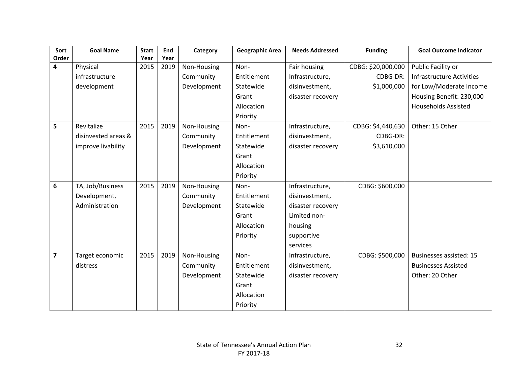| Sort                    | <b>Goal Name</b>    | <b>Start</b> | End  | Category    | <b>Geographic Area</b> | <b>Needs Addressed</b> | <b>Funding</b>     | <b>Goal Outcome Indicator</b> |
|-------------------------|---------------------|--------------|------|-------------|------------------------|------------------------|--------------------|-------------------------------|
| Order                   |                     | Year         | Year |             |                        |                        |                    |                               |
| 4                       | Physical            | 2015         | 2019 | Non-Housing | Non-                   | Fair housing           | CDBG: \$20,000,000 | Public Facility or            |
|                         | infrastructure      |              |      | Community   | Entitlement            | Infrastructure,        | CDBG-DR:           | Infrastructure Activities     |
|                         | development         |              |      | Development | Statewide              | disinvestment,         | \$1,000,000        | for Low/Moderate Income       |
|                         |                     |              |      |             | Grant                  | disaster recovery      |                    | Housing Benefit: 230,000      |
|                         |                     |              |      |             | Allocation             |                        |                    | <b>Households Assisted</b>    |
|                         |                     |              |      |             | Priority               |                        |                    |                               |
| 5                       | Revitalize          | 2015         | 2019 | Non-Housing | Non-                   | Infrastructure,        | CDBG: \$4,440,630  | Other: 15 Other               |
|                         | disinvested areas & |              |      | Community   | Entitlement            | disinvestment,         | CDBG-DR:           |                               |
|                         | improve livability  |              |      | Development | Statewide              | disaster recovery      | \$3,610,000        |                               |
|                         |                     |              |      |             | Grant                  |                        |                    |                               |
|                         |                     |              |      |             | Allocation             |                        |                    |                               |
|                         |                     |              |      |             | Priority               |                        |                    |                               |
| 6                       | TA, Job/Business    | 2015         | 2019 | Non-Housing | Non-                   | Infrastructure,        | CDBG: \$600,000    |                               |
|                         | Development,        |              |      | Community   | Entitlement            | disinvestment,         |                    |                               |
|                         | Administration      |              |      | Development | Statewide              | disaster recovery      |                    |                               |
|                         |                     |              |      |             | Grant                  | Limited non-           |                    |                               |
|                         |                     |              |      |             | Allocation             | housing                |                    |                               |
|                         |                     |              |      |             | Priority               | supportive             |                    |                               |
|                         |                     |              |      |             |                        | services               |                    |                               |
| $\overline{\mathbf{z}}$ | Target economic     | 2015         | 2019 | Non-Housing | Non-                   | Infrastructure,        | CDBG: \$500,000    | Businesses assisted: 15       |
|                         | distress            |              |      | Community   | Entitlement            | disinvestment,         |                    | <b>Businesses Assisted</b>    |
|                         |                     |              |      | Development | Statewide              | disaster recovery      |                    | Other: 20 Other               |
|                         |                     |              |      |             | Grant                  |                        |                    |                               |
|                         |                     |              |      |             | Allocation             |                        |                    |                               |
|                         |                     |              |      |             | Priority               |                        |                    |                               |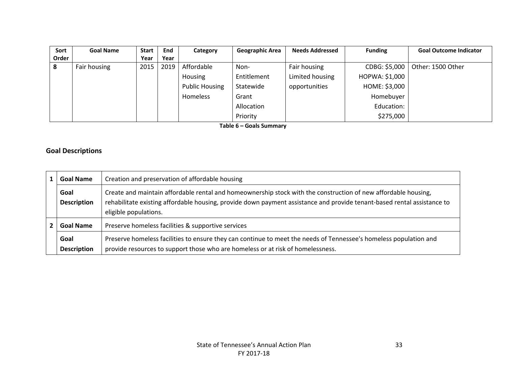| Sort  | <b>Goal Name</b> | <b>Start</b> | End  | Category              | <b>Geographic Area</b> | <b>Needs Addressed</b> | <b>Funding</b> | <b>Goal Outcome Indicator</b> |
|-------|------------------|--------------|------|-----------------------|------------------------|------------------------|----------------|-------------------------------|
| Order |                  | Year         | Year |                       |                        |                        |                |                               |
| 8     | Fair housing     | 2015         | 2019 | Affordable            | Non-                   | Fair housing           | CDBG: \$5,000  | Other: 1500 Other             |
|       |                  |              |      | <b>Housing</b>        | Entitlement            | Limited housing        | HOPWA: \$1,000 |                               |
|       |                  |              |      | <b>Public Housing</b> | Statewide              | opportunities          | HOME: \$3,000  |                               |
|       |                  |              |      | <b>Homeless</b>       | Grant                  |                        | Homebuyer      |                               |
|       |                  |              |      |                       | Allocation             |                        | Education:     |                               |
|       |                  |              |      |                       | Priority               |                        | \$275,000      |                               |

**Table 6 – Goals Summary**

#### **Goal Descriptions**

|                                                                        | <b>Goal Name</b>           | Creation and preservation of affordable housing                                                                                                                                                                                                                    |  |  |  |  |
|------------------------------------------------------------------------|----------------------------|--------------------------------------------------------------------------------------------------------------------------------------------------------------------------------------------------------------------------------------------------------------------|--|--|--|--|
|                                                                        | Goal<br><b>Description</b> | Create and maintain affordable rental and homeownership stock with the construction of new affordable housing,<br>rehabilitate existing affordable housing, provide down payment assistance and provide tenant-based rental assistance to<br>eligible populations. |  |  |  |  |
| Preserve homeless facilities & supportive services<br><b>Goal Name</b> |                            |                                                                                                                                                                                                                                                                    |  |  |  |  |
|                                                                        | Goal<br><b>Description</b> | Preserve homeless facilities to ensure they can continue to meet the needs of Tennessee's homeless population and<br>provide resources to support those who are homeless or at risk of homelessness.                                                               |  |  |  |  |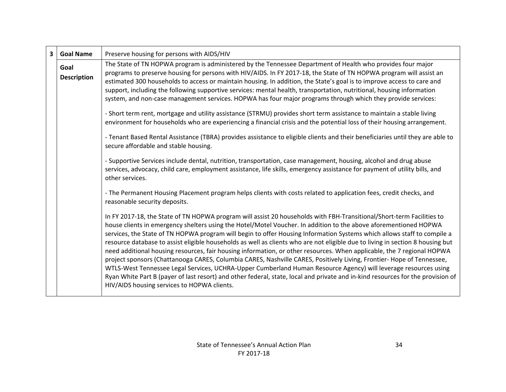| $\overline{\mathbf{3}}$ | <b>Goal Name</b>           | Preserve housing for persons with AIDS/HIV                                                                                                                                                                                                                                                                                                                                                                                                                                                                                                                                                                                                                                                                                                                                                                                                                                                                                                                                                                                                                     |
|-------------------------|----------------------------|----------------------------------------------------------------------------------------------------------------------------------------------------------------------------------------------------------------------------------------------------------------------------------------------------------------------------------------------------------------------------------------------------------------------------------------------------------------------------------------------------------------------------------------------------------------------------------------------------------------------------------------------------------------------------------------------------------------------------------------------------------------------------------------------------------------------------------------------------------------------------------------------------------------------------------------------------------------------------------------------------------------------------------------------------------------|
|                         | Goal<br><b>Description</b> | The State of TN HOPWA program is administered by the Tennessee Department of Health who provides four major<br>programs to preserve housing for persons with HIV/AIDS. In FY 2017-18, the State of TN HOPWA program will assist an<br>estimated 300 households to access or maintain housing. In addition, the State's goal is to improve access to care and<br>support, including the following supportive services: mental health, transportation, nutritional, housing information<br>system, and non-case management services. HOPWA has four major programs through which they provide services:<br>- Short term rent, mortgage and utility assistance (STRMU) provides short term assistance to maintain a stable living                                                                                                                                                                                                                                                                                                                                 |
|                         |                            | environment for households who are experiencing a financial crisis and the potential loss of their housing arrangement.<br>- Tenant Based Rental Assistance (TBRA) provides assistance to eligible clients and their beneficiaries until they are able to<br>secure affordable and stable housing.                                                                                                                                                                                                                                                                                                                                                                                                                                                                                                                                                                                                                                                                                                                                                             |
|                         |                            | - Supportive Services include dental, nutrition, transportation, case management, housing, alcohol and drug abuse<br>services, advocacy, child care, employment assistance, life skills, emergency assistance for payment of utility bills, and<br>other services.                                                                                                                                                                                                                                                                                                                                                                                                                                                                                                                                                                                                                                                                                                                                                                                             |
|                         |                            | - The Permanent Housing Placement program helps clients with costs related to application fees, credit checks, and<br>reasonable security deposits.                                                                                                                                                                                                                                                                                                                                                                                                                                                                                                                                                                                                                                                                                                                                                                                                                                                                                                            |
|                         |                            | In FY 2017-18, the State of TN HOPWA program will assist 20 households with FBH-Transitional/Short-term Facilities to<br>house clients in emergency shelters using the Hotel/Motel Voucher. In addition to the above aforementioned HOPWA<br>services, the State of TN HOPWA program will begin to offer Housing Information Systems which allows staff to compile a<br>resource database to assist eligible households as well as clients who are not eligible due to living in section 8 housing but<br>need additional housing resources, fair housing information, or other resources. When applicable, the 7 regional HOPWA<br>project sponsors (Chattanooga CARES, Columbia CARES, Nashville CARES, Positively Living, Frontier- Hope of Tennessee,<br>WTLS-West Tennessee Legal Services, UCHRA-Upper Cumberland Human Resource Agency) will leverage resources using<br>Ryan White Part B (payer of last resort) and other federal, state, local and private and in-kind resources for the provision of<br>HIV/AIDS housing services to HOPWA clients. |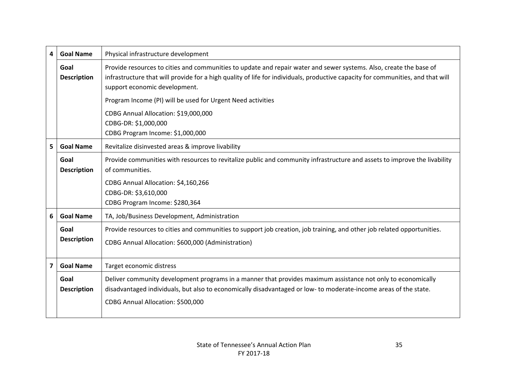| 4              | <b>Goal Name</b>           | Physical infrastructure development                                                                                                                                                                                                                                                    |  |  |  |  |  |
|----------------|----------------------------|----------------------------------------------------------------------------------------------------------------------------------------------------------------------------------------------------------------------------------------------------------------------------------------|--|--|--|--|--|
|                | Goal<br><b>Description</b> | Provide resources to cities and communities to update and repair water and sewer systems. Also, create the base of<br>infrastructure that will provide for a high quality of life for individuals, productive capacity for communities, and that will<br>support economic development. |  |  |  |  |  |
|                |                            | Program Income (PI) will be used for Urgent Need activities                                                                                                                                                                                                                            |  |  |  |  |  |
|                |                            | CDBG Annual Allocation: \$19,000,000<br>CDBG-DR: \$1,000,000<br>CDBG Program Income: \$1,000,000                                                                                                                                                                                       |  |  |  |  |  |
| 5 <sup>1</sup> | <b>Goal Name</b>           | Revitalize disinvested areas & improve livability                                                                                                                                                                                                                                      |  |  |  |  |  |
|                | Goal<br><b>Description</b> | Provide communities with resources to revitalize public and community infrastructure and assets to improve the livability<br>of communities.<br>CDBG Annual Allocation: \$4,160,266                                                                                                    |  |  |  |  |  |
|                |                            | CDBG-DR: \$3,610,000<br>CDBG Program Income: \$280,364                                                                                                                                                                                                                                 |  |  |  |  |  |
| 6              | <b>Goal Name</b>           | TA, Job/Business Development, Administration                                                                                                                                                                                                                                           |  |  |  |  |  |
|                | Goal<br><b>Description</b> | Provide resources to cities and communities to support job creation, job training, and other job related opportunities.<br>CDBG Annual Allocation: \$600,000 (Administration)                                                                                                          |  |  |  |  |  |
| $\overline{7}$ | <b>Goal Name</b>           | Target economic distress                                                                                                                                                                                                                                                               |  |  |  |  |  |
|                | Goal<br><b>Description</b> | Deliver community development programs in a manner that provides maximum assistance not only to economically<br>disadvantaged individuals, but also to economically disadvantaged or low-to moderate-income areas of the state.<br>CDBG Annual Allocation: \$500,000                   |  |  |  |  |  |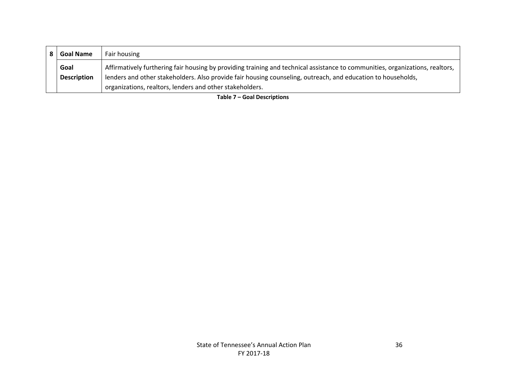| <b>Goal Name</b>   | Fair housing                                                                                                                  |
|--------------------|-------------------------------------------------------------------------------------------------------------------------------|
| Goal               | Affirmatively furthering fair housing by providing training and technical assistance to communities, organizations, realtors, |
| <b>Description</b> | lenders and other stakeholders. Also provide fair housing counseling, outreach, and education to households,                  |
|                    | organizations, realtors, lenders and other stakeholders.                                                                      |

**Table 7 – Goal Descriptions**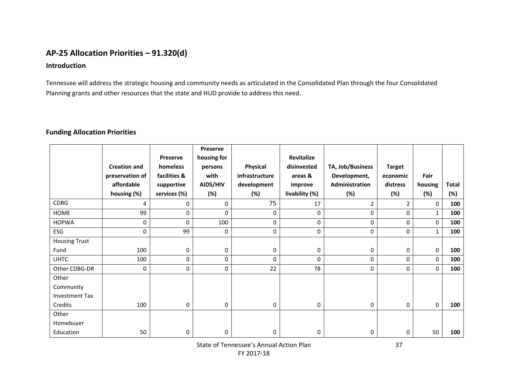# **AP‐25 Allocation Priorities – 91.320(d)**

#### **Introduction**

Tennessee will address the strategic housing and community needs as articulated in the Consolidated Plan through the four Consolidated Planning grants and other resources that the state and HUD provide to address this need.

### **Funding Allocation Priorities**

|                       |                     |              | Preserve    |                |                |                  |                |              |       |
|-----------------------|---------------------|--------------|-------------|----------------|----------------|------------------|----------------|--------------|-------|
|                       |                     | Preserve     | housing for |                | Revitalize     |                  |                |              |       |
|                       | <b>Creation and</b> | homeless     | persons     | Physical       | disinvested    | TA, Job/Business | <b>Target</b>  |              |       |
|                       | preservation of     | facilities & | with        | infrastructure | areas &        | Development,     | economic       | Fair         |       |
|                       | affordable          | supportive   | AIDS/HIV    | development    | improve        | Administration   | distress       | housing      | Total |
|                       | housing (%)         | services (%) | (%)         | (%)            | livability (%) | (%)              | $(\%)$         | (%)          | (%)   |
| <b>CDBG</b>           | 4                   | 0            | 0           | 75             | 17             | $\overline{2}$   | $\overline{2}$ | $\Omega$     | 100   |
| <b>HOME</b>           | 99                  | 0            | 0           | $\Omega$       | $\Omega$       | 0                | $\Omega$       | $\mathbf{1}$ | 100   |
| <b>HOPWA</b>          | $\mathbf 0$         | 0            | 100         | $\mathbf 0$    | $\mathbf 0$    | $\pmb{0}$        | $\Omega$       | 0            | 100   |
| ESG                   | $\Omega$            | 99           | 0           | $\mathbf 0$    | $\mathbf 0$    | $\mathbf 0$      | $\Omega$       | $\mathbf{1}$ | 100   |
| <b>Housing Trust</b>  |                     |              |             |                |                |                  |                |              |       |
| Fund                  | 100                 | 0            | 0           | $\mathbf 0$    | 0              | 0                | $\Omega$       | 0            | 100   |
| <b>LIHTC</b>          | 100                 | 0            | 0           | $\Omega$       | $\Omega$       | 0                | $\Omega$       | $\mathbf 0$  | 100   |
| Other CDBG-DR         | 0                   | 0            | 0           | 22             | 78             | $\mathbf 0$      | $\Omega$       | 0            | 100   |
| Other                 |                     |              |             |                |                |                  |                |              |       |
| Community             |                     |              |             |                |                |                  |                |              |       |
| <b>Investment Tax</b> |                     |              |             |                |                |                  |                |              |       |
| Credits               | 100                 | 0            | 0           | 0              | 0              | 0                | $\Omega$       | $\mathbf 0$  | 100   |
| Other                 |                     |              |             |                |                |                  |                |              |       |
| Homebuyer             |                     |              |             |                |                |                  |                |              |       |
| Education             | 50                  | 0            | 0           | 0              | 0              | 0                | $\Omega$       | 50           | 100   |

State of Tennessee's Annual Action Plan

FY 2017‐18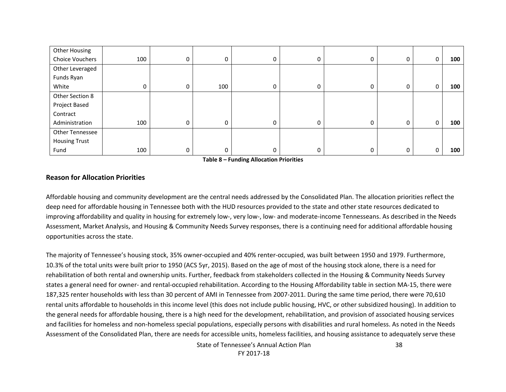| 100 | 0 | 0   | 0 | 0 | 0 | 0 | 0 | 100 |
|-----|---|-----|---|---|---|---|---|-----|
|     |   |     |   |   |   |   |   |     |
|     |   |     |   |   |   |   |   |     |
| 0   | 0 | 100 | 0 | 0 | 0 | 0 | 0 | 100 |
|     |   |     |   |   |   |   |   |     |
|     |   |     |   |   |   |   |   |     |
|     |   |     |   |   |   |   |   |     |
| 100 | 0 | 0   | 0 | 0 | 0 | 0 | 0 | 100 |
|     |   |     |   |   |   |   |   |     |
|     |   |     |   |   |   |   |   |     |
| 100 | 0 | 0   | 0 | 0 | 0 | 0 | 0 | 100 |
|     |   |     |   |   |   |   |   |     |

**Table 8 – Funding Allocation Priorities**

#### **Reason for Allocation Priorities**

Affordable housing and community development are the central needs addressed by the Consolidated Plan. The allocation priorities reflect the deep need for affordable housing in Tennessee both with the HUD resources provided to the state and other state resources dedicated to improving affordability and quality in housing for extremely low‐, very low‐, low‐ and moderate‐income Tennesseans. As described in the Needs Assessment, Market Analysis, and Housing & Community Needs Survey responses, there is <sup>a</sup> continuing need for additional affordable housing opportunities across the state.

The majority of Tennessee's housing stock, 35% owner‐occupied and 40% renter‐occupied, was built between 1950 and 1979. Furthermore, 10.3% of the total units were built prior to 1950 (ACS 5yr, 2015). Based on the age of most of the housing stock alone, there is <sup>a</sup> need for rehabilitation of both rental and ownership units. Further, feedback from stakeholders collected in the Housing & Community Needs Survey states a general need for owner‐ and rental‐occupied rehabilitation. According to the Housing Affordability table in section MA‐15, there were 187,325 renter households with less than 30 percent of AMI in Tennessee from 2007‐2011. During the same time period, there were 70,610 rental units affordable to households in this income level (this does not include public housing, HVC, or other subsidized housing). In addition to the general needs for affordable housing, there is <sup>a</sup> high need for the development, rehabilitation, and provision of associated housing services and facilities for homeless and non‐homeless special populations, especially persons with disabilities and rural homeless. As noted in the Needs Assessment of the Consolidated Plan, there are needs for accessible units, homeless facilities, and housing assistance to adequately serve these

State of Tennessee's Annual Action Plan

38

FY 2017‐18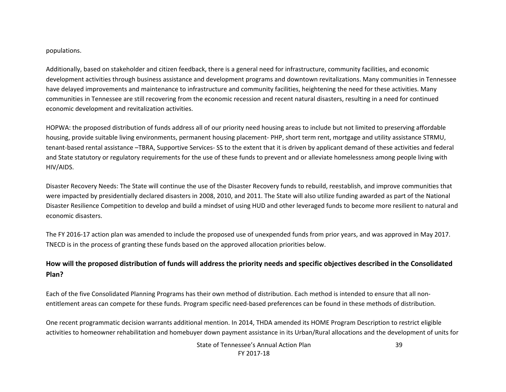#### populations.

Additionally, based on stakeholder and citizen feedback, there is <sup>a</sup> general need for infrastructure, community facilities, and economic development activities through business assistance and development programs and downtown revitalizations. Many communities in Tennessee have delayed improvements and maintenance to infrastructure and community facilities, heightening the need for these activities. Many communities in Tennessee are still recovering from the economic recession and recent natural disasters, resulting in <sup>a</sup> need for continued economic development and revitalization activities.

HOPWA: the proposed distribution of funds address all of our priority need housing areas to include but not limited to preserving affordable housing, provide suitable living environments, permanent housing placement‐ PHP, short term rent, mortgage and utility assistance STRMU, tenant‐based rental assistance –TBRA, Supportive Services‐ SS to the extent that it is driven by applicant demand of these activities and federal and State statutory or regulatory requirements for the use of these funds to prevent and or alleviate homelessness among people living with HIV/AIDS.

Disaster Recovery Needs: The State will continue the use of the Disaster Recovery funds to rebuild, reestablish, and improve communities that were impacted by presidentially declared disasters in 2008, 2010, and 2011. The State will also utilize funding awarded as part of the National Disaster Resilience Competition to develop and build <sup>a</sup> mindset of using HUD and other leveraged funds to become more resilient to natural and economic disasters.

The FY 2016‐17 action plan was amended to include the proposed use of unexpended funds from prior years, and was approved in May 2017. TNECD is in the process of granting these funds based on the approved allocation priorities below.

# How will the proposed distribution of funds will address the priority needs and specific objectives described in the Consolidated **Plan?**

Each of the five Consolidated Planning Programs has their own method of distribution. Each method is intended to ensure that all non‐ entitlement areas can compete for these funds. Program specific need‐based preferences can be found in these methods of distribution.

One recent programmatic decision warrants additional mention. In 2014, THDA amended its HOME Program Description to restrict eligible activities to homeowner rehabilitation and homebuyer down payment assistance in its Urban/Rural allocations and the development of units for

> State of Tennessee's Annual Action Plan FY 2017‐18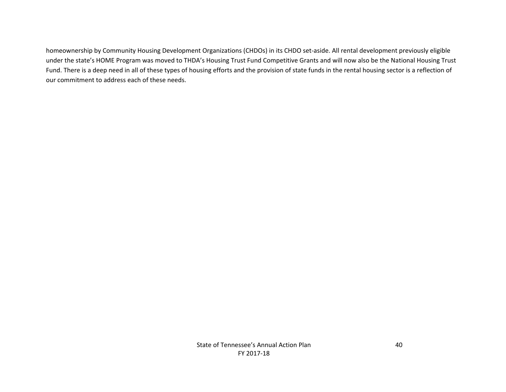homeownership by Community Housing Development Organizations (CHDOs) in its CHDO set‐aside. All rental development previously eligible under the state's HOME Program was moved to THDA's Housing Trust Fund Competitive Grants and will now also be the National Housing Trust Fund. There is <sup>a</sup> deep need in all of these types of housing efforts and the provision of state funds in the rental housing sector is <sup>a</sup> reflection of our commitment to address each of these needs.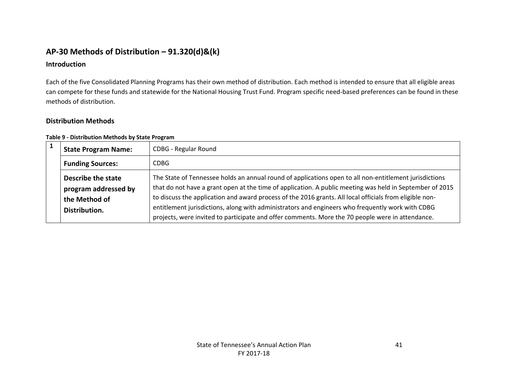# **AP‐30 Methods of Distribution – 91.320(d)&(k)**

## **Introduction**

Each of the five Consolidated Planning Programs has their own method of distribution. Each method is intended to ensure that all eligible areas can compete for these funds and statewide for the National Housing Trust Fund. Program specific need‐based preferences can be found in these methods of distribution.

# **Distribution Methods**

#### **Table 9 ‐ Distribution Methods by State Program**

| <b>State Program Name:</b> | <b>CDBG - Regular Round</b>                                                                              |
|----------------------------|----------------------------------------------------------------------------------------------------------|
| <b>Funding Sources:</b>    | <b>CDBG</b>                                                                                              |
| Describe the state         | The State of Tennessee holds an annual round of applications open to all non-entitlement jurisdictions   |
| program addressed by       | that do not have a grant open at the time of application. A public meeting was held in September of 2015 |
| the Method of              | to discuss the application and award process of the 2016 grants. All local officials from eligible non-  |
| Distribution.              | entitlement jurisdictions, along with administrators and engineers who frequently work with CDBG         |
|                            | projects, were invited to participate and offer comments. More the 70 people were in attendance.         |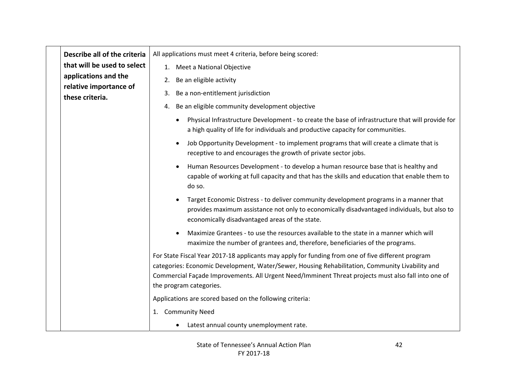|  | Describe all of the criteria              | All applications must meet 4 criteria, before being scored:                                                                                                                                                                                                                                                                            |
|--|-------------------------------------------|----------------------------------------------------------------------------------------------------------------------------------------------------------------------------------------------------------------------------------------------------------------------------------------------------------------------------------------|
|  | that will be used to select               | 1. Meet a National Objective                                                                                                                                                                                                                                                                                                           |
|  | applications and the                      | Be an eligible activity<br>2.                                                                                                                                                                                                                                                                                                          |
|  | relative importance of<br>these criteria. | Be a non-entitlement jurisdiction<br>3.                                                                                                                                                                                                                                                                                                |
|  |                                           | Be an eligible community development objective<br>4.                                                                                                                                                                                                                                                                                   |
|  |                                           | Physical Infrastructure Development - to create the base of infrastructure that will provide for<br>a high quality of life for individuals and productive capacity for communities.                                                                                                                                                    |
|  |                                           | Job Opportunity Development - to implement programs that will create a climate that is<br>receptive to and encourages the growth of private sector jobs.                                                                                                                                                                               |
|  |                                           | Human Resources Development - to develop a human resource base that is healthy and<br>capable of working at full capacity and that has the skills and education that enable them to<br>do so.                                                                                                                                          |
|  |                                           | Target Economic Distress - to deliver community development programs in a manner that<br>provides maximum assistance not only to economically disadvantaged individuals, but also to<br>economically disadvantaged areas of the state.                                                                                                 |
|  |                                           | Maximize Grantees - to use the resources available to the state in a manner which will<br>maximize the number of grantees and, therefore, beneficiaries of the programs.                                                                                                                                                               |
|  |                                           | For State Fiscal Year 2017-18 applicants may apply for funding from one of five different program<br>categories: Economic Development, Water/Sewer, Housing Rehabilitation, Community Livability and<br>Commercial Façade Improvements. All Urgent Need/Imminent Threat projects must also fall into one of<br>the program categories. |
|  |                                           | Applications are scored based on the following criteria:                                                                                                                                                                                                                                                                               |
|  |                                           | 1. Community Need                                                                                                                                                                                                                                                                                                                      |
|  |                                           | Latest annual county unemployment rate.                                                                                                                                                                                                                                                                                                |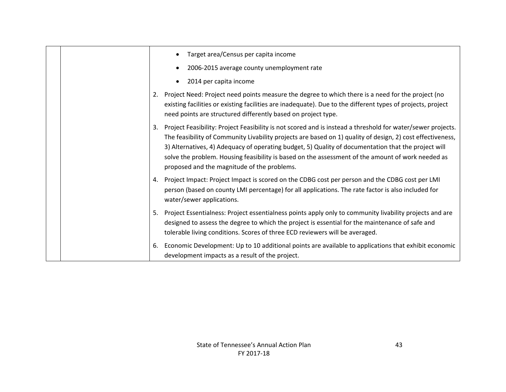|  | Target area/Census per capita income                                                                                                                                                                                                                                                                                                                                                                                                                                                       |
|--|--------------------------------------------------------------------------------------------------------------------------------------------------------------------------------------------------------------------------------------------------------------------------------------------------------------------------------------------------------------------------------------------------------------------------------------------------------------------------------------------|
|  | 2006-2015 average county unemployment rate<br>$\bullet$                                                                                                                                                                                                                                                                                                                                                                                                                                    |
|  | 2014 per capita income<br>$\bullet$                                                                                                                                                                                                                                                                                                                                                                                                                                                        |
|  | 2. Project Need: Project need points measure the degree to which there is a need for the project (no<br>existing facilities or existing facilities are inadequate). Due to the different types of projects, project<br>need points are structured differently based on project type.                                                                                                                                                                                                       |
|  | Project Feasibility: Project Feasibility is not scored and is instead a threshold for water/sewer projects.<br>3.<br>The feasibility of Community Livability projects are based on 1) quality of design, 2) cost effectiveness,<br>3) Alternatives, 4) Adequacy of operating budget, 5) Quality of documentation that the project will<br>solve the problem. Housing feasibility is based on the assessment of the amount of work needed as<br>proposed and the magnitude of the problems. |
|  | Project Impact: Project Impact is scored on the CDBG cost per person and the CDBG cost per LMI<br>4.<br>person (based on county LMI percentage) for all applications. The rate factor is also included for<br>water/sewer applications.                                                                                                                                                                                                                                                    |
|  | Project Essentialness: Project essentialness points apply only to community livability projects and are<br>5.<br>designed to assess the degree to which the project is essential for the maintenance of safe and<br>tolerable living conditions. Scores of three ECD reviewers will be averaged.                                                                                                                                                                                           |
|  | Economic Development: Up to 10 additional points are available to applications that exhibit economic<br>6.<br>development impacts as a result of the project.                                                                                                                                                                                                                                                                                                                              |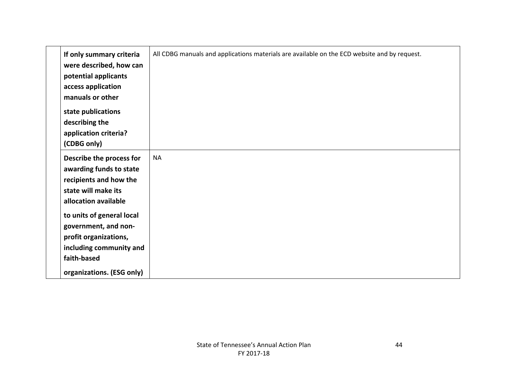| If only summary criteria<br>were described, how can<br>potential applicants<br>access application<br>manuals or other<br>state publications<br>describing the<br>application criteria?<br>(CDBG only)                                                                             | All CDBG manuals and applications materials are available on the ECD website and by request. |
|-----------------------------------------------------------------------------------------------------------------------------------------------------------------------------------------------------------------------------------------------------------------------------------|----------------------------------------------------------------------------------------------|
| Describe the process for<br>awarding funds to state<br>recipients and how the<br>state will make its<br>allocation available<br>to units of general local<br>government, and non-<br>profit organizations,<br>including community and<br>faith-based<br>organizations. (ESG only) | <b>NA</b>                                                                                    |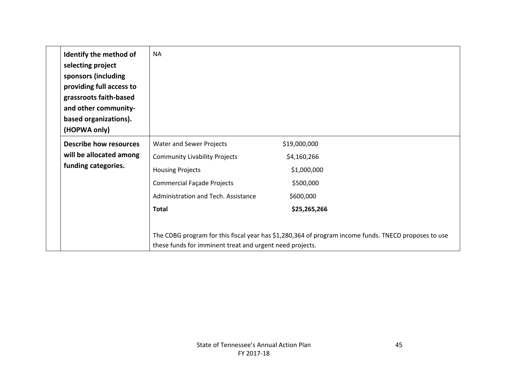|  | Identify the method of<br>selecting project<br>sponsors (including<br>providing full access to<br>grassroots faith-based<br>and other community-<br>based organizations).<br>(HOPWA only) | <b>NA</b>                                                |                                                                                                      |
|--|-------------------------------------------------------------------------------------------------------------------------------------------------------------------------------------------|----------------------------------------------------------|------------------------------------------------------------------------------------------------------|
|  | <b>Describe how resources</b>                                                                                                                                                             | Water and Sewer Projects                                 | \$19,000,000                                                                                         |
|  | will be allocated among<br>funding categories.                                                                                                                                            | <b>Community Livability Projects</b>                     | \$4,160,266                                                                                          |
|  |                                                                                                                                                                                           | <b>Housing Projects</b>                                  | \$1,000,000                                                                                          |
|  |                                                                                                                                                                                           | <b>Commercial Façade Projects</b>                        | \$500,000                                                                                            |
|  |                                                                                                                                                                                           | Administration and Tech. Assistance                      | \$600,000                                                                                            |
|  |                                                                                                                                                                                           | <b>Total</b>                                             | \$25,265,266                                                                                         |
|  |                                                                                                                                                                                           | these funds for imminent treat and urgent need projects. | The CDBG program for this fiscal year has \$1,280,364 of program income funds. TNECD proposes to use |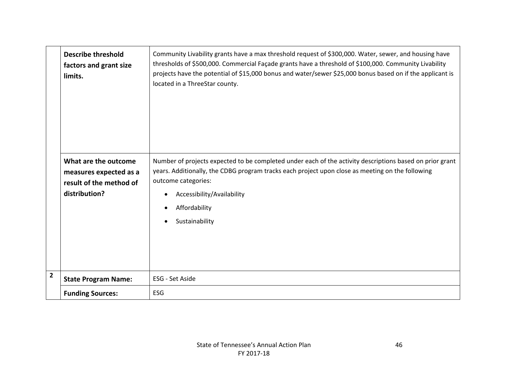|                         | <b>Describe threshold</b><br>factors and grant size<br>limits.                             | Community Livability grants have a max threshold request of \$300,000. Water, sewer, and housing have<br>thresholds of \$500,000. Commercial Façade grants have a threshold of \$100,000. Community Livability<br>projects have the potential of \$15,000 bonus and water/sewer \$25,000 bonus based on if the applicant is<br>located in a ThreeStar county. |
|-------------------------|--------------------------------------------------------------------------------------------|---------------------------------------------------------------------------------------------------------------------------------------------------------------------------------------------------------------------------------------------------------------------------------------------------------------------------------------------------------------|
|                         | What are the outcome<br>measures expected as a<br>result of the method of<br>distribution? | Number of projects expected to be completed under each of the activity descriptions based on prior grant<br>years. Additionally, the CDBG program tracks each project upon close as meeting on the following<br>outcome categories:<br>Accessibility/Availability<br>Affordability<br>Sustainability                                                          |
|                         |                                                                                            |                                                                                                                                                                                                                                                                                                                                                               |
| $\overline{\mathbf{2}}$ | <b>State Program Name:</b>                                                                 | ESG - Set Aside                                                                                                                                                                                                                                                                                                                                               |
|                         | <b>Funding Sources:</b>                                                                    | <b>ESG</b>                                                                                                                                                                                                                                                                                                                                                    |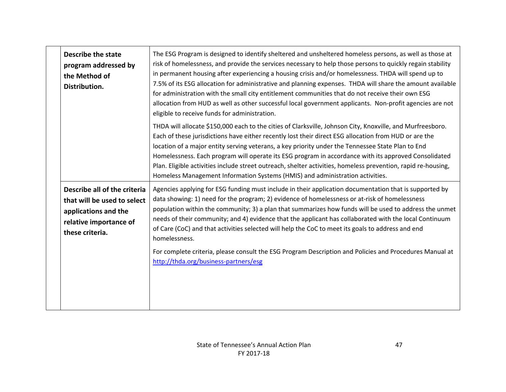|  | <b>Describe the state</b><br>program addressed by<br>the Method of<br>Distribution.                                              | The ESG Program is designed to identify sheltered and unsheltered homeless persons, as well as those at<br>risk of homelessness, and provide the services necessary to help those persons to quickly regain stability<br>in permanent housing after experiencing a housing crisis and/or homelessness. THDA will spend up to<br>7.5% of its ESG allocation for administrative and planning expenses. THDA will share the amount available<br>for administration with the small city entitlement communities that do not receive their own ESG<br>allocation from HUD as well as other successful local government applicants. Non-profit agencies are not<br>eligible to receive funds for administration. |
|--|----------------------------------------------------------------------------------------------------------------------------------|------------------------------------------------------------------------------------------------------------------------------------------------------------------------------------------------------------------------------------------------------------------------------------------------------------------------------------------------------------------------------------------------------------------------------------------------------------------------------------------------------------------------------------------------------------------------------------------------------------------------------------------------------------------------------------------------------------|
|  |                                                                                                                                  | THDA will allocate \$150,000 each to the cities of Clarksville, Johnson City, Knoxville, and Murfreesboro.<br>Each of these jurisdictions have either recently lost their direct ESG allocation from HUD or are the<br>location of a major entity serving veterans, a key priority under the Tennessee State Plan to End<br>Homelessness. Each program will operate its ESG program in accordance with its approved Consolidated<br>Plan. Eligible activities include street outreach, shelter activities, homeless prevention, rapid re-housing,<br>Homeless Management Information Systems (HMIS) and administration activities.                                                                         |
|  | Describe all of the criteria<br>that will be used to select<br>applications and the<br>relative importance of<br>these criteria. | Agencies applying for ESG funding must include in their application documentation that is supported by<br>data showing: 1) need for the program; 2) evidence of homelessness or at-risk of homelessness<br>population within the community; 3) a plan that summarizes how funds will be used to address the unmet<br>needs of their community; and 4) evidence that the applicant has collaborated with the local Continuum<br>of Care (CoC) and that activities selected will help the CoC to meet its goals to address and end<br>homelessness.<br>For complete criteria, please consult the ESG Program Description and Policies and Procedures Manual at<br>http://thda.org/business-partners/esg      |
|  |                                                                                                                                  |                                                                                                                                                                                                                                                                                                                                                                                                                                                                                                                                                                                                                                                                                                            |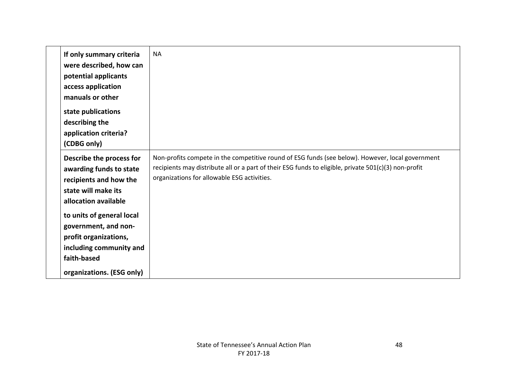| If only summary criteria<br>were described, how can<br>potential applicants<br>access application<br>manuals or other<br>state publications<br>describing the<br>application criteria?<br>(CDBG only)                                                                             | <b>NA</b>                                                                                                                                                                                                                                               |
|-----------------------------------------------------------------------------------------------------------------------------------------------------------------------------------------------------------------------------------------------------------------------------------|---------------------------------------------------------------------------------------------------------------------------------------------------------------------------------------------------------------------------------------------------------|
| Describe the process for<br>awarding funds to state<br>recipients and how the<br>state will make its<br>allocation available<br>to units of general local<br>government, and non-<br>profit organizations,<br>including community and<br>faith-based<br>organizations. (ESG only) | Non-profits compete in the competitive round of ESG funds (see below). However, local government<br>recipients may distribute all or a part of their ESG funds to eligible, private 501(c)(3) non-profit<br>organizations for allowable ESG activities. |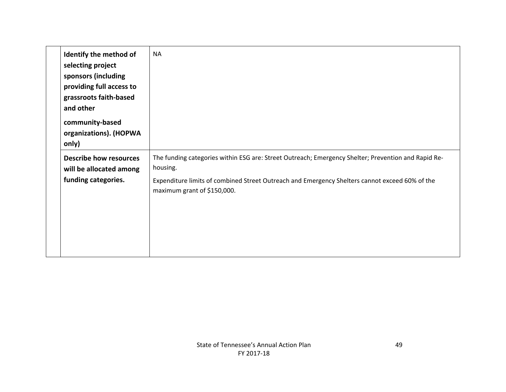| Identify the method of<br>selecting project<br>sponsors (including<br>providing full access to<br>grassroots faith-based<br>and other<br>community-based<br>organizations). (HOPWA<br>only) | <b>NA</b>                                                                                                                                                                                                                                        |
|---------------------------------------------------------------------------------------------------------------------------------------------------------------------------------------------|--------------------------------------------------------------------------------------------------------------------------------------------------------------------------------------------------------------------------------------------------|
| <b>Describe how resources</b><br>will be allocated among<br>funding categories.                                                                                                             | The funding categories within ESG are: Street Outreach; Emergency Shelter; Prevention and Rapid Re-<br>housing.<br>Expenditure limits of combined Street Outreach and Emergency Shelters cannot exceed 60% of the<br>maximum grant of \$150,000. |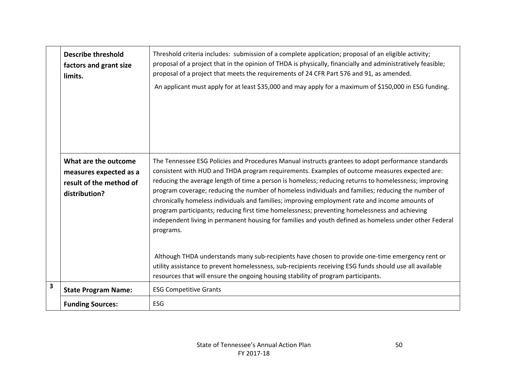|                         | <b>Describe threshold</b><br>factors and grant size<br>limits.                             | Threshold criteria includes: submission of a complete application; proposal of an eligible activity;<br>proposal of a project that in the opinion of THDA is physically, financially and administratively feasible;<br>proposal of a project that meets the requirements of 24 CFR Part 576 and 91, as amended.<br>An applicant must apply for at least \$35,000 and may apply for a maximum of \$150,000 in ESG funding.                                                                                                                                                                                                                                                                                                                    |
|-------------------------|--------------------------------------------------------------------------------------------|----------------------------------------------------------------------------------------------------------------------------------------------------------------------------------------------------------------------------------------------------------------------------------------------------------------------------------------------------------------------------------------------------------------------------------------------------------------------------------------------------------------------------------------------------------------------------------------------------------------------------------------------------------------------------------------------------------------------------------------------|
|                         | What are the outcome<br>measures expected as a<br>result of the method of<br>distribution? | The Tennessee ESG Policies and Procedures Manual instructs grantees to adopt performance standards<br>consistent with HUD and THDA program requirements. Examples of outcome measures expected are:<br>reducing the average length of time a person is homeless; reducing returns to homelessness; improving<br>program coverage; reducing the number of homeless individuals and families; reducing the number of<br>chronically homeless individuals and families; improving employment rate and income amounts of<br>program participants; reducing first time homelessness; preventing homelessness and achieving<br>independent living in permanent housing for families and youth defined as homeless under other Federal<br>programs. |
|                         |                                                                                            | Although THDA understands many sub-recipients have chosen to provide one-time emergency rent or<br>utility assistance to prevent homelessness, sub-recipients receiving ESG funds should use all available<br>resources that will ensure the ongoing housing stability of program participants.                                                                                                                                                                                                                                                                                                                                                                                                                                              |
| $\overline{\mathbf{3}}$ | <b>State Program Name:</b>                                                                 | <b>ESG Competitive Grants</b>                                                                                                                                                                                                                                                                                                                                                                                                                                                                                                                                                                                                                                                                                                                |
|                         | <b>Funding Sources:</b>                                                                    | ESG                                                                                                                                                                                                                                                                                                                                                                                                                                                                                                                                                                                                                                                                                                                                          |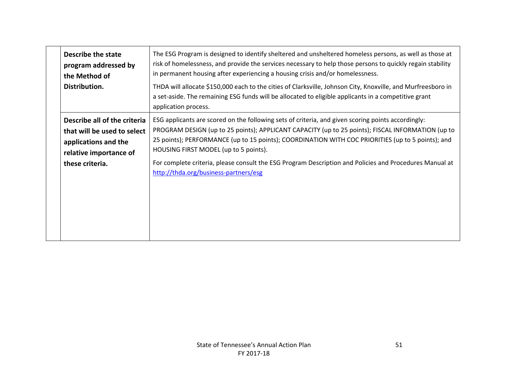| <b>Describe the state</b><br>program addressed by<br>the Method of<br>Distribution.                                              | The ESG Program is designed to identify sheltered and unsheltered homeless persons, as well as those at<br>risk of homelessness, and provide the services necessary to help those persons to quickly regain stability<br>in permanent housing after experiencing a housing crisis and/or homelessness.<br>THDA will allocate \$150,000 each to the cities of Clarksville, Johnson City, Knoxville, and Murfreesboro in<br>a set-aside. The remaining ESG funds will be allocated to eligible applicants in a competitive grant<br>application process. |
|----------------------------------------------------------------------------------------------------------------------------------|--------------------------------------------------------------------------------------------------------------------------------------------------------------------------------------------------------------------------------------------------------------------------------------------------------------------------------------------------------------------------------------------------------------------------------------------------------------------------------------------------------------------------------------------------------|
| Describe all of the criteria<br>that will be used to select<br>applications and the<br>relative importance of<br>these criteria. | ESG applicants are scored on the following sets of criteria, and given scoring points accordingly:<br>PROGRAM DESIGN (up to 25 points); APPLICANT CAPACITY (up to 25 points); FISCAL INFORMATION (up to<br>25 points); PERFORMANCE (up to 15 points); COORDINATION WITH COC PRIORITIES (up to 5 points); and<br>HOUSING FIRST MODEL (up to 5 points).<br>For complete criteria, please consult the ESG Program Description and Policies and Procedures Manual at<br>http://thda.org/business-partners/esg                                              |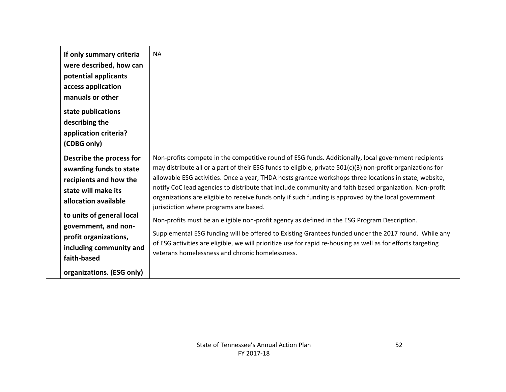| If only summary criteria<br>were described, how can<br>potential applicants<br>access application<br>manuals or other<br>state publications<br>describing the<br>application criteria?<br>(CDBG only)                                                | <b>NA</b>                                                                                                                                                                                                                                                                                                                                                                                                                                                                                                                                                                                                                                                                                                                                                                                                                                                                                                                                                              |
|------------------------------------------------------------------------------------------------------------------------------------------------------------------------------------------------------------------------------------------------------|------------------------------------------------------------------------------------------------------------------------------------------------------------------------------------------------------------------------------------------------------------------------------------------------------------------------------------------------------------------------------------------------------------------------------------------------------------------------------------------------------------------------------------------------------------------------------------------------------------------------------------------------------------------------------------------------------------------------------------------------------------------------------------------------------------------------------------------------------------------------------------------------------------------------------------------------------------------------|
| Describe the process for<br>awarding funds to state<br>recipients and how the<br>state will make its<br>allocation available<br>to units of general local<br>government, and non-<br>profit organizations,<br>including community and<br>faith-based | Non-profits compete in the competitive round of ESG funds. Additionally, local government recipients<br>may distribute all or a part of their ESG funds to eligible, private $501(c)(3)$ non-profit organizations for<br>allowable ESG activities. Once a year, THDA hosts grantee workshops three locations in state, website,<br>notify CoC lead agencies to distribute that include community and faith based organization. Non-profit<br>organizations are eligible to receive funds only if such funding is approved by the local government<br>jurisdiction where programs are based.<br>Non-profits must be an eligible non-profit agency as defined in the ESG Program Description.<br>Supplemental ESG funding will be offered to Existing Grantees funded under the 2017 round. While any<br>of ESG activities are eligible, we will prioritize use for rapid re-housing as well as for efforts targeting<br>veterans homelessness and chronic homelessness. |
| organizations. (ESG only)                                                                                                                                                                                                                            |                                                                                                                                                                                                                                                                                                                                                                                                                                                                                                                                                                                                                                                                                                                                                                                                                                                                                                                                                                        |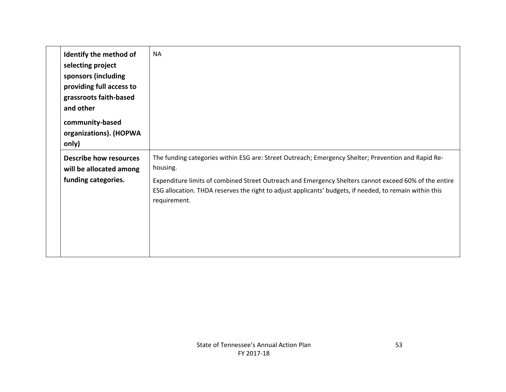| Identify the method of<br>selecting project<br>sponsors (including<br>providing full access to<br>grassroots faith-based<br>and other<br>community-based<br>organizations). (HOPWA<br>only) | <b>NA</b>                                                                                                                                                                                                                                                                                                                                           |
|---------------------------------------------------------------------------------------------------------------------------------------------------------------------------------------------|-----------------------------------------------------------------------------------------------------------------------------------------------------------------------------------------------------------------------------------------------------------------------------------------------------------------------------------------------------|
| <b>Describe how resources</b><br>will be allocated among<br>funding categories.                                                                                                             | The funding categories within ESG are: Street Outreach; Emergency Shelter; Prevention and Rapid Re-<br>housing.<br>Expenditure limits of combined Street Outreach and Emergency Shelters cannot exceed 60% of the entire<br>ESG allocation. THDA reserves the right to adjust applicants' budgets, if needed, to remain within this<br>requirement. |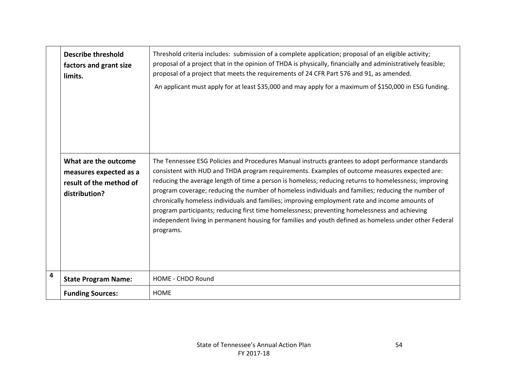|   | <b>Describe threshold</b><br>factors and grant size<br>limits.                             | Threshold criteria includes: submission of a complete application; proposal of an eligible activity;<br>proposal of a project that in the opinion of THDA is physically, financially and administratively feasible;<br>proposal of a project that meets the requirements of 24 CFR Part 576 and 91, as amended.<br>An applicant must apply for at least \$35,000 and may apply for a maximum of \$150,000 in ESG funding.                                                                                                                                                                                                                                                                                                                    |
|---|--------------------------------------------------------------------------------------------|----------------------------------------------------------------------------------------------------------------------------------------------------------------------------------------------------------------------------------------------------------------------------------------------------------------------------------------------------------------------------------------------------------------------------------------------------------------------------------------------------------------------------------------------------------------------------------------------------------------------------------------------------------------------------------------------------------------------------------------------|
|   | What are the outcome<br>measures expected as a<br>result of the method of<br>distribution? | The Tennessee ESG Policies and Procedures Manual instructs grantees to adopt performance standards<br>consistent with HUD and THDA program requirements. Examples of outcome measures expected are:<br>reducing the average length of time a person is homeless; reducing returns to homelessness; improving<br>program coverage; reducing the number of homeless individuals and families; reducing the number of<br>chronically homeless individuals and families; improving employment rate and income amounts of<br>program participants; reducing first time homelessness; preventing homelessness and achieving<br>independent living in permanent housing for families and youth defined as homeless under other Federal<br>programs. |
| 4 | <b>State Program Name:</b>                                                                 | HOME - CHDO Round                                                                                                                                                                                                                                                                                                                                                                                                                                                                                                                                                                                                                                                                                                                            |
|   | <b>Funding Sources:</b>                                                                    | <b>HOME</b>                                                                                                                                                                                                                                                                                                                                                                                                                                                                                                                                                                                                                                                                                                                                  |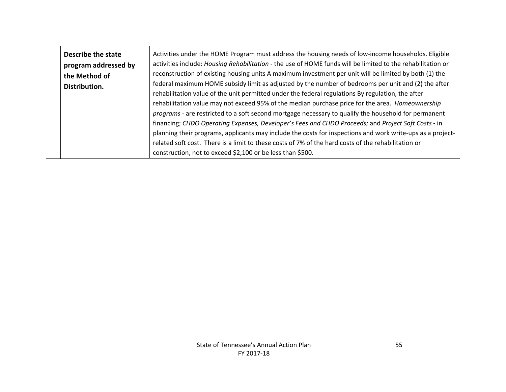| Describe the state<br>program addressed by<br>the Method of<br>Distribution. | Activities under the HOME Program must address the housing needs of low-income households. Eligible<br>activities include: Housing Rehabilitation - the use of HOME funds will be limited to the rehabilitation or<br>reconstruction of existing housing units A maximum investment per unit will be limited by both (1) the<br>federal maximum HOME subsidy limit as adjusted by the number of bedrooms per unit and (2) the after<br>rehabilitation value of the unit permitted under the federal regulations By regulation, the after<br>rehabilitation value may not exceed 95% of the median purchase price for the area. Homeownership<br>programs - are restricted to a soft second mortgage necessary to qualify the household for permanent<br>financing; CHDO Operating Expenses, Developer's Fees and CHDO Proceeds; and Project Soft Costs - in<br>planning their programs, applicants may include the costs for inspections and work write-ups as a project-<br>related soft cost. There is a limit to these costs of 7% of the hard costs of the rehabilitation or<br>construction, not to exceed \$2,100 or be less than \$500. |
|------------------------------------------------------------------------------|------------------------------------------------------------------------------------------------------------------------------------------------------------------------------------------------------------------------------------------------------------------------------------------------------------------------------------------------------------------------------------------------------------------------------------------------------------------------------------------------------------------------------------------------------------------------------------------------------------------------------------------------------------------------------------------------------------------------------------------------------------------------------------------------------------------------------------------------------------------------------------------------------------------------------------------------------------------------------------------------------------------------------------------------------------------------------------------------------------------------------------------------|
|------------------------------------------------------------------------------|------------------------------------------------------------------------------------------------------------------------------------------------------------------------------------------------------------------------------------------------------------------------------------------------------------------------------------------------------------------------------------------------------------------------------------------------------------------------------------------------------------------------------------------------------------------------------------------------------------------------------------------------------------------------------------------------------------------------------------------------------------------------------------------------------------------------------------------------------------------------------------------------------------------------------------------------------------------------------------------------------------------------------------------------------------------------------------------------------------------------------------------------|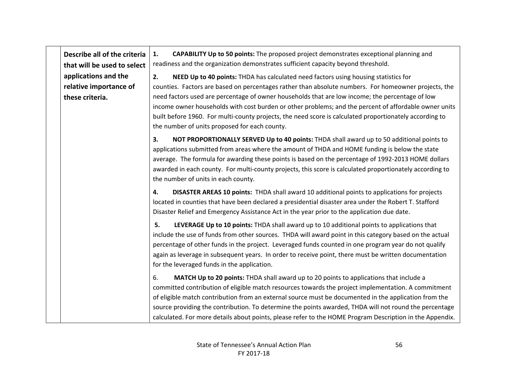| Describe all of the criteria<br>that will be used to select       | <b>CAPABILITY Up to 50 points:</b> The proposed project demonstrates exceptional planning and<br>1.<br>readiness and the organization demonstrates sufficient capacity beyond threshold.                                                                                                                                                                                                                                                                                                                                                                                  |
|-------------------------------------------------------------------|---------------------------------------------------------------------------------------------------------------------------------------------------------------------------------------------------------------------------------------------------------------------------------------------------------------------------------------------------------------------------------------------------------------------------------------------------------------------------------------------------------------------------------------------------------------------------|
| applications and the<br>relative importance of<br>these criteria. | NEED Up to 40 points: THDA has calculated need factors using housing statistics for<br>2.<br>counties. Factors are based on percentages rather than absolute numbers. For homeowner projects, the<br>need factors used are percentage of owner households that are low income; the percentage of low<br>income owner households with cost burden or other problems; and the percent of affordable owner units<br>built before 1960. For multi-county projects, the need score is calculated proportionately according to<br>the number of units proposed for each county. |
|                                                                   | 3.<br>NOT PROPORTIONALLY SERVED Up to 40 points: THDA shall award up to 50 additional points to<br>applications submitted from areas where the amount of THDA and HOME funding is below the state<br>average. The formula for awarding these points is based on the percentage of 1992-2013 HOME dollars<br>awarded in each county. For multi-county projects, this score is calculated proportionately according to<br>the number of units in each county.                                                                                                               |
|                                                                   | <b>DISASTER AREAS 10 points:</b> THDA shall award 10 additional points to applications for projects<br>4.<br>located in counties that have been declared a presidential disaster area under the Robert T. Stafford<br>Disaster Relief and Emergency Assistance Act in the year prior to the application due date.                                                                                                                                                                                                                                                         |
|                                                                   | LEVERAGE Up to 10 points: THDA shall award up to 10 additional points to applications that<br>5.<br>include the use of funds from other sources. THDA will award point in this category based on the actual<br>percentage of other funds in the project. Leveraged funds counted in one program year do not qualify<br>again as leverage in subsequent years. In order to receive point, there must be written documentation<br>for the leveraged funds in the application.                                                                                               |
|                                                                   | 6.<br>MATCH Up to 20 points: THDA shall award up to 20 points to applications that include a<br>committed contribution of eligible match resources towards the project implementation. A commitment<br>of eligible match contribution from an external source must be documented in the application from the<br>source providing the contribution. To determine the points awarded, THDA will not round the percentage<br>calculated. For more details about points, please refer to the HOME Program Description in the Appendix.                                        |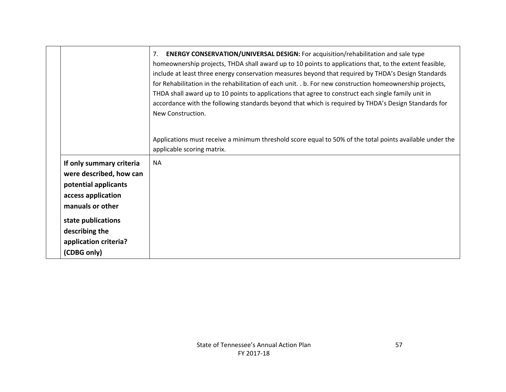|                                                                                                                       | <b>ENERGY CONSERVATION/UNIVERSAL DESIGN:</b> For acquisition/rehabilitation and sale type<br>7.<br>homeownership projects, THDA shall award up to 10 points to applications that, to the extent feasible,<br>include at least three energy conservation measures beyond that required by THDA's Design Standards<br>for Rehabilitation in the rehabilitation of each unit. . b. For new construction homeownership projects,<br>THDA shall award up to 10 points to applications that agree to construct each single family unit in<br>accordance with the following standards beyond that which is required by THDA's Design Standards for<br>New Construction.<br>Applications must receive a minimum threshold score equal to 50% of the total points available under the |
|-----------------------------------------------------------------------------------------------------------------------|------------------------------------------------------------------------------------------------------------------------------------------------------------------------------------------------------------------------------------------------------------------------------------------------------------------------------------------------------------------------------------------------------------------------------------------------------------------------------------------------------------------------------------------------------------------------------------------------------------------------------------------------------------------------------------------------------------------------------------------------------------------------------|
|                                                                                                                       | applicable scoring matrix.                                                                                                                                                                                                                                                                                                                                                                                                                                                                                                                                                                                                                                                                                                                                                   |
| If only summary criteria<br>were described, how can<br>potential applicants<br>access application<br>manuals or other | <b>NA</b>                                                                                                                                                                                                                                                                                                                                                                                                                                                                                                                                                                                                                                                                                                                                                                    |
| state publications<br>describing the<br>application criteria?<br>(CDBG only)                                          |                                                                                                                                                                                                                                                                                                                                                                                                                                                                                                                                                                                                                                                                                                                                                                              |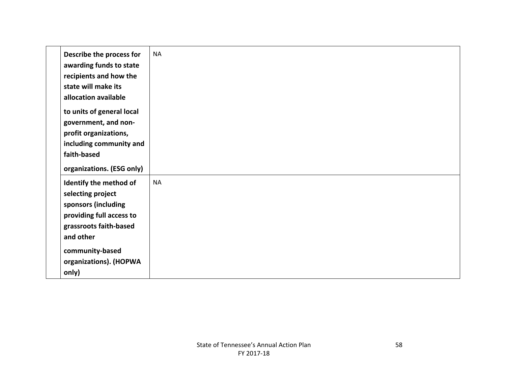| Describe the process for<br>awarding funds to state<br>recipients and how the<br>state will make its<br>allocation available<br>to units of general local<br>government, and non-<br>profit organizations,<br>including community and<br>faith-based<br>organizations. (ESG only) | <b>NA</b> |
|-----------------------------------------------------------------------------------------------------------------------------------------------------------------------------------------------------------------------------------------------------------------------------------|-----------|
| Identify the method of<br>selecting project<br>sponsors (including<br>providing full access to<br>grassroots faith-based<br>and other<br>community-based<br>organizations). (HOPWA<br>only)                                                                                       | <b>NA</b> |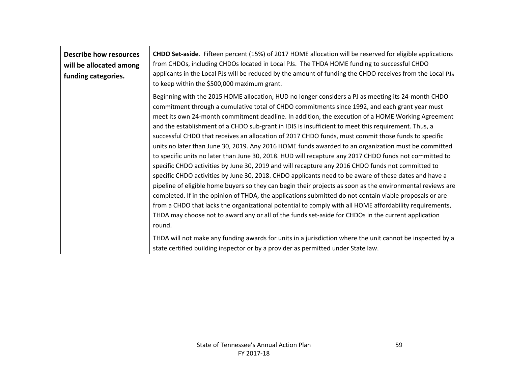| <b>Describe how resources</b><br>will be allocated among<br>funding categories. | CHDO Set-aside. Fifteen percent (15%) of 2017 HOME allocation will be reserved for eligible applications<br>from CHDOs, including CHDOs located in Local PJs. The THDA HOME funding to successful CHDO<br>applicants in the Local PJs will be reduced by the amount of funding the CHDO receives from the Local PJs<br>to keep within the \$500,000 maximum grant.                                                                                                                                                                                                                                                                                                                                                                                                                                                                                                                                                                                                                                                                                                                                                                                                                                                                                                                                                                                                                                          |
|---------------------------------------------------------------------------------|-------------------------------------------------------------------------------------------------------------------------------------------------------------------------------------------------------------------------------------------------------------------------------------------------------------------------------------------------------------------------------------------------------------------------------------------------------------------------------------------------------------------------------------------------------------------------------------------------------------------------------------------------------------------------------------------------------------------------------------------------------------------------------------------------------------------------------------------------------------------------------------------------------------------------------------------------------------------------------------------------------------------------------------------------------------------------------------------------------------------------------------------------------------------------------------------------------------------------------------------------------------------------------------------------------------------------------------------------------------------------------------------------------------|
|                                                                                 | Beginning with the 2015 HOME allocation, HUD no longer considers a PJ as meeting its 24-month CHDO<br>commitment through a cumulative total of CHDO commitments since 1992, and each grant year must<br>meet its own 24-month commitment deadline. In addition, the execution of a HOME Working Agreement<br>and the establishment of a CHDO sub-grant in IDIS is insufficient to meet this requirement. Thus, a<br>successful CHDO that receives an allocation of 2017 CHDO funds, must commit those funds to specific<br>units no later than June 30, 2019. Any 2016 HOME funds awarded to an organization must be committed<br>to specific units no later than June 30, 2018. HUD will recapture any 2017 CHDO funds not committed to<br>specific CHDO activities by June 30, 2019 and will recapture any 2016 CHDO funds not committed to<br>specific CHDO activities by June 30, 2018. CHDO applicants need to be aware of these dates and have a<br>pipeline of eligible home buyers so they can begin their projects as soon as the environmental reviews are<br>completed. If in the opinion of THDA, the applications submitted do not contain viable proposals or are<br>from a CHDO that lacks the organizational potential to comply with all HOME affordability requirements,<br>THDA may choose not to award any or all of the funds set-aside for CHDOs in the current application<br>round. |
|                                                                                 | THDA will not make any funding awards for units in a jurisdiction where the unit cannot be inspected by a<br>state certified building inspector or by a provider as permitted under State law.                                                                                                                                                                                                                                                                                                                                                                                                                                                                                                                                                                                                                                                                                                                                                                                                                                                                                                                                                                                                                                                                                                                                                                                                              |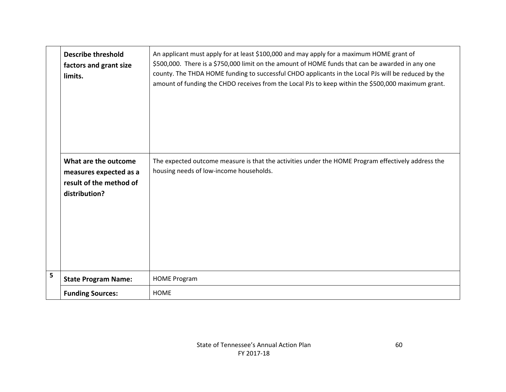|   | <b>Describe threshold</b><br>factors and grant size<br>limits.                             | An applicant must apply for at least \$100,000 and may apply for a maximum HOME grant of<br>\$500,000. There is a \$750,000 limit on the amount of HOME funds that can be awarded in any one<br>county. The THDA HOME funding to successful CHDO applicants in the Local PJs will be reduced by the<br>amount of funding the CHDO receives from the Local PJs to keep within the \$500,000 maximum grant. |
|---|--------------------------------------------------------------------------------------------|-----------------------------------------------------------------------------------------------------------------------------------------------------------------------------------------------------------------------------------------------------------------------------------------------------------------------------------------------------------------------------------------------------------|
|   | What are the outcome<br>measures expected as a<br>result of the method of<br>distribution? | The expected outcome measure is that the activities under the HOME Program effectively address the<br>housing needs of low-income households.                                                                                                                                                                                                                                                             |
| 5 | <b>State Program Name:</b>                                                                 | <b>HOME Program</b>                                                                                                                                                                                                                                                                                                                                                                                       |
|   | <b>Funding Sources:</b>                                                                    | <b>HOME</b>                                                                                                                                                                                                                                                                                                                                                                                               |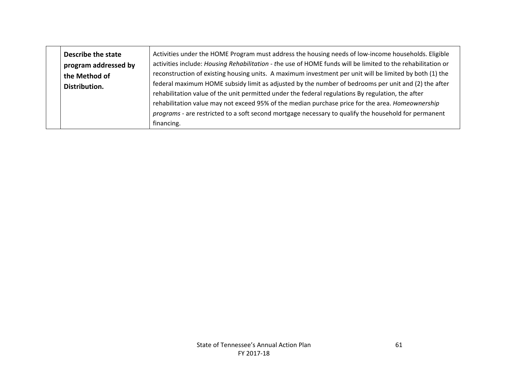| Describe the state<br>program addressed by<br>the Method of<br>Distribution. | Activities under the HOME Program must address the housing needs of low-income households. Eligible<br>activities include: Housing Rehabilitation - the use of HOME funds will be limited to the rehabilitation or<br>reconstruction of existing housing units. A maximum investment per unit will be limited by both (1) the<br>federal maximum HOME subsidy limit as adjusted by the number of bedrooms per unit and (2) the after<br>rehabilitation value of the unit permitted under the federal regulations By regulation, the after |
|------------------------------------------------------------------------------|-------------------------------------------------------------------------------------------------------------------------------------------------------------------------------------------------------------------------------------------------------------------------------------------------------------------------------------------------------------------------------------------------------------------------------------------------------------------------------------------------------------------------------------------|
|                                                                              | rehabilitation value may not exceed 95% of the median purchase price for the area. Homeownership<br>programs - are restricted to a soft second mortgage necessary to qualify the household for permanent<br>financing.                                                                                                                                                                                                                                                                                                                    |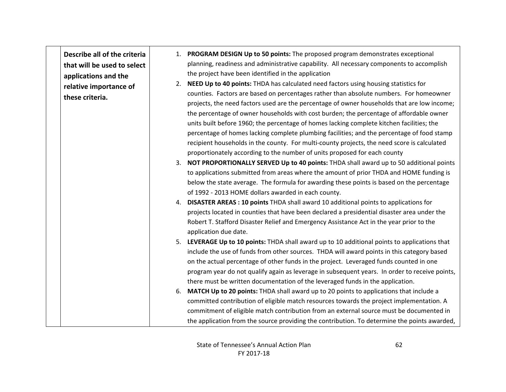**Describe all of the criteria that will be used to select applications and the relative importance of these criteria.**

- 1. **PROGRAM DESIGN Up to 50 points:** The proposed program demonstrates exceptional planning, readiness and administrative capability. All necessary components to accomplish the project have been identified in the application
- 2. **NEED Up to 40 points:** THDA has calculated need factors using housing statistics for counties. Factors are based on percentages rather than absolute numbers. For homeowner projects, the need factors used are the percentage of owner households that are low income; the percentage of owner households with cost burden; the percentage of affordable owner units built before 1960; the percentage of homes lacking complete kitchen facilities; the percentage of homes lacking complete plumbing facilities; and the percentage of food stamp recipient households in the county. For multi‐county projects, the need score is calculated proportionately according to the number of units proposed for each county
- 3. **NOT PROPORTIONALLY SERVED Up to 40 points:** THDA shall award up to 50 additional points to applications submitted from areas where the amount of prior THDA and HOME funding is below the state average. The formula for awarding these points is based on the percentage of 1992 ‐ 2013 HOME dollars awarded in each county.
- 4. **DISASTER AREAS : 10 points** THDA shall award 10 additional points to applications for projects located in counties that have been declared <sup>a</sup> presidential disaster area under the Robert T. Stafford Disaster Relief and Emergency Assistance Act in the year prior to the application due date.
- 5. **LEVERAGE Up to 10 points:** THDA shall award up to 10 additional points to applications that include the use of funds from other sources. THDA will award points in this category based on the actual percentage of other funds in the project. Leveraged funds counted in one program year do not qualify again as leverage in subsequent years. In order to receive points, there must be written documentation of the leveraged funds in the application.
- 6. **MATCH Up to 20 points:** THDA shall award up to 20 points to applications that include <sup>a</sup> committed contribution of eligible match resources towards the project implementation. A commitment of eligible match contribution from an external source must be documented in the application from the source providing the contribution. To determine the points awarded,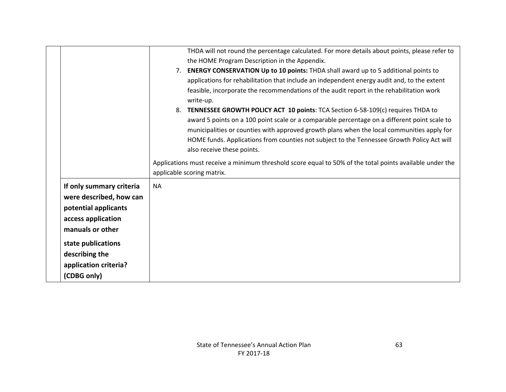|                                                                                                                                                                                                       | THDA will not round the percentage calculated. For more details about points, please refer to<br>the HOME Program Description in the Appendix.<br>7. ENERGY CONSERVATION Up to 10 points: THDA shall award up to 5 additional points to<br>applications for rehabilitation that include an independent energy audit and, to the extent<br>feasible, incorporate the recommendations of the audit report in the rehabilitation work<br>write-up.<br>8.<br>TENNESSEE GROWTH POLICY ACT 10 points: TCA Section 6-58-109(c) requires THDA to<br>award 5 points on a 100 point scale or a comparable percentage on a different point scale to<br>municipalities or counties with approved growth plans when the local communities apply for<br>HOME funds. Applications from counties not subject to the Tennessee Growth Policy Act will<br>also receive these points.<br>Applications must receive a minimum threshold score equal to 50% of the total points available under the<br>applicable scoring matrix. |
|-------------------------------------------------------------------------------------------------------------------------------------------------------------------------------------------------------|--------------------------------------------------------------------------------------------------------------------------------------------------------------------------------------------------------------------------------------------------------------------------------------------------------------------------------------------------------------------------------------------------------------------------------------------------------------------------------------------------------------------------------------------------------------------------------------------------------------------------------------------------------------------------------------------------------------------------------------------------------------------------------------------------------------------------------------------------------------------------------------------------------------------------------------------------------------------------------------------------------------|
| If only summary criteria<br>were described, how can<br>potential applicants<br>access application<br>manuals or other<br>state publications<br>describing the<br>application criteria?<br>(CDBG only) | <b>NA</b>                                                                                                                                                                                                                                                                                                                                                                                                                                                                                                                                                                                                                                                                                                                                                                                                                                                                                                                                                                                                    |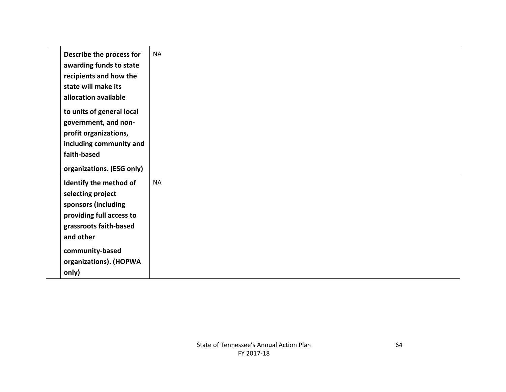| Describe the process for<br>awarding funds to state<br>recipients and how the<br>state will make its<br>allocation available<br>to units of general local<br>government, and non-<br>profit organizations,<br>including community and<br>faith-based<br>organizations. (ESG only) | <b>NA</b> |
|-----------------------------------------------------------------------------------------------------------------------------------------------------------------------------------------------------------------------------------------------------------------------------------|-----------|
| Identify the method of<br>selecting project<br>sponsors (including<br>providing full access to<br>grassroots faith-based<br>and other<br>community-based<br>organizations). (HOPWA<br>only)                                                                                       | <b>NA</b> |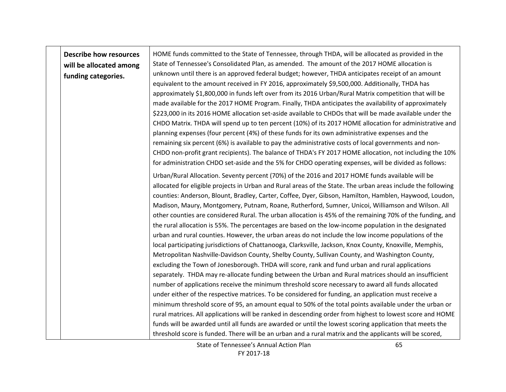| <b>Describe how resources</b><br>will be allocated among<br>funding categories. | HOME funds committed to the State of Tennessee, through THDA, will be allocated as provided in the<br>State of Tennessee's Consolidated Plan, as amended. The amount of the 2017 HOME allocation is<br>unknown until there is an approved federal budget; however, THDA anticipates receipt of an amount<br>equivalent to the amount received in FY 2016, approximately \$9,500,000. Additionally, THDA has<br>approximately \$1,800,000 in funds left over from its 2016 Urban/Rural Matrix competition that will be<br>made available for the 2017 HOME Program. Finally, THDA anticipates the availability of approximately<br>\$223,000 in its 2016 HOME allocation set-aside available to CHDOs that will be made available under the<br>CHDO Matrix. THDA will spend up to ten percent (10%) of its 2017 HOME allocation for administrative and<br>planning expenses (four percent (4%) of these funds for its own administrative expenses and the<br>remaining six percent (6%) is available to pay the administrative costs of local governments and non-<br>CHDO non-profit grant recipients). The balance of THDA's FY 2017 HOME allocation, not including the 10%<br>for administration CHDO set-aside and the 5% for CHDO operating expenses, will be divided as follows:                                                                                                                                                                                                                                                                                                                                                                                                                                                |
|---------------------------------------------------------------------------------|--------------------------------------------------------------------------------------------------------------------------------------------------------------------------------------------------------------------------------------------------------------------------------------------------------------------------------------------------------------------------------------------------------------------------------------------------------------------------------------------------------------------------------------------------------------------------------------------------------------------------------------------------------------------------------------------------------------------------------------------------------------------------------------------------------------------------------------------------------------------------------------------------------------------------------------------------------------------------------------------------------------------------------------------------------------------------------------------------------------------------------------------------------------------------------------------------------------------------------------------------------------------------------------------------------------------------------------------------------------------------------------------------------------------------------------------------------------------------------------------------------------------------------------------------------------------------------------------------------------------------------------------------------------------------------------------------------------------------------------|
|                                                                                 | Urban/Rural Allocation. Seventy percent (70%) of the 2016 and 2017 HOME funds available will be<br>allocated for eligible projects in Urban and Rural areas of the State. The urban areas include the following<br>counties: Anderson, Blount, Bradley, Carter, Coffee, Dyer, Gibson, Hamilton, Hamblen, Haywood, Loudon,<br>Madison, Maury, Montgomery, Putnam, Roane, Rutherford, Sumner, Unicoi, Williamson and Wilson. All<br>other counties are considered Rural. The urban allocation is 45% of the remaining 70% of the funding, and<br>the rural allocation is 55%. The percentages are based on the low-income population in the designated<br>urban and rural counties. However, the urban areas do not include the low income populations of the<br>local participating jurisdictions of Chattanooga, Clarksville, Jackson, Knox County, Knoxville, Memphis,<br>Metropolitan Nashville-Davidson County, Shelby County, Sullivan County, and Washington County,<br>excluding the Town of Jonesborough. THDA will score, rank and fund urban and rural applications<br>separately. THDA may re-allocate funding between the Urban and Rural matrices should an insufficient<br>number of applications receive the minimum threshold score necessary to award all funds allocated<br>under either of the respective matrices. To be considered for funding, an application must receive a<br>minimum threshold score of 95, an amount equal to 50% of the total points available under the urban or<br>rural matrices. All applications will be ranked in descending order from highest to lowest score and HOME<br>funds will be awarded until all funds are awarded or until the lowest scoring application that meets the |
|                                                                                 | threshold score is funded. There will be an urban and a rural matrix and the applicants will be scored,                                                                                                                                                                                                                                                                                                                                                                                                                                                                                                                                                                                                                                                                                                                                                                                                                                                                                                                                                                                                                                                                                                                                                                                                                                                                                                                                                                                                                                                                                                                                                                                                                              |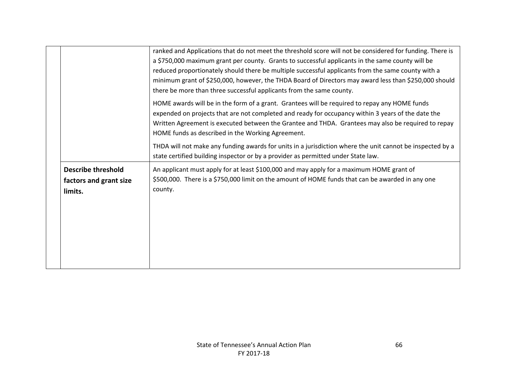|                                                                | ranked and Applications that do not meet the threshold score will not be considered for funding. There is<br>a \$750,000 maximum grant per county. Grants to successful applicants in the same county will be<br>reduced proportionately should there be multiple successful applicants from the same county with a<br>minimum grant of \$250,000, however, the THDA Board of Directors may award less than \$250,000 should<br>there be more than three successful applicants from the same county. |
|----------------------------------------------------------------|------------------------------------------------------------------------------------------------------------------------------------------------------------------------------------------------------------------------------------------------------------------------------------------------------------------------------------------------------------------------------------------------------------------------------------------------------------------------------------------------------|
|                                                                | HOME awards will be in the form of a grant. Grantees will be required to repay any HOME funds<br>expended on projects that are not completed and ready for occupancy within 3 years of the date the<br>Written Agreement is executed between the Grantee and THDA. Grantees may also be required to repay<br>HOME funds as described in the Working Agreement.                                                                                                                                       |
|                                                                | THDA will not make any funding awards for units in a jurisdiction where the unit cannot be inspected by a<br>state certified building inspector or by a provider as permitted under State law.                                                                                                                                                                                                                                                                                                       |
| <b>Describe threshold</b><br>factors and grant size<br>limits. | An applicant must apply for at least \$100,000 and may apply for a maximum HOME grant of<br>\$500,000. There is a \$750,000 limit on the amount of HOME funds that can be awarded in any one<br>county.                                                                                                                                                                                                                                                                                              |
|                                                                |                                                                                                                                                                                                                                                                                                                                                                                                                                                                                                      |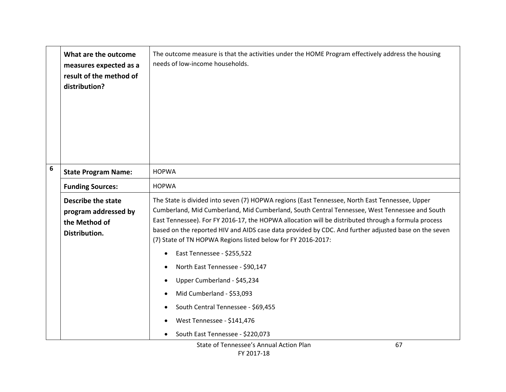|                  | What are the outcome<br>measures expected as a<br>result of the method of<br>distribution? | The outcome measure is that the activities under the HOME Program effectively address the housing<br>needs of low-income households.                                                                                                                                                                                                                                                                                                                                           |
|------------------|--------------------------------------------------------------------------------------------|--------------------------------------------------------------------------------------------------------------------------------------------------------------------------------------------------------------------------------------------------------------------------------------------------------------------------------------------------------------------------------------------------------------------------------------------------------------------------------|
| $\boldsymbol{6}$ | <b>State Program Name:</b>                                                                 | <b>HOPWA</b>                                                                                                                                                                                                                                                                                                                                                                                                                                                                   |
|                  | <b>Funding Sources:</b>                                                                    | <b>HOPWA</b>                                                                                                                                                                                                                                                                                                                                                                                                                                                                   |
|                  | <b>Describe the state</b><br>program addressed by<br>the Method of<br>Distribution.        | The State is divided into seven (7) HOPWA regions (East Tennessee, North East Tennessee, Upper<br>Cumberland, Mid Cumberland, Mid Cumberland, South Central Tennessee, West Tennessee and South<br>East Tennessee). For FY 2016-17, the HOPWA allocation will be distributed through a formula process<br>based on the reported HIV and AIDS case data provided by CDC. And further adjusted base on the seven<br>(7) State of TN HOPWA Regions listed below for FY 2016-2017: |
|                  |                                                                                            | East Tennessee - \$255,522                                                                                                                                                                                                                                                                                                                                                                                                                                                     |
|                  |                                                                                            | North East Tennessee - \$90,147                                                                                                                                                                                                                                                                                                                                                                                                                                                |
|                  |                                                                                            | Upper Cumberland - \$45,234                                                                                                                                                                                                                                                                                                                                                                                                                                                    |
|                  |                                                                                            | Mid Cumberland - \$53,093<br>South Central Tennessee - \$69,455                                                                                                                                                                                                                                                                                                                                                                                                                |
|                  |                                                                                            | West Tennessee - \$141,476                                                                                                                                                                                                                                                                                                                                                                                                                                                     |
|                  |                                                                                            | South East Tennessee - \$220,073                                                                                                                                                                                                                                                                                                                                                                                                                                               |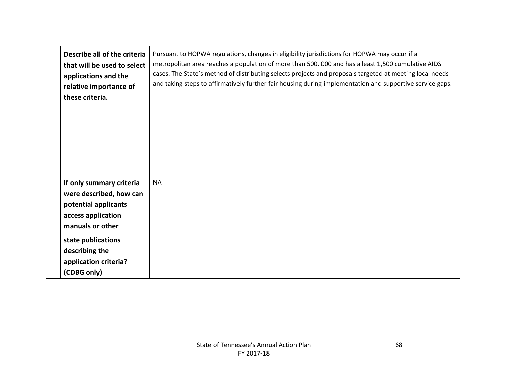| Describe all of the criteria<br>that will be used to select<br>applications and the<br>relative importance of<br>these criteria. | Pursuant to HOPWA regulations, changes in eligibility jurisdictions for HOPWA may occur if a<br>metropolitan area reaches a population of more than 500, 000 and has a least 1,500 cumulative AIDS<br>cases. The State's method of distributing selects projects and proposals targeted at meeting local needs<br>and taking steps to affirmatively further fair housing during implementation and supportive service gaps. |
|----------------------------------------------------------------------------------------------------------------------------------|-----------------------------------------------------------------------------------------------------------------------------------------------------------------------------------------------------------------------------------------------------------------------------------------------------------------------------------------------------------------------------------------------------------------------------|
| If only summary criteria<br>were described, how can                                                                              | <b>NA</b>                                                                                                                                                                                                                                                                                                                                                                                                                   |
| potential applicants<br>access application                                                                                       |                                                                                                                                                                                                                                                                                                                                                                                                                             |
| manuals or other                                                                                                                 |                                                                                                                                                                                                                                                                                                                                                                                                                             |
| state publications                                                                                                               |                                                                                                                                                                                                                                                                                                                                                                                                                             |
| describing the                                                                                                                   |                                                                                                                                                                                                                                                                                                                                                                                                                             |
| application criteria?                                                                                                            |                                                                                                                                                                                                                                                                                                                                                                                                                             |
| (CDBG only)                                                                                                                      |                                                                                                                                                                                                                                                                                                                                                                                                                             |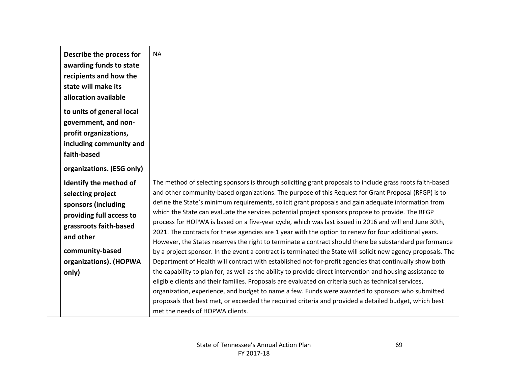| Describe the process for<br>awarding funds to state<br>recipients and how the<br>state will make its<br>allocation available                                                                                             | <b>NA</b>                                                                                                                                                                                                                                                                                                                                                                                                                                                                                                                                                                                                                                                                                                                                                                                                                                                                                                                                                                                                                                                                                                                                                                                                                                                                                                                                                                                                                |
|--------------------------------------------------------------------------------------------------------------------------------------------------------------------------------------------------------------------------|--------------------------------------------------------------------------------------------------------------------------------------------------------------------------------------------------------------------------------------------------------------------------------------------------------------------------------------------------------------------------------------------------------------------------------------------------------------------------------------------------------------------------------------------------------------------------------------------------------------------------------------------------------------------------------------------------------------------------------------------------------------------------------------------------------------------------------------------------------------------------------------------------------------------------------------------------------------------------------------------------------------------------------------------------------------------------------------------------------------------------------------------------------------------------------------------------------------------------------------------------------------------------------------------------------------------------------------------------------------------------------------------------------------------------|
| to units of general local<br>government, and non-<br>profit organizations,<br>including community and<br>faith-based                                                                                                     |                                                                                                                                                                                                                                                                                                                                                                                                                                                                                                                                                                                                                                                                                                                                                                                                                                                                                                                                                                                                                                                                                                                                                                                                                                                                                                                                                                                                                          |
| organizations. (ESG only)<br>Identify the method of<br>selecting project<br>sponsors (including<br>providing full access to<br>grassroots faith-based<br>and other<br>community-based<br>organizations). (HOPWA<br>only) | The method of selecting sponsors is through soliciting grant proposals to include grass roots faith-based<br>and other community-based organizations. The purpose of this Request for Grant Proposal (RFGP) is to<br>define the State's minimum requirements, solicit grant proposals and gain adequate information from<br>which the State can evaluate the services potential project sponsors propose to provide. The RFGP<br>process for HOPWA is based on a five-year cycle, which was last issued in 2016 and will end June 30th,<br>2021. The contracts for these agencies are 1 year with the option to renew for four additional years.<br>However, the States reserves the right to terminate a contract should there be substandard performance<br>by a project sponsor. In the event a contract is terminated the State will solicit new agency proposals. The<br>Department of Health will contract with established not-for-profit agencies that continually show both<br>the capability to plan for, as well as the ability to provide direct intervention and housing assistance to<br>eligible clients and their families. Proposals are evaluated on criteria such as technical services,<br>organization, experience, and budget to name a few. Funds were awarded to sponsors who submitted<br>proposals that best met, or exceeded the required criteria and provided a detailed budget, which best |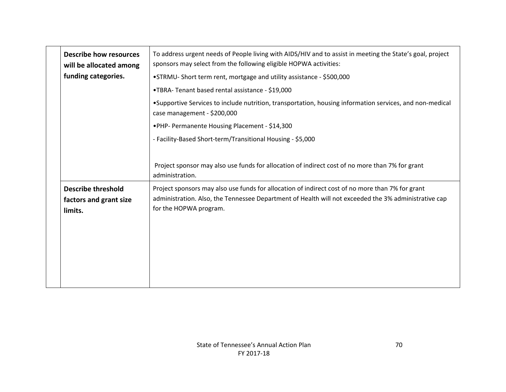| <b>Describe how resources</b><br>will be allocated among<br>funding categories. | To address urgent needs of People living with AIDS/HIV and to assist in meeting the State's goal, project<br>sponsors may select from the following eligible HOPWA activities:<br>•STRMU-Short term rent, mortgage and utility assistance - \$500,000 |
|---------------------------------------------------------------------------------|-------------------------------------------------------------------------------------------------------------------------------------------------------------------------------------------------------------------------------------------------------|
|                                                                                 |                                                                                                                                                                                                                                                       |
|                                                                                 | •TBRA-Tenant based rental assistance - \$19,000                                                                                                                                                                                                       |
|                                                                                 | •Supportive Services to include nutrition, transportation, housing information services, and non-medical<br>case management - \$200,000                                                                                                               |
|                                                                                 | • PHP- Permanente Housing Placement - \$14,300                                                                                                                                                                                                        |
|                                                                                 | - Facility-Based Short-term/Transitional Housing - \$5,000                                                                                                                                                                                            |
|                                                                                 |                                                                                                                                                                                                                                                       |
|                                                                                 | Project sponsor may also use funds for allocation of indirect cost of no more than 7% for grant<br>administration.                                                                                                                                    |
| <b>Describe threshold</b>                                                       | Project sponsors may also use funds for allocation of indirect cost of no more than 7% for grant                                                                                                                                                      |
| factors and grant size<br>limits.                                               | administration. Also, the Tennessee Department of Health will not exceeded the 3% administrative cap<br>for the HOPWA program.                                                                                                                        |
|                                                                                 |                                                                                                                                                                                                                                                       |
|                                                                                 |                                                                                                                                                                                                                                                       |
|                                                                                 |                                                                                                                                                                                                                                                       |
|                                                                                 |                                                                                                                                                                                                                                                       |
|                                                                                 |                                                                                                                                                                                                                                                       |
|                                                                                 |                                                                                                                                                                                                                                                       |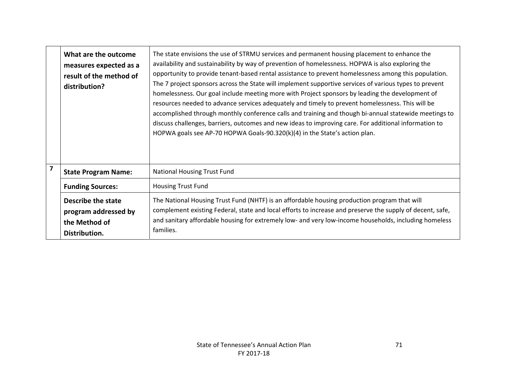|                         | What are the outcome<br>measures expected as a<br>result of the method of<br>distribution? | The state envisions the use of STRMU services and permanent housing placement to enhance the<br>availability and sustainability by way of prevention of homelessness. HOPWA is also exploring the<br>opportunity to provide tenant-based rental assistance to prevent homelessness among this population.<br>The 7 project sponsors across the State will implement supportive services of various types to prevent<br>homelessness. Our goal include meeting more with Project sponsors by leading the development of<br>resources needed to advance services adequately and timely to prevent homelessness. This will be<br>accomplished through monthly conference calls and training and though bi-annual statewide meetings to<br>discuss challenges, barriers, outcomes and new ideas to improving care. For additional information to<br>HOPWA goals see AP-70 HOPWA Goals-90.320(k)(4) in the State's action plan. |
|-------------------------|--------------------------------------------------------------------------------------------|----------------------------------------------------------------------------------------------------------------------------------------------------------------------------------------------------------------------------------------------------------------------------------------------------------------------------------------------------------------------------------------------------------------------------------------------------------------------------------------------------------------------------------------------------------------------------------------------------------------------------------------------------------------------------------------------------------------------------------------------------------------------------------------------------------------------------------------------------------------------------------------------------------------------------|
| $\overline{\mathbf{z}}$ | <b>State Program Name:</b>                                                                 | National Housing Trust Fund                                                                                                                                                                                                                                                                                                                                                                                                                                                                                                                                                                                                                                                                                                                                                                                                                                                                                                |
|                         | <b>Funding Sources:</b>                                                                    | <b>Housing Trust Fund</b>                                                                                                                                                                                                                                                                                                                                                                                                                                                                                                                                                                                                                                                                                                                                                                                                                                                                                                  |
|                         | Describe the state<br>program addressed by<br>the Method of<br>Distribution.               | The National Housing Trust Fund (NHTF) is an affordable housing production program that will<br>complement existing Federal, state and local efforts to increase and preserve the supply of decent, safe,<br>and sanitary affordable housing for extremely low- and very low-income households, including homeless<br>families.                                                                                                                                                                                                                                                                                                                                                                                                                                                                                                                                                                                            |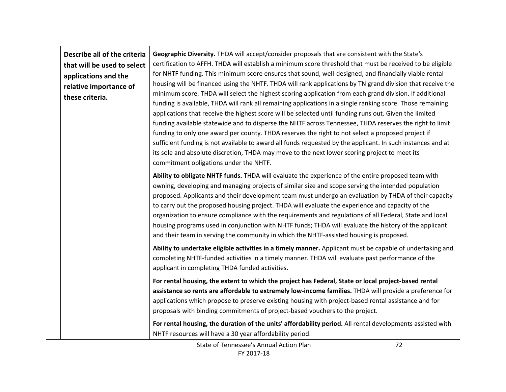| Describe all of the criteria<br>that will be used to select<br>applications and the<br>relative importance of<br>these criteria. | Geographic Diversity. THDA will accept/consider proposals that are consistent with the State's<br>certification to AFFH. THDA will establish a minimum score threshold that must be received to be eligible<br>for NHTF funding. This minimum score ensures that sound, well-designed, and financially viable rental<br>housing will be financed using the NHTF. THDA will rank applications by TN grand division that receive the<br>minimum score. THDA will select the highest scoring application from each grand division. If additional<br>funding is available, THDA will rank all remaining applications in a single ranking score. Those remaining<br>applications that receive the highest score will be selected until funding runs out. Given the limited<br>funding available statewide and to disperse the NHTF across Tennessee, THDA reserves the right to limit<br>funding to only one award per county. THDA reserves the right to not select a proposed project if<br>sufficient funding is not available to award all funds requested by the applicant. In such instances and at<br>its sole and absolute discretion, THDA may move to the next lower scoring project to meet its<br>commitment obligations under the NHTF. |
|----------------------------------------------------------------------------------------------------------------------------------|-------------------------------------------------------------------------------------------------------------------------------------------------------------------------------------------------------------------------------------------------------------------------------------------------------------------------------------------------------------------------------------------------------------------------------------------------------------------------------------------------------------------------------------------------------------------------------------------------------------------------------------------------------------------------------------------------------------------------------------------------------------------------------------------------------------------------------------------------------------------------------------------------------------------------------------------------------------------------------------------------------------------------------------------------------------------------------------------------------------------------------------------------------------------------------------------------------------------------------------------------|
|                                                                                                                                  | Ability to obligate NHTF funds. THDA will evaluate the experience of the entire proposed team with<br>owning, developing and managing projects of similar size and scope serving the intended population<br>proposed. Applicants and their development team must undergo an evaluation by THDA of their capacity<br>to carry out the proposed housing project. THDA will evaluate the experience and capacity of the<br>organization to ensure compliance with the requirements and regulations of all Federal, State and local<br>housing programs used in conjunction with NHTF funds; THDA will evaluate the history of the applicant<br>and their team in serving the community in which the NHTF-assisted housing is proposed.                                                                                                                                                                                                                                                                                                                                                                                                                                                                                                             |
|                                                                                                                                  | Ability to undertake eligible activities in a timely manner. Applicant must be capable of undertaking and<br>completing NHTF-funded activities in a timely manner. THDA will evaluate past performance of the<br>applicant in completing THDA funded activities.                                                                                                                                                                                                                                                                                                                                                                                                                                                                                                                                                                                                                                                                                                                                                                                                                                                                                                                                                                                |
|                                                                                                                                  | For rental housing, the extent to which the project has Federal, State or local project-based rental<br>assistance so rents are affordable to extremely low-income families. THDA will provide a preference for<br>applications which propose to preserve existing housing with project-based rental assistance and for<br>proposals with binding commitments of project-based vouchers to the project.                                                                                                                                                                                                                                                                                                                                                                                                                                                                                                                                                                                                                                                                                                                                                                                                                                         |
|                                                                                                                                  | For rental housing, the duration of the units' affordability period. All rental developments assisted with<br>NHTF resources will have a 30 year affordability period.                                                                                                                                                                                                                                                                                                                                                                                                                                                                                                                                                                                                                                                                                                                                                                                                                                                                                                                                                                                                                                                                          |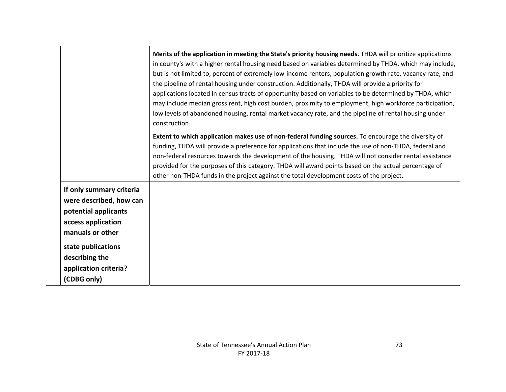|                                                                                                                                                                                                       | Merits of the application in meeting the State's priority housing needs. THDA will prioritize applications<br>in county's with a higher rental housing need based on variables determined by THDA, which may include,<br>but is not limited to, percent of extremely low-income renters, population growth rate, vacancy rate, and<br>the pipeline of rental housing under construction. Additionally, THDA will provide a priority for<br>applications located in census tracts of opportunity based on variables to be determined by THDA, which<br>may include median gross rent, high cost burden, proximity to employment, high workforce participation,<br>low levels of abandoned housing, rental market vacancy rate, and the pipeline of rental housing under<br>construction. |
|-------------------------------------------------------------------------------------------------------------------------------------------------------------------------------------------------------|-----------------------------------------------------------------------------------------------------------------------------------------------------------------------------------------------------------------------------------------------------------------------------------------------------------------------------------------------------------------------------------------------------------------------------------------------------------------------------------------------------------------------------------------------------------------------------------------------------------------------------------------------------------------------------------------------------------------------------------------------------------------------------------------|
|                                                                                                                                                                                                       | Extent to which application makes use of non-federal funding sources. To encourage the diversity of<br>funding, THDA will provide a preference for applications that include the use of non-THDA, federal and<br>non-federal resources towards the development of the housing. THDA will not consider rental assistance<br>provided for the purposes of this category. THDA will award points based on the actual percentage of<br>other non-THDA funds in the project against the total development costs of the project.                                                                                                                                                                                                                                                              |
| If only summary criteria<br>were described, how can<br>potential applicants<br>access application<br>manuals or other<br>state publications<br>describing the<br>application criteria?<br>(CDBG only) |                                                                                                                                                                                                                                                                                                                                                                                                                                                                                                                                                                                                                                                                                                                                                                                         |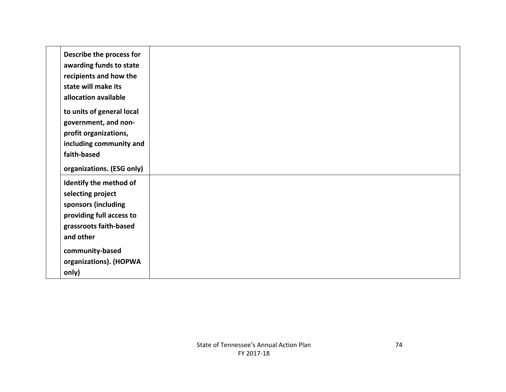| Describe the process for  |  |
|---------------------------|--|
| awarding funds to state   |  |
| recipients and how the    |  |
|                           |  |
| state will make its       |  |
| allocation available      |  |
| to units of general local |  |
| government, and non-      |  |
|                           |  |
| profit organizations,     |  |
| including community and   |  |
| faith-based               |  |
| organizations. (ESG only) |  |
|                           |  |
| Identify the method of    |  |
| selecting project         |  |
| sponsors (including       |  |
| providing full access to  |  |
| grassroots faith-based    |  |
| and other                 |  |
|                           |  |
| community-based           |  |
| organizations). (HOPWA    |  |
| only)                     |  |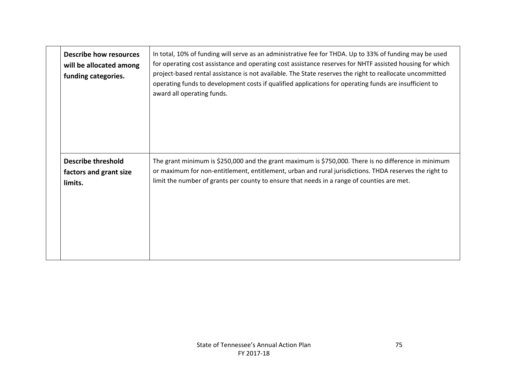| <b>Describe how resources</b><br>will be allocated among<br>funding categories. | In total, 10% of funding will serve as an administrative fee for THDA. Up to 33% of funding may be used<br>for operating cost assistance and operating cost assistance reserves for NHTF assisted housing for which<br>project-based rental assistance is not available. The State reserves the right to reallocate uncommitted<br>operating funds to development costs if qualified applications for operating funds are insufficient to<br>award all operating funds. |
|---------------------------------------------------------------------------------|-------------------------------------------------------------------------------------------------------------------------------------------------------------------------------------------------------------------------------------------------------------------------------------------------------------------------------------------------------------------------------------------------------------------------------------------------------------------------|
| <b>Describe threshold</b><br>factors and grant size<br>limits.                  | The grant minimum is \$250,000 and the grant maximum is \$750,000. There is no difference in minimum<br>or maximum for non-entitlement, entitlement, urban and rural jurisdictions. THDA reserves the right to<br>limit the number of grants per county to ensure that needs in a range of counties are met.                                                                                                                                                            |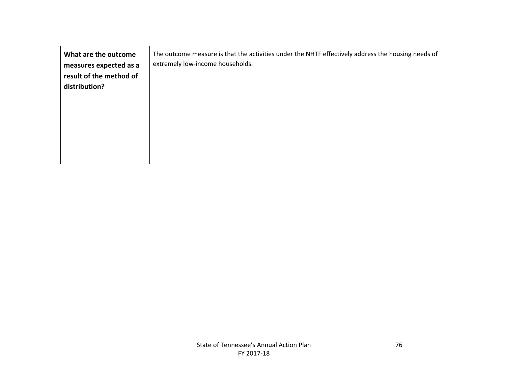| What are the outcome<br>measures expected as a<br>result of the method of<br>distribution? | The outcome measure is that the activities under the NHTF effectively address the housing needs of<br>extremely low-income households. |
|--------------------------------------------------------------------------------------------|----------------------------------------------------------------------------------------------------------------------------------------|
|                                                                                            |                                                                                                                                        |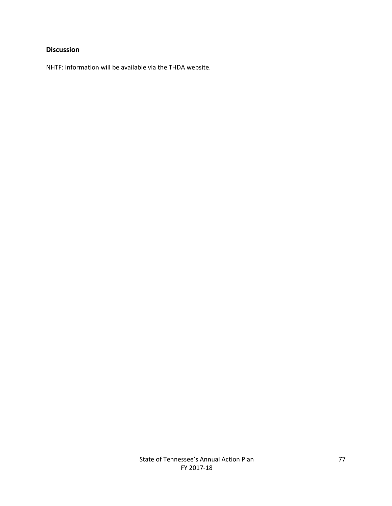#### **Discussion**

NHTF: information will be available via the THDA website.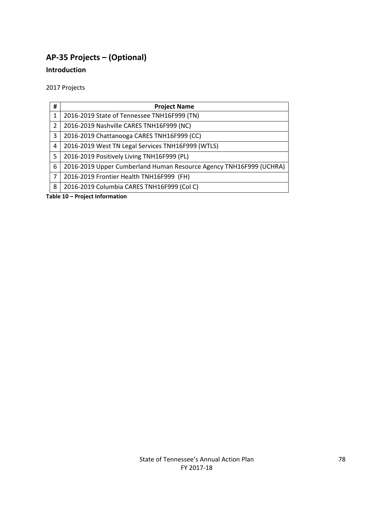# **AP‐35 Projects – (Optional)**

#### **Introduction**

Projects

| #            | <b>Project Name</b>                                                |
|--------------|--------------------------------------------------------------------|
| $\mathbf{1}$ | 2016-2019 State of Tennessee TNH16F999 (TN)                        |
| 2            | 2016-2019 Nashville CARES TNH16F999 (NC)                           |
| 3            | 2016-2019 Chattanooga CARES TNH16F999 (CC)                         |
| 4            | 2016-2019 West TN Legal Services TNH16F999 (WTLS)                  |
| 5            | 2016-2019 Positively Living TNH16F999 (PL)                         |
| 6            | 2016-2019 Upper Cumberland Human Resource Agency TNH16F999 (UCHRA) |
| 7            | 2016-2019 Frontier Health TNH16F999 (FH)                           |
| 8            | 2016-2019 Columbia CARES TNH16F999 (Col C)                         |

**Table 10 – Project Information**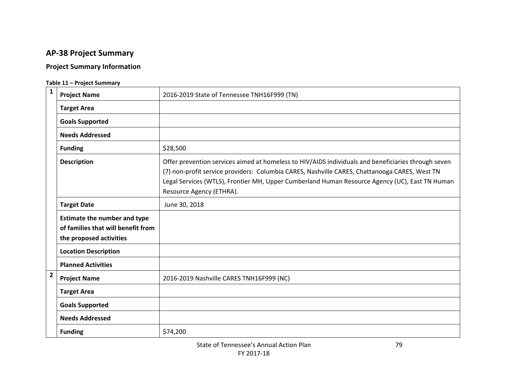## **AP‐38 Project Summary**

## **Project Summary Information**

#### **Table 11 – Project Summary**

| $\mathbf 1$    | <b>Project Name</b>                                                                                  | 2016-2019 State of Tennessee TNH16F999 (TN)                                                                                                                                                                                                                                                                                        |
|----------------|------------------------------------------------------------------------------------------------------|------------------------------------------------------------------------------------------------------------------------------------------------------------------------------------------------------------------------------------------------------------------------------------------------------------------------------------|
|                | <b>Target Area</b>                                                                                   |                                                                                                                                                                                                                                                                                                                                    |
|                | <b>Goals Supported</b>                                                                               |                                                                                                                                                                                                                                                                                                                                    |
|                | <b>Needs Addressed</b>                                                                               |                                                                                                                                                                                                                                                                                                                                    |
|                | <b>Funding</b>                                                                                       | \$28,500                                                                                                                                                                                                                                                                                                                           |
|                | <b>Description</b>                                                                                   | Offer prevention services aimed at homeless to HIV/AIDS individuals and beneficiaries through seven<br>(7) non-profit service providers: Columbia CARES, Nashville CARES, Chattanooga CARES, West TN<br>Legal Services (WTLS), Frontier MH, Upper Cumberland Human Resource Agency (UC), East TN Human<br>Resource Agency (ETHRA). |
|                | <b>Target Date</b>                                                                                   | June 30, 2018                                                                                                                                                                                                                                                                                                                      |
|                | <b>Estimate the number and type</b><br>of families that will benefit from<br>the proposed activities |                                                                                                                                                                                                                                                                                                                                    |
|                | <b>Location Description</b>                                                                          |                                                                                                                                                                                                                                                                                                                                    |
|                | <b>Planned Activities</b>                                                                            |                                                                                                                                                                                                                                                                                                                                    |
| $\overline{2}$ | <b>Project Name</b>                                                                                  | 2016-2019 Nashville CARES TNH16F999 (NC)                                                                                                                                                                                                                                                                                           |
|                | <b>Target Area</b>                                                                                   |                                                                                                                                                                                                                                                                                                                                    |
|                | <b>Goals Supported</b>                                                                               |                                                                                                                                                                                                                                                                                                                                    |
|                | <b>Needs Addressed</b>                                                                               |                                                                                                                                                                                                                                                                                                                                    |
|                | <b>Funding</b>                                                                                       | \$74,200                                                                                                                                                                                                                                                                                                                           |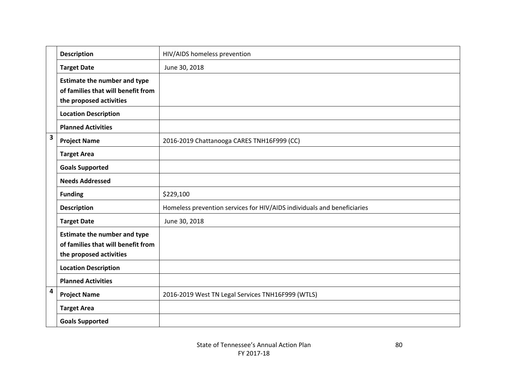|                         | <b>Description</b>                                                                                   | HIV/AIDS homeless prevention                                            |
|-------------------------|------------------------------------------------------------------------------------------------------|-------------------------------------------------------------------------|
|                         | <b>Target Date</b>                                                                                   | June 30, 2018                                                           |
|                         | <b>Estimate the number and type</b><br>of families that will benefit from<br>the proposed activities |                                                                         |
|                         | <b>Location Description</b>                                                                          |                                                                         |
|                         | <b>Planned Activities</b>                                                                            |                                                                         |
| $\overline{\mathbf{3}}$ | <b>Project Name</b>                                                                                  | 2016-2019 Chattanooga CARES TNH16F999 (CC)                              |
|                         | <b>Target Area</b>                                                                                   |                                                                         |
|                         | <b>Goals Supported</b>                                                                               |                                                                         |
|                         | <b>Needs Addressed</b>                                                                               |                                                                         |
|                         | <b>Funding</b>                                                                                       | \$229,100                                                               |
|                         | <b>Description</b>                                                                                   | Homeless prevention services for HIV/AIDS individuals and beneficiaries |
|                         | <b>Target Date</b>                                                                                   | June 30, 2018                                                           |
|                         | <b>Estimate the number and type</b><br>of families that will benefit from<br>the proposed activities |                                                                         |
|                         | <b>Location Description</b>                                                                          |                                                                         |
|                         | <b>Planned Activities</b>                                                                            |                                                                         |
| $\overline{\mathbf{4}}$ | <b>Project Name</b>                                                                                  | 2016-2019 West TN Legal Services TNH16F999 (WTLS)                       |
|                         | <b>Target Area</b>                                                                                   |                                                                         |
|                         | <b>Goals Supported</b>                                                                               |                                                                         |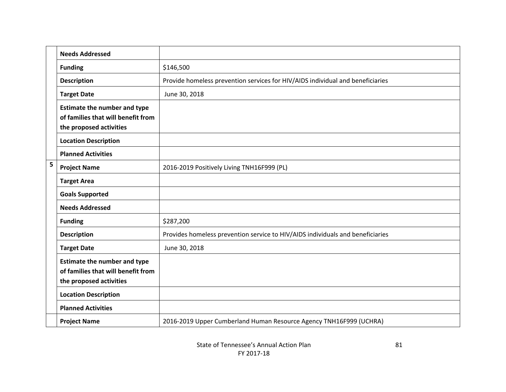|   | <b>Needs Addressed</b>                                                                               |                                                                                |
|---|------------------------------------------------------------------------------------------------------|--------------------------------------------------------------------------------|
|   | <b>Funding</b>                                                                                       | \$146,500                                                                      |
|   | <b>Description</b>                                                                                   | Provide homeless prevention services for HIV/AIDS individual and beneficiaries |
|   | <b>Target Date</b>                                                                                   | June 30, 2018                                                                  |
|   | <b>Estimate the number and type</b><br>of families that will benefit from<br>the proposed activities |                                                                                |
|   | <b>Location Description</b>                                                                          |                                                                                |
|   | <b>Planned Activities</b>                                                                            |                                                                                |
| 5 | <b>Project Name</b>                                                                                  | 2016-2019 Positively Living TNH16F999 (PL)                                     |
|   | <b>Target Area</b>                                                                                   |                                                                                |
|   | <b>Goals Supported</b>                                                                               |                                                                                |
|   | <b>Needs Addressed</b>                                                                               |                                                                                |
|   | <b>Funding</b>                                                                                       | \$287,200                                                                      |
|   | <b>Description</b>                                                                                   | Provides homeless prevention service to HIV/AIDS individuals and beneficiaries |
|   | <b>Target Date</b>                                                                                   | June 30, 2018                                                                  |
|   | <b>Estimate the number and type</b><br>of families that will benefit from<br>the proposed activities |                                                                                |
|   | <b>Location Description</b>                                                                          |                                                                                |
|   | <b>Planned Activities</b>                                                                            |                                                                                |
|   | <b>Project Name</b>                                                                                  | 2016-2019 Upper Cumberland Human Resource Agency TNH16F999 (UCHRA)             |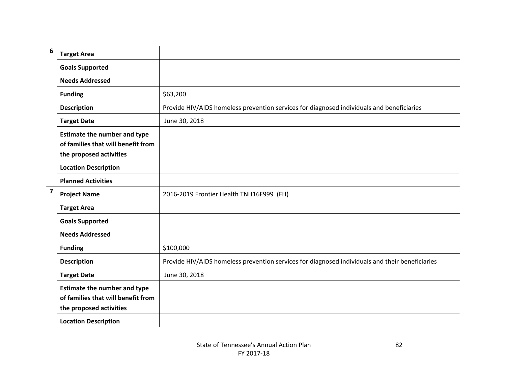| 6                       | <b>Target Area</b>                                                                                   |                                                                                                 |
|-------------------------|------------------------------------------------------------------------------------------------------|-------------------------------------------------------------------------------------------------|
|                         | <b>Goals Supported</b>                                                                               |                                                                                                 |
|                         | <b>Needs Addressed</b>                                                                               |                                                                                                 |
|                         | <b>Funding</b>                                                                                       | \$63,200                                                                                        |
|                         | <b>Description</b>                                                                                   | Provide HIV/AIDS homeless prevention services for diagnosed individuals and beneficiaries       |
|                         | <b>Target Date</b>                                                                                   | June 30, 2018                                                                                   |
|                         | <b>Estimate the number and type</b><br>of families that will benefit from<br>the proposed activities |                                                                                                 |
|                         | <b>Location Description</b>                                                                          |                                                                                                 |
|                         | <b>Planned Activities</b>                                                                            |                                                                                                 |
| $\overline{\mathbf{z}}$ | <b>Project Name</b>                                                                                  | 2016-2019 Frontier Health TNH16F999 (FH)                                                        |
|                         | <b>Target Area</b>                                                                                   |                                                                                                 |
|                         | <b>Goals Supported</b>                                                                               |                                                                                                 |
|                         | <b>Needs Addressed</b>                                                                               |                                                                                                 |
|                         | <b>Funding</b>                                                                                       | \$100,000                                                                                       |
|                         | <b>Description</b>                                                                                   | Provide HIV/AIDS homeless prevention services for diagnosed individuals and their beneficiaries |
|                         | <b>Target Date</b>                                                                                   | June 30, 2018                                                                                   |
|                         | <b>Estimate the number and type</b><br>of families that will benefit from<br>the proposed activities |                                                                                                 |
|                         | <b>Location Description</b>                                                                          |                                                                                                 |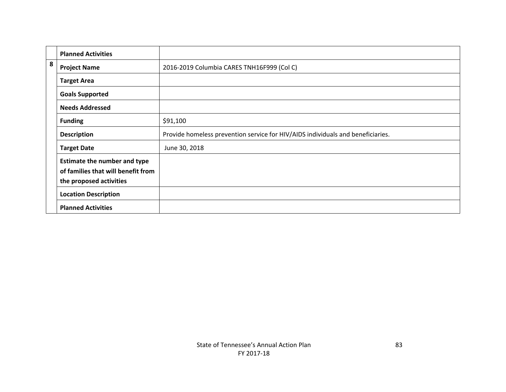|   | <b>Planned Activities</b>                                                                            |                                                                                 |
|---|------------------------------------------------------------------------------------------------------|---------------------------------------------------------------------------------|
| 8 | <b>Project Name</b>                                                                                  | 2016-2019 Columbia CARES TNH16F999 (Col C)                                      |
|   | <b>Target Area</b>                                                                                   |                                                                                 |
|   | <b>Goals Supported</b>                                                                               |                                                                                 |
|   | <b>Needs Addressed</b>                                                                               |                                                                                 |
|   | <b>Funding</b>                                                                                       | \$91,100                                                                        |
|   | <b>Description</b>                                                                                   | Provide homeless prevention service for HIV/AIDS individuals and beneficiaries. |
|   | <b>Target Date</b>                                                                                   | June 30, 2018                                                                   |
|   | <b>Estimate the number and type</b><br>of families that will benefit from<br>the proposed activities |                                                                                 |
|   | <b>Location Description</b>                                                                          |                                                                                 |
|   | <b>Planned Activities</b>                                                                            |                                                                                 |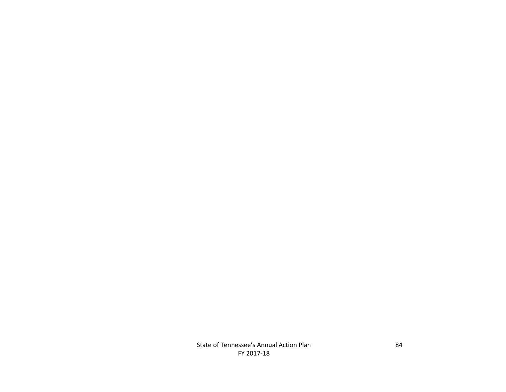State of Tennessee's Annual Action Plan FY 2017‐18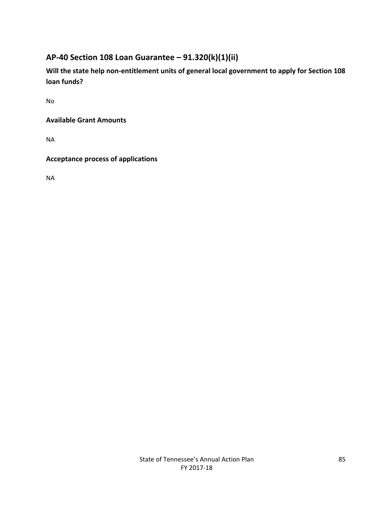# **AP‐40 Section 108 Loan Guarantee – 91.320(k)(1)(ii)**

**Will the state help non‐entitlement units of general local government to apply for Section 108 loan funds?**

No

**Available Grant Amounts** 

NA

**Acceptance process of applications** 

NA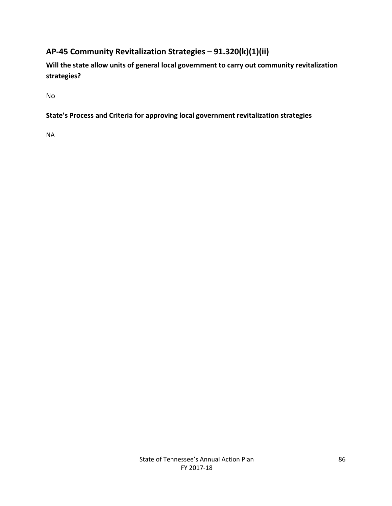# **AP‐45 Community Revitalization Strategies – 91.320(k)(1)(ii)**

**Will the state allow units of general local government to carry out community revitalization strategies?**

No

## **State's Process and Criteria for approving local government revitalization strategies**

NA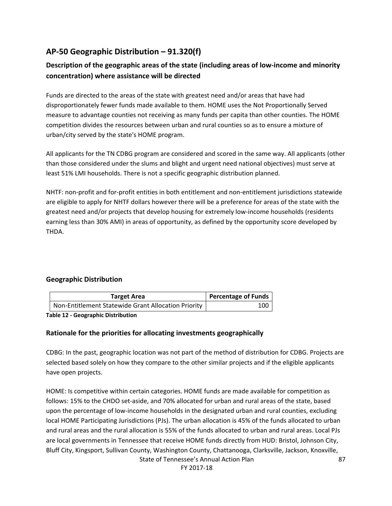# **AP‐50 Geographic Distribution – 91.320(f)**

## **Description of the geographic areas of the state (including areas of low‐income and minority concentration) where assistance will be directed**

Funds are directed to the areas of the state with greatest need and/or areas that have had disproportionately fewer funds made available to them. HOME uses the Not Proportionally Served measure to advantage counties not receiving as many funds per capita than other counties. The HOME competition divides the resources between urban and rural counties so as to ensure a mixture of urban/city served by the state's HOME program.

All applicants for the TN CDBG program are considered and scored in the same way. All applicants (other than those considered under the slums and blight and urgent need national objectives) must serve at least 51% LMI households. There is not a specific geographic distribution planned.

NHTF: non‐profit and for‐profit entities in both entitlement and non‐entitlement jurisdictions statewide are eligible to apply for NHTF dollars however there will be a preference for areas of the state with the greatest need and/or projects that develop housing for extremely low‐income households (residents earning less than 30% AMI) in areas of opportunity, as defined by the opportunity score developed by THDA.

### **Geographic Distribution**

| Target Area                                         | <b>Percentage of Funds</b> |
|-----------------------------------------------------|----------------------------|
| Non-Entitlement Statewide Grant Allocation Priority | 100                        |

**Table 12 ‐ Geographic Distribution** 

#### **Rationale for the priorities for allocating investments geographically**

CDBG: In the past, geographic location was not part of the method of distribution for CDBG. Projects are selected based solely on how they compare to the other similar projects and if the eligible applicants have open projects.

State of Tennessee's Annual Action Plan HOME: Is competitive within certain categories. HOME funds are made available for competition as follows: 15% to the CHDO set‐aside, and 70% allocated for urban and rural areas of the state, based upon the percentage of low-income households in the designated urban and rural counties, excluding local HOME Participating Jurisdictions (PJs). The urban allocation is 45% of the funds allocated to urban and rural areas and the rural allocation is 55% of the funds allocated to urban and rural areas. Local PJs are local governments in Tennessee that receive HOME funds directly from HUD: Bristol, Johnson City, Bluff City, Kingsport, Sullivan County, Washington County, Chattanooga, Clarksville, Jackson, Knoxville,

FY 2017‐18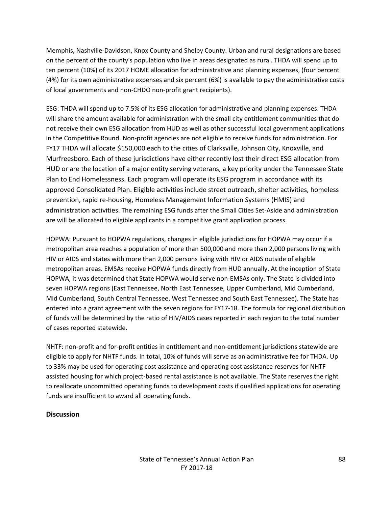Memphis, Nashville‐Davidson, Knox County and Shelby County. Urban and rural designations are based on the percent of the county's population who live in areas designated as rural. THDA will spend up to ten percent (10%) of its 2017 HOME allocation for administrative and planning expenses, (four percent (4%) for its own administrative expenses and six percent (6%) is available to pay the administrative costs of local governments and non‐CHDO non‐profit grant recipients).

ESG: THDA will spend up to 7.5% of its ESG allocation for administrative and planning expenses. THDA will share the amount available for administration with the small city entitlement communities that do not receive their own ESG allocation from HUD as well as other successful local government applications in the Competitive Round. Non‐profit agencies are not eligible to receive funds for administration. For FY17 THDA will allocate \$150,000 each to the cities of Clarksville, Johnson City, Knoxville, and Murfreesboro. Each of these jurisdictions have either recently lost their direct ESG allocation from HUD or are the location of a major entity serving veterans, a key priority under the Tennessee State Plan to End Homelessness. Each program will operate its ESG program in accordance with its approved Consolidated Plan. Eligible activities include street outreach, shelter activities, homeless prevention, rapid re‐housing, Homeless Management Information Systems (HMIS) and administration activities. The remaining ESG funds after the Small Cities Set‐Aside and administration are will be allocated to eligible applicants in a competitive grant application process.

HOPWA: Pursuant to HOPWA regulations, changes in eligible jurisdictions for HOPWA may occur if a metropolitan area reaches a population of more than 500,000 and more than 2,000 persons living with HIV or AIDS and states with more than 2,000 persons living with HIV or AIDS outside of eligible metropolitan areas. EMSAs receive HOPWA funds directly from HUD annually. At the inception of State HOPWA, it was determined that State HOPWA would serve non‐EMSAs only. The State is divided into seven HOPWA regions (East Tennessee, North East Tennessee, Upper Cumberland, Mid Cumberland, Mid Cumberland, South Central Tennessee, West Tennessee and South East Tennessee). The State has entered into a grant agreement with the seven regions for FY17‐18. The formula for regional distribution of funds will be determined by the ratio of HIV/AIDS cases reported in each region to the total number of cases reported statewide.

NHTF: non‐profit and for‐profit entities in entitlement and non‐entitlement jurisdictions statewide are eligible to apply for NHTF funds. In total, 10% of funds will serve as an administrative fee for THDA. Up to 33% may be used for operating cost assistance and operating cost assistance reserves for NHTF assisted housing for which project‐based rental assistance is not available. The State reserves the right to reallocate uncommitted operating funds to development costs if qualified applications for operating funds are insufficient to award all operating funds.

#### **Discussion**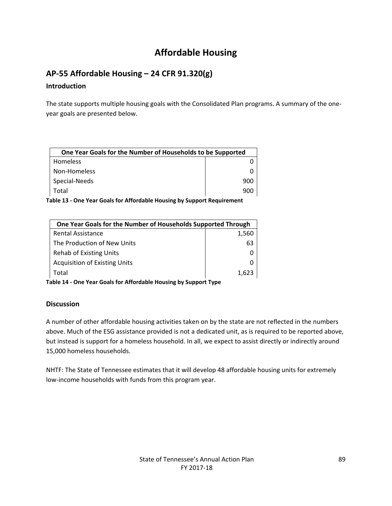# **Affordable Housing**

# **AP‐55 Affordable Housing – 24 CFR 91.320(g)**

### **Introduction**

The state supports multiple housing goals with the Consolidated Plan programs. A summary of the one‐ year goals are presented below.

| One Year Goals for the Number of Households to be Supported |     |
|-------------------------------------------------------------|-----|
| <b>Homeless</b>                                             |     |
| Non-Homeless                                                |     |
| Special-Needs                                               | 900 |
| Total                                                       | 900 |

**Table 13 ‐ One Year Goals for Affordable Housing by Support Requirement**

| One Year Goals for the Number of Households Supported Through |       |
|---------------------------------------------------------------|-------|
| <b>Rental Assistance</b>                                      | 1,560 |
| The Production of New Units                                   | 63    |
| <b>Rehab of Existing Units</b>                                |       |
| <b>Acquisition of Existing Units</b>                          |       |
| Total                                                         | 1.623 |

**Table 14 ‐ One Year Goals for Affordable Housing by Support Type**

## **Discussion**

A number of other affordable housing activities taken on by the state are not reflected in the numbers above. Much of the ESG assistance provided is not a dedicated unit, as is required to be reported above, but instead is support for a homeless household. In all, we expect to assist directly or indirectly around 15,000 homeless households.

NHTF: The State of Tennessee estimates that it will develop 48 affordable housing units for extremely low‐income households with funds from this program year.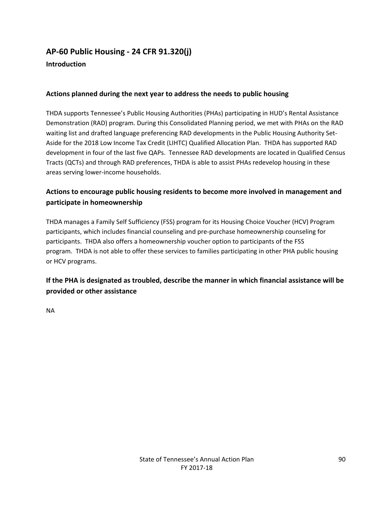# **AP‐60 Public Housing ‐ 24 CFR 91.320(j) Introduction**

#### **Actions planned during the next year to address the needs to public housing**

THDA supports Tennessee's Public Housing Authorities (PHAs) participating in HUD's Rental Assistance Demonstration (RAD) program. During this Consolidated Planning period, we met with PHAs on the RAD waiting list and drafted language preferencing RAD developments in the Public Housing Authority Set-Aside for the 2018 Low Income Tax Credit (LIHTC) Qualified Allocation Plan. THDA has supported RAD development in four of the last five QAPs. Tennessee RAD developments are located in Qualified Census Tracts (QCTs) and through RAD preferences, THDA is able to assist PHAs redevelop housing in these areas serving lower‐income households.

## **Actions to encourage public housing residents to become more involved in management and participate in homeownership**

THDA manages a Family Self Sufficiency (FSS) program for its Housing Choice Voucher (HCV) Program participants, which includes financial counseling and pre‐purchase homeownership counseling for participants. THDA also offers a homeownership voucher option to participants of the FSS program. THDA is not able to offer these services to families participating in other PHA public housing or HCV programs.

## **If the PHA is designated as troubled, describe the manner in which financial assistance will be provided or other assistance**

NA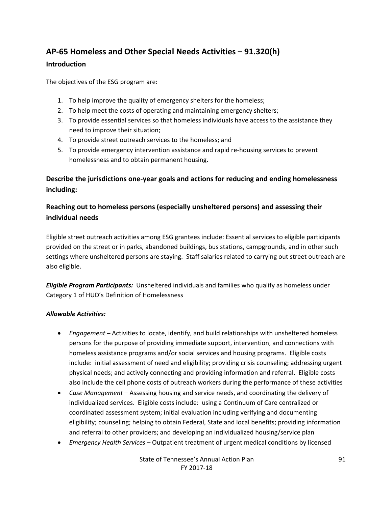# **AP‐65 Homeless and Other Special Needs Activities – 91.320(h)**

#### **Introduction**

The objectives of the ESG program are:

- 1. To help improve the quality of emergency shelters for the homeless;
- 2. To help meet the costs of operating and maintaining emergency shelters;
- 3. To provide essential services so that homeless individuals have access to the assistance they need to improve their situation;
- 4. To provide street outreach services to the homeless; and
- 5. To provide emergency intervention assistance and rapid re-housing services to prevent homelessness and to obtain permanent housing.

**Describe the jurisdictions one‐year goals and actions for reducing and ending homelessness including:**

## **Reaching out to homeless persons (especially unsheltered persons) and assessing their individual needs**

Eligible street outreach activities among ESG grantees include: Essential services to eligible participants provided on the street or in parks, abandoned buildings, bus stations, campgrounds, and in other such settings where unsheltered persons are staying. Staff salaries related to carrying out street outreach are also eligible.

*Eligible Program Participants:* Unsheltered individuals and families who qualify as homeless under Category 1 of HUD's Definition of Homelessness

#### *Allowable Activities:*

- *Engagement* **–** Activities to locate, identify, and build relationships with unsheltered homeless persons for the purpose of providing immediate support, intervention, and connections with homeless assistance programs and/or social services and housing programs. Eligible costs include: initial assessment of need and eligibility; providing crisis counseling; addressing urgent physical needs; and actively connecting and providing information and referral. Eligible costs also include the cell phone costs of outreach workers during the performance of these activities
- *Case Management* Assessing housing and service needs, and coordinating the delivery of individualized services. Eligible costs include: using a Continuum of Care centralized or coordinated assessment system; initial evaluation including verifying and documenting eligibility; counseling; helping to obtain Federal, State and local benefits; providing information and referral to other providers; and developing an individualized housing/service plan
- *Emergency Health Services* Outpatient treatment of urgent medical conditions by licensed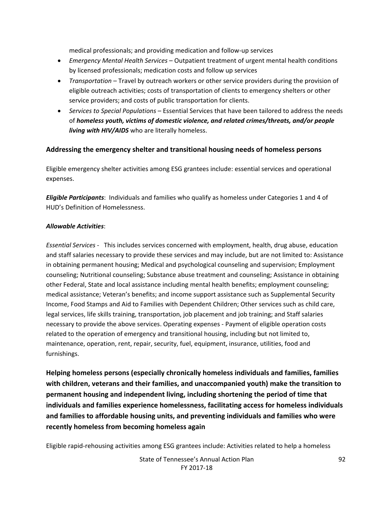medical professionals; and providing medication and follow‐up services

- *Emergency Mental Health Services* Outpatient treatment of urgent mental health conditions by licensed professionals; medication costs and follow up services
- *Transportation* Travel by outreach workers or other service providers during the provision of eligible outreach activities; costs of transportation of clients to emergency shelters or other service providers; and costs of public transportation for clients.
- *Services to Special Populations* Essential Services that have been tailored to address the needs of *homeless youth, victims of domestic violence, and related crimes/threats, and/or people living with HIV/AIDS* who are literally homeless.

#### **Addressing the emergency shelter and transitional housing needs of homeless persons**

Eligible emergency shelter activities among ESG grantees include: essential services and operational expenses.

*Eligible Participants*: Individuals and families who qualify as homeless under Categories 1 and 4 of HUD's Definition of Homelessness.

#### *Allowable Activities*:

*Essential Services* ‐ This includes services concerned with employment, health, drug abuse, education and staff salaries necessary to provide these services and may include, but are not limited to: Assistance in obtaining permanent housing; Medical and psychological counseling and supervision; Employment counseling; Nutritional counseling; Substance abuse treatment and counseling; Assistance in obtaining other Federal, State and local assistance including mental health benefits; employment counseling; medical assistance; Veteran's benefits; and income support assistance such as Supplemental Security Income, Food Stamps and Aid to Families with Dependent Children; Other services such as child care, legal services, life skills training, transportation, job placement and job training; and Staff salaries necessary to provide the above services. Operating expenses ‐ Payment of eligible operation costs related to the operation of emergency and transitional housing, including but not limited to, maintenance, operation, rent, repair, security, fuel, equipment, insurance, utilities, food and furnishings.

**Helping homeless persons (especially chronically homeless individuals and families, families with children, veterans and their families, and unaccompanied youth) make the transition to permanent housing and independent living, including shortening the period of time that individuals and families experience homelessness, facilitating access for homeless individuals and families to affordable housing units, and preventing individuals and families who were recently homeless from becoming homeless again**

Eligible rapid‐rehousing activities among ESG grantees include: Activities related to help a homeless

State of Tennessee's Annual Action Plan FY 2017‐18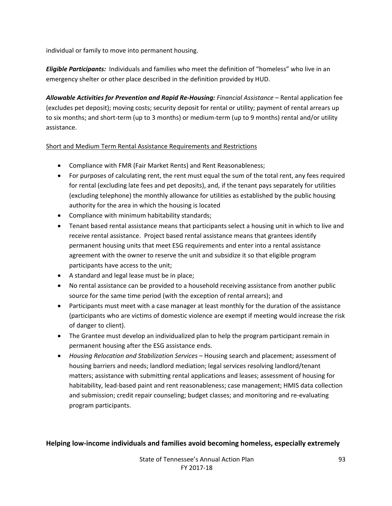individual or family to move into permanent housing.

*Eligible Participants:* Individuals and families who meet the definition of "homeless" who live in an emergency shelter or other place described in the definition provided by HUD.

*Allowable Activities for Prevention and Rapid Re‐Housing: Financial Assistance* – Rental application fee (excludes pet deposit); moving costs; security deposit for rental or utility; payment of rental arrears up to six months; and short-term (up to 3 months) or medium-term (up to 9 months) rental and/or utility assistance.

#### Short and Medium Term Rental Assistance Requirements and Restrictions

- Compliance with FMR (Fair Market Rents) and Rent Reasonableness;
- For purposes of calculating rent, the rent must equal the sum of the total rent, any fees required for rental (excluding late fees and pet deposits), and, if the tenant pays separately for utilities (excluding telephone) the monthly allowance for utilities as established by the public housing authority for the area in which the housing is located
- Compliance with minimum habitability standards;
- Tenant based rental assistance means that participants select a housing unit in which to live and receive rental assistance. Project based rental assistance means that grantees identify permanent housing units that meet ESG requirements and enter into a rental assistance agreement with the owner to reserve the unit and subsidize it so that eligible program participants have access to the unit;
- A standard and legal lease must be in place;
- No rental assistance can be provided to a household receiving assistance from another public source for the same time period (with the exception of rental arrears); and
- Participants must meet with a case manager at least monthly for the duration of the assistance (participants who are victims of domestic violence are exempt if meeting would increase the risk of danger to client).
- The Grantee must develop an individualized plan to help the program participant remain in permanent housing after the ESG assistance ends.
- *Housing Relocation and Stabilization Services* Housing search and placement; assessment of housing barriers and needs; landlord mediation; legal services resolving landlord/tenant matters; assistance with submitting rental applications and leases; assessment of housing for habitability, lead‐based paint and rent reasonableness; case management; HMIS data collection and submission; credit repair counseling; budget classes; and monitoring and re‐evaluating program participants.

#### **Helping low‐income individuals and families avoid becoming homeless, especially extremely**

State of Tennessee's Annual Action Plan FY 2017‐18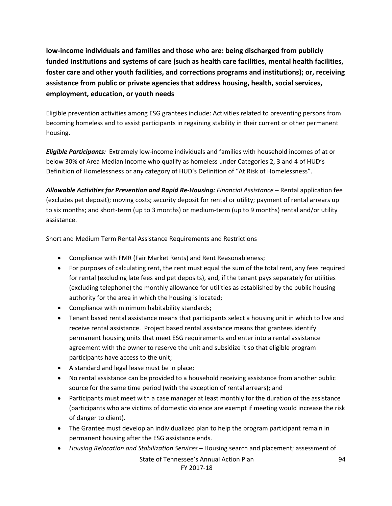**low‐income individuals and families and those who are: being discharged from publicly funded institutions and systems of care (such as health care facilities, mental health facilities, foster care and other youth facilities, and corrections programs and institutions); or, receiving assistance from public or private agencies that address housing, health, social services, employment, education, or youth needs**

Eligible prevention activities among ESG grantees include: Activities related to preventing persons from becoming homeless and to assist participants in regaining stability in their current or other permanent housing.

*Eligible Participants:* Extremely low‐income individuals and families with household incomes of at or below 30% of Area Median Income who qualify as homeless under Categories 2, 3 and 4 of HUD's Definition of Homelessness or any category of HUD's Definition of "At Risk of Homelessness".

*Allowable Activities for Prevention and Rapid Re‐Housing: Financial Assistance* – Rental application fee (excludes pet deposit); moving costs; security deposit for rental or utility; payment of rental arrears up to six months; and short-term (up to 3 months) or medium-term (up to 9 months) rental and/or utility assistance.

#### Short and Medium Term Rental Assistance Requirements and Restrictions

- Compliance with FMR (Fair Market Rents) and Rent Reasonableness;
- For purposes of calculating rent, the rent must equal the sum of the total rent, any fees required for rental (excluding late fees and pet deposits), and, if the tenant pays separately for utilities (excluding telephone) the monthly allowance for utilities as established by the public housing authority for the area in which the housing is located;
- Compliance with minimum habitability standards;
- Tenant based rental assistance means that participants select a housing unit in which to live and receive rental assistance. Project based rental assistance means that grantees identify permanent housing units that meet ESG requirements and enter into a rental assistance agreement with the owner to reserve the unit and subsidize it so that eligible program participants have access to the unit;
- A standard and legal lease must be in place;
- No rental assistance can be provided to a household receiving assistance from another public source for the same time period (with the exception of rental arrears); and
- Participants must meet with a case manager at least monthly for the duration of the assistance (participants who are victims of domestic violence are exempt if meeting would increase the risk of danger to client).
- The Grantee must develop an individualized plan to help the program participant remain in permanent housing after the ESG assistance ends.
- *Housing Relocation and Stabilization Services* Housing search and placement; assessment of

State of Tennessee's Annual Action Plan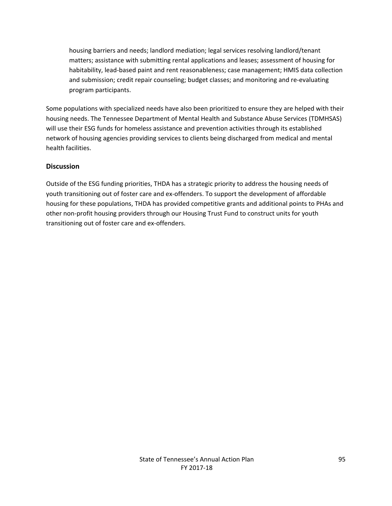housing barriers and needs; landlord mediation; legal services resolving landlord/tenant matters; assistance with submitting rental applications and leases; assessment of housing for habitability, lead‐based paint and rent reasonableness; case management; HMIS data collection and submission; credit repair counseling; budget classes; and monitoring and re‐evaluating program participants.

Some populations with specialized needs have also been prioritized to ensure they are helped with their housing needs. The Tennessee Department of Mental Health and Substance Abuse Services (TDMHSAS) will use their ESG funds for homeless assistance and prevention activities through its established network of housing agencies providing services to clients being discharged from medical and mental health facilities.

### **Discussion**

Outside of the ESG funding priorities, THDA has a strategic priority to address the housing needs of youth transitioning out of foster care and ex‐offenders. To support the development of affordable housing for these populations, THDA has provided competitive grants and additional points to PHAs and other non‐profit housing providers through our Housing Trust Fund to construct units for youth transitioning out of foster care and ex‐offenders.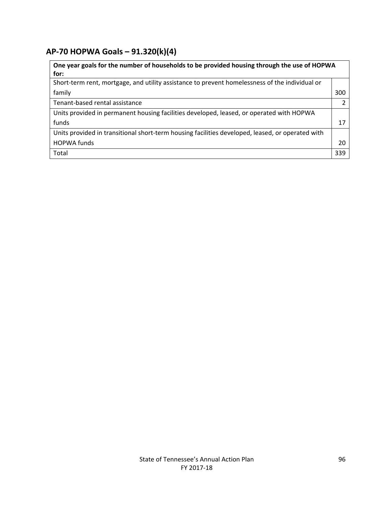# **AP‐70 HOPWA Goals – 91.320(k)(4)**

| One year goals for the number of households to be provided housing through the use of HOPWA<br>for: |     |
|-----------------------------------------------------------------------------------------------------|-----|
| Short-term rent, mortgage, and utility assistance to prevent homelessness of the individual or      |     |
| family                                                                                              | 300 |
| Tenant-based rental assistance                                                                      |     |
| Units provided in permanent housing facilities developed, leased, or operated with HOPWA            |     |
| funds                                                                                               | 17  |
| Units provided in transitional short-term housing facilities developed, leased, or operated with    |     |
| <b>HOPWA funds</b>                                                                                  | 20  |
| Total                                                                                               | 339 |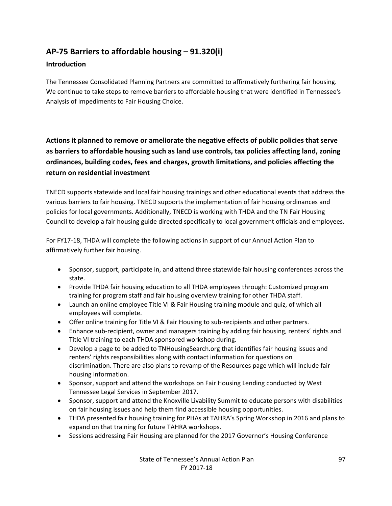# **AP‐75 Barriers to affordable housing – 91.320(i)**

#### **Introduction**

The Tennessee Consolidated Planning Partners are committed to affirmatively furthering fair housing. We continue to take steps to remove barriers to affordable housing that were identified in Tennessee's Analysis of Impediments to Fair Housing Choice.

**Actions it planned to remove or ameliorate the negative effects of public policies that serve as barriers to affordable housing such as land use controls, tax policies affecting land, zoning ordinances, building codes, fees and charges, growth limitations, and policies affecting the return on residential investment**

TNECD supports statewide and local fair housing trainings and other educational events that address the various barriers to fair housing. TNECD supports the implementation of fair housing ordinances and policies for local governments. Additionally, TNECD is working with THDA and the TN Fair Housing Council to develop a fair housing guide directed specifically to local government officials and employees.

For FY17‐18, THDA will complete the following actions in support of our Annual Action Plan to affirmatively further fair housing.

- Sponsor, support, participate in, and attend three statewide fair housing conferences across the state.
- Provide THDA fair housing education to all THDA employees through: Customized program training for program staff and fair housing overview training for other THDA staff.
- Launch an online employee Title VI & Fair Housing training module and quiz, of which all employees will complete.
- Offer online training for Title VI & Fair Housing to sub-recipients and other partners.
- Enhance sub-recipient, owner and managers training by adding fair housing, renters' rights and Title VI training to each THDA sponsored workshop during.
- Develop a page to be added to TNHousingSearch.org that identifies fair housing issues and renters' rights responsibilities along with contact information for questions on discrimination. There are also plans to revamp of the Resources page which will include fair housing information.
- Sponsor, support and attend the workshops on Fair Housing Lending conducted by West Tennessee Legal Services in September 2017.
- Sponsor, support and attend the Knoxville Livability Summit to educate persons with disabilities on fair housing issues and help them find accessible housing opportunities.
- THDA presented fair housing training for PHAs at TAHRA's Spring Workshop in 2016 and plans to expand on that training for future TAHRA workshops.
- Sessions addressing Fair Housing are planned for the 2017 Governor's Housing Conference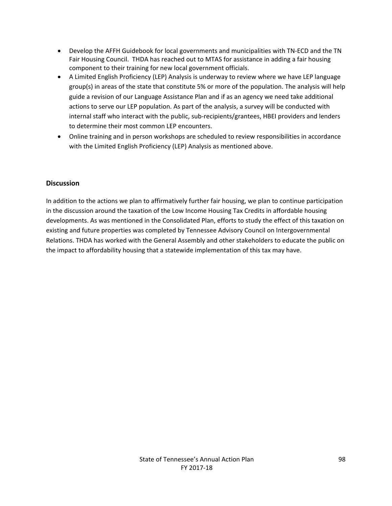- Develop the AFFH Guidebook for local governments and municipalities with TN-ECD and the TN Fair Housing Council. THDA has reached out to MTAS for assistance in adding a fair housing component to their training for new local government officials.
- A Limited English Proficiency (LEP) Analysis is underway to review where we have LEP language group(s) in areas of the state that constitute 5% or more of the population. The analysis will help guide a revision of our Language Assistance Plan and if as an agency we need take additional actions to serve our LEP population. As part of the analysis, a survey will be conducted with internal staff who interact with the public, sub-recipients/grantees, HBEI providers and lenders to determine their most common LEP encounters.
- Online training and in person workshops are scheduled to review responsibilities in accordance with the Limited English Proficiency (LEP) Analysis as mentioned above.

#### **Discussion**

In addition to the actions we plan to affirmatively further fair housing, we plan to continue participation in the discussion around the taxation of the Low Income Housing Tax Credits in affordable housing developments. As was mentioned in the Consolidated Plan, efforts to study the effect of this taxation on existing and future properties was completed by Tennessee Advisory Council on Intergovernmental Relations. THDA has worked with the General Assembly and other stakeholders to educate the public on the impact to affordability housing that a statewide implementation of this tax may have.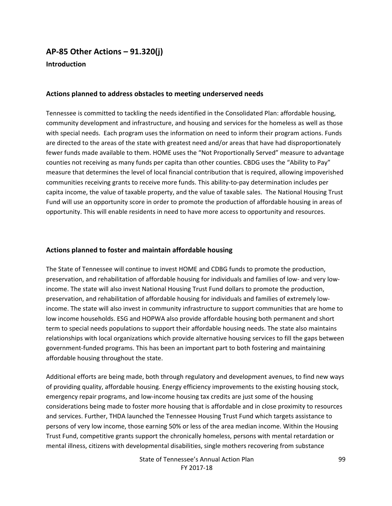## **AP‐85 Other Actions – 91.320(j) Introduction**

#### **Actions planned to address obstacles to meeting underserved needs**

Tennessee is committed to tackling the needs identified in the Consolidated Plan: affordable housing, community development and infrastructure, and housing and services for the homeless as well as those with special needs. Each program uses the information on need to inform their program actions. Funds are directed to the areas of the state with greatest need and/or areas that have had disproportionately fewer funds made available to them. HOME uses the "Not Proportionally Served" measure to advantage counties not receiving as many funds per capita than other counties. CBDG uses the "Ability to Pay" measure that determines the level of local financial contribution that is required, allowing impoverished communities receiving grants to receive more funds. This ability-to-pay determination includes per capita income, the value of taxable property, and the value of taxable sales. The National Housing Trust Fund will use an opportunity score in order to promote the production of affordable housing in areas of opportunity. This will enable residents in need to have more access to opportunity and resources.

#### **Actions planned to foster and maintain affordable housing**

The State of Tennessee will continue to invest HOME and CDBG funds to promote the production, preservation, and rehabilitation of affordable housing for individuals and families of low‐ and very low‐ income. The state will also invest National Housing Trust Fund dollars to promote the production, preservation, and rehabilitation of affordable housing for individuals and families of extremely low‐ income. The state will also invest in community infrastructure to support communities that are home to low income households. ESG and HOPWA also provide affordable housing both permanent and short term to special needs populations to support their affordable housing needs. The state also maintains relationships with local organizations which provide alternative housing services to fill the gaps between government-funded programs. This has been an important part to both fostering and maintaining affordable housing throughout the state.

Additional efforts are being made, both through regulatory and development avenues, to find new ways of providing quality, affordable housing. Energy efficiency improvements to the existing housing stock, emergency repair programs, and low‐income housing tax credits are just some of the housing considerations being made to foster more housing that is affordable and in close proximity to resources and services. Further, THDA launched the Tennessee Housing Trust Fund which targets assistance to persons of very low income, those earning 50% or less of the area median income. Within the Housing Trust Fund, competitive grants support the chronically homeless, persons with mental retardation or mental illness, citizens with developmental disabilities, single mothers recovering from substance

> State of Tennessee's Annual Action Plan FY 2017‐18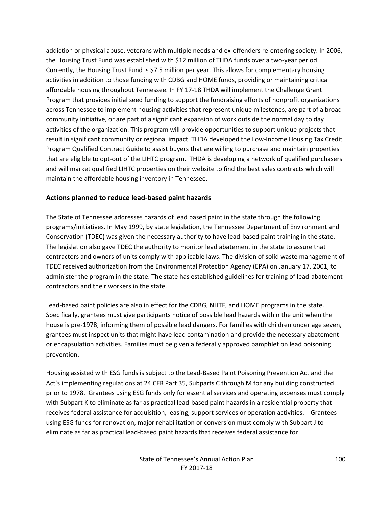addiction or physical abuse, veterans with multiple needs and ex-offenders re-entering society. In 2006, the Housing Trust Fund was established with \$12 million of THDA funds over a two-year period. Currently, the Housing Trust Fund is \$7.5 million per year. This allows for complementary housing activities in addition to those funding with CDBG and HOME funds, providing or maintaining critical affordable housing throughout Tennessee. In FY 17‐18 THDA will implement the Challenge Grant Program that provides initial seed funding to support the fundraising efforts of nonprofit organizations across Tennessee to implement housing activities that represent unique milestones, are part of a broad community initiative, or are part of a significant expansion of work outside the normal day to day activities of the organization. This program will provide opportunities to support unique projects that result in significant community or regional impact. THDA developed the Low‐Income Housing Tax Credit Program Qualified Contract Guide to assist buyers that are willing to purchase and maintain properties that are eligible to opt‐out of the LIHTC program. THDA is developing a network of qualified purchasers and will market qualified LIHTC properties on their website to find the best sales contracts which will maintain the affordable housing inventory in Tennessee.

#### **Actions planned to reduce lead‐based paint hazards**

The State of Tennessee addresses hazards of lead based paint in the state through the following programs/initiatives. In May 1999, by state legislation, the Tennessee Department of Environment and Conservation (TDEC) was given the necessary authority to have lead‐based paint training in the state. The legislation also gave TDEC the authority to monitor lead abatement in the state to assure that contractors and owners of units comply with applicable laws. The division of solid waste management of TDEC received authorization from the Environmental Protection Agency (EPA) on January 17, 2001, to administer the program in the state. The state has established guidelines for training of lead‐abatement contractors and their workers in the state.

Lead-based paint policies are also in effect for the CDBG, NHTF, and HOME programs in the state. Specifically, grantees must give participants notice of possible lead hazards within the unit when the house is pre‐1978, informing them of possible lead dangers. For families with children under age seven, grantees must inspect units that might have lead contamination and provide the necessary abatement or encapsulation activities. Families must be given a federally approved pamphlet on lead poisoning prevention.

Housing assisted with ESG funds is subject to the Lead‐Based Paint Poisoning Prevention Act and the Act's implementing regulations at 24 CFR Part 35, Subparts C through M for any building constructed prior to 1978. Grantees using ESG funds only for essential services and operating expenses must comply with Subpart K to eliminate as far as practical lead-based paint hazards in a residential property that receives federal assistance for acquisition, leasing, support services or operation activities. Grantees using ESG funds for renovation, major rehabilitation or conversion must comply with Subpart J to eliminate as far as practical lead‐based paint hazards that receives federal assistance for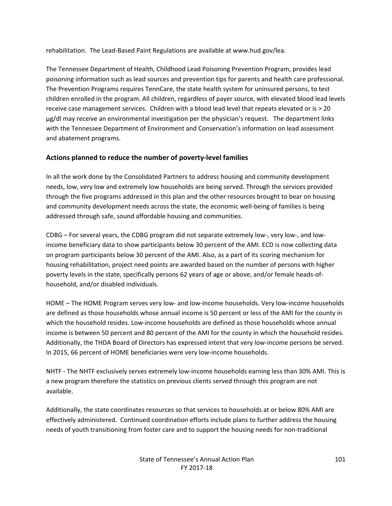rehabilitation. The Lead‐Based Paint Regulations are available at www.hud.gov/lea.

The Tennessee Department of Health, Childhood Lead Poisoning Prevention Program, provides lead poisoning information such as lead sources and prevention tips for parents and health care professional. The Prevention Programs requires TennCare, the state health system for uninsured persons, to test children enrolled in the program. All children, regardless of payer source, with elevated blood lead levels receive case management services. Children with a blood lead level that repeats elevated or is > 20 µg/dl may receive an environmental investigation per the physician's request. The department links with the Tennessee Department of Environment and Conservation's information on lead assessment and abatement programs.

#### **Actions planned to reduce the number of poverty‐level families**

In all the work done by the Consolidated Partners to address housing and community development needs, low, very low and extremely low households are being served. Through the services provided through the five programs addressed in this plan and the other resources brought to bear on housing and community development needs across the state, the economic well-being of families is being addressed through safe, sound affordable housing and communities.

CDBG – For several years, the CDBG program did not separate extremely low‐, very low‐, and low‐ income beneficiary data to show participants below 30 percent of the AMI. ECD is now collecting data on program participants below 30 percent of the AMI. Also, as a part of its scoring mechanism for housing rehabilitation, project need points are awarded based on the number of persons with higher poverty levels in the state, specifically persons 62 years of age or above, and/or female heads‐of‐ household, and/or disabled individuals.

HOME – The HOME Program serves very low‐ and low‐income households. Very low‐income households are defined as those households whose annual income is 50 percent or less of the AMI for the county in which the household resides. Low‐income households are defined as those households whose annual income is between 50 percent and 80 percent of the AMI for the county in which the household resides. Additionally, the THDA Board of Directors has expressed intent that very low‐income persons be served. In 2015, 66 percent of HOME beneficiaries were very low-income households.

NHTF ‐ The NHTF exclusively serves extremely low‐income households earning less than 30% AMI. This is a new program therefore the statistics on previous clients served through this program are not available.

Additionally, the state coordinates resources so that services to households at or below 80% AMI are effectively administered. Continued coordination efforts include plans to further address the housing needs of youth transitioning from foster care and to support the housing needs for non‐traditional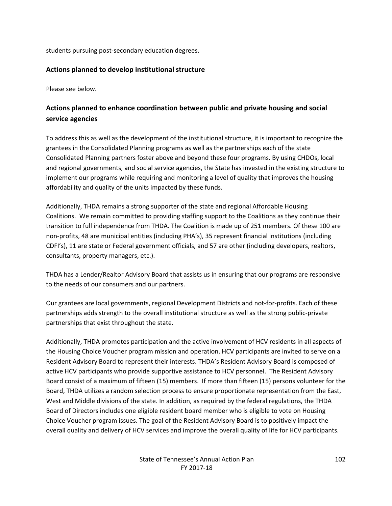students pursuing post‐secondary education degrees.

#### **Actions planned to develop institutional structure**

Please see below.

## **Actions planned to enhance coordination between public and private housing and social service agencies**

To address this as well as the development of the institutional structure, it is important to recognize the grantees in the Consolidated Planning programs as well as the partnerships each of the state Consolidated Planning partners foster above and beyond these four programs. By using CHDOs, local and regional governments, and social service agencies, the State has invested in the existing structure to implement our programs while requiring and monitoring a level of quality that improves the housing affordability and quality of the units impacted by these funds.

Additionally, THDA remains a strong supporter of the state and regional Affordable Housing Coalitions. We remain committed to providing staffing support to the Coalitions as they continue their transition to full independence from THDA. The Coalition is made up of 251 members. Of these 100 are non‐profits, 48 are municipal entities (including PHA's), 35 represent financial institutions (including CDFI's), 11 are state or Federal government officials, and 57 are other (including developers, realtors, consultants, property managers, etc.).

THDA has a Lender/Realtor Advisory Board that assists us in ensuring that our programs are responsive to the needs of our consumers and our partners.

Our grantees are local governments, regional Development Districts and not‐for‐profits. Each of these partnerships adds strength to the overall institutional structure as well as the strong public‐private partnerships that exist throughout the state.

Additionally, THDA promotes participation and the active involvement of HCV residents in all aspects of the Housing Choice Voucher program mission and operation. HCV participants are invited to serve on a Resident Advisory Board to represent their interests. THDA's Resident Advisory Board is composed of active HCV participants who provide supportive assistance to HCV personnel. The Resident Advisory Board consist of a maximum of fifteen (15) members. If more than fifteen (15) persons volunteer for the Board, THDA utilizes a random selection process to ensure proportionate representation from the East, West and Middle divisions of the state. In addition, as required by the federal regulations, the THDA Board of Directors includes one eligible resident board member who is eligible to vote on Housing Choice Voucher program issues. The goal of the Resident Advisory Board is to positively impact the overall quality and delivery of HCV services and improve the overall quality of life for HCV participants.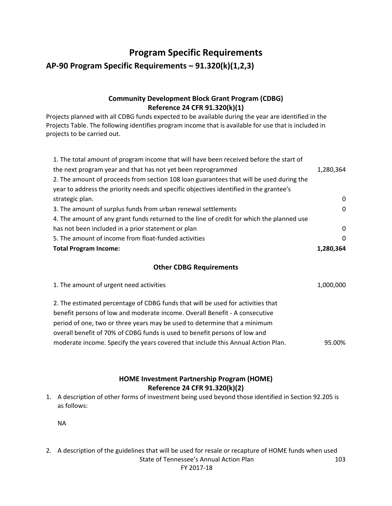# **Program Specific Requirements**

## **AP‐90 Program Specific Requirements – 91.320(k)(1,2,3)**

#### **Community Development Block Grant Program (CDBG) Reference 24 CFR 91.320(k)(1)**

Projects planned with all CDBG funds expected to be available during the year are identified in the Projects Table. The following identifies program income that is available for use that is included in projects to be carried out.

| <b>Other CDBG Requirements</b>                                                            |             |  |
|-------------------------------------------------------------------------------------------|-------------|--|
| <b>Total Program Income:</b>                                                              | 1,280,364   |  |
| 5. The amount of income from float-funded activities                                      | $\Omega$    |  |
| has not been included in a prior statement or plan                                        | $\Omega$    |  |
| 4. The amount of any grant funds returned to the line of credit for which the planned use |             |  |
| 3. The amount of surplus funds from urban renewal settlements                             | $\mathbf 0$ |  |
| strategic plan.                                                                           | $\Omega$    |  |
| year to address the priority needs and specific objectives identified in the grantee's    |             |  |
| 2. The amount of proceeds from section 108 loan guarantees that will be used during the   |             |  |
| the next program year and that has not yet been reprogrammed                              | 1,280,364   |  |
| 1. The total amount of program income that will have been received before the start of    |             |  |

#### **Other CDBG Requirements**

| 1. The amount of urgent need activities                                         | 1,000,000 |
|---------------------------------------------------------------------------------|-----------|
| 2. The estimated percentage of CDBG funds that will be used for activities that |           |
| benefit persons of low and moderate income. Overall Benefit - A consecutive     |           |
| period of one, two or three years may be used to determine that a minimum       |           |

overall benefit of 70% of CDBG funds is used to benefit persons of low and moderate income. Specify the years covered that include this Annual Action Plan. 95.00%

### **HOME Investment Partnership Program (HOME) Reference 24 CFR 91.320(k)(2)**

1. A description of other forms of investment being used beyond those identified in Section 92.205 is as follows:

NA

State of Tennessee's Annual Action Plan 2. A description of the guidelines that will be used for resale or recapture of HOME funds when used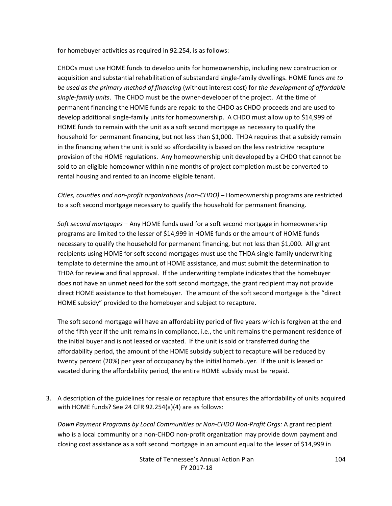for homebuyer activities as required in 92.254, is as follows:

CHDOs must use HOME funds to develop units for homeownership, including new construction or acquisition and substantial rehabilitation of substandard single‐family dwellings. HOME funds *are to be used as the primary method of financing* (without interest cost) for *the development of affordable single‐family units*. The CHDO must be the owner‐developer of the project. At the time of permanent financing the HOME funds are repaid to the CHDO as CHDO proceeds and are used to develop additional single‐family units for homeownership. A CHDO must allow up to \$14,999 of HOME funds to remain with the unit as a soft second mortgage as necessary to qualify the household for permanent financing, but not less than \$1,000. THDA requires that a subsidy remain in the financing when the unit is sold so affordability is based on the less restrictive recapture provision of the HOME regulations. Any homeownership unit developed by a CHDO that cannot be sold to an eligible homeowner within nine months of project completion must be converted to rental housing and rented to an income eligible tenant.

*Cities, counties and non‐profit organizations (non‐CHDO) –* Homeownership programs are restricted to a soft second mortgage necessary to qualify the household for permanent financing.

*Soft second mortgages –* Any HOME funds used for a soft second mortgage in homeownership programs are limited to the lesser of \$14,999 in HOME funds or the amount of HOME funds necessary to qualify the household for permanent financing, but not less than \$1,000. All grant recipients using HOME for soft second mortgages must use the THDA single‐family underwriting template to determine the amount of HOME assistance, and must submit the determination to THDA for review and final approval. If the underwriting template indicates that the homebuyer does not have an unmet need for the soft second mortgage, the grant recipient may not provide direct HOME assistance to that homebuyer. The amount of the soft second mortgage is the "direct HOME subsidy" provided to the homebuyer and subject to recapture.

The soft second mortgage will have an affordability period of five years which is forgiven at the end of the fifth year if the unit remains in compliance, i.e., the unit remains the permanent residence of the initial buyer and is not leased or vacated. If the unit is sold or transferred during the affordability period, the amount of the HOME subsidy subject to recapture will be reduced by twenty percent (20%) per year of occupancy by the initial homebuyer. If the unit is leased or vacated during the affordability period, the entire HOME subsidy must be repaid.

3. A description of the guidelines for resale or recapture that ensures the affordability of units acquired with HOME funds? See 24 CFR 92.254(a)(4) are as follows:

*Down Payment Programs by Local Communities or Non‐CHDO Non‐Profit Orgs:* A grant recipient who is a local community or a non‐CHDO non‐profit organization may provide down payment and closing cost assistance as a soft second mortgage in an amount equal to the lesser of \$14,999 in

> State of Tennessee's Annual Action Plan FY 2017‐18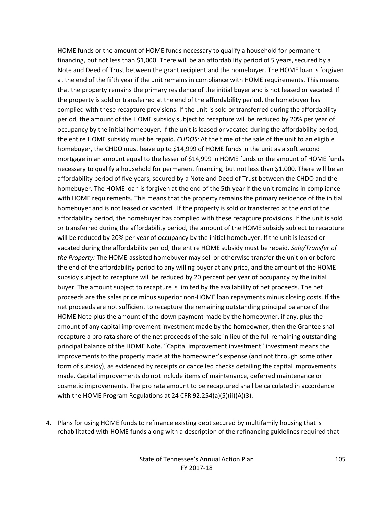HOME funds or the amount of HOME funds necessary to qualify a household for permanent financing, but not less than \$1,000. There will be an affordability period of 5 years, secured by a Note and Deed of Trust between the grant recipient and the homebuyer. The HOME loan is forgiven at the end of the fifth year if the unit remains in compliance with HOME requirements. This means that the property remains the primary residence of the initial buyer and is not leased or vacated. If the property is sold or transferred at the end of the affordability period, the homebuyer has complied with these recapture provisions. If the unit is sold or transferred during the affordability period, the amount of the HOME subsidy subject to recapture will be reduced by 20% per year of occupancy by the initial homebuyer. If the unit is leased or vacated during the affordability period, the entire HOME subsidy must be repaid. *CHDOS:* At the time of the sale of the unit to an eligible homebuyer, the CHDO must leave up to \$14,999 of HOME funds in the unit as a soft second mortgage in an amount equal to the lesser of \$14,999 in HOME funds or the amount of HOME funds necessary to qualify a household for permanent financing, but not less than \$1,000. There will be an affordability period of five years, secured by a Note and Deed of Trust between the CHDO and the homebuyer. The HOME loan is forgiven at the end of the 5th year if the unit remains in compliance with HOME requirements. This means that the property remains the primary residence of the initial homebuyer and is not leased or vacated. If the property is sold or transferred at the end of the affordability period, the homebuyer has complied with these recapture provisions. If the unit is sold or transferred during the affordability period, the amount of the HOME subsidy subject to recapture will be reduced by 20% per year of occupancy by the initial homebuyer. If the unit is leased or vacated during the affordability period, the entire HOME subsidy must be repaid. *Sale/Transfer of the Property:* The HOME‐assisted homebuyer may sell or otherwise transfer the unit on or before the end of the affordability period to any willing buyer at any price, and the amount of the HOME subsidy subject to recapture will be reduced by 20 percent per year of occupancy by the initial buyer. The amount subject to recapture is limited by the availability of net proceeds. The net proceeds are the sales price minus superior non‐HOME loan repayments minus closing costs. If the net proceeds are not sufficient to recapture the remaining outstanding principal balance of the HOME Note plus the amount of the down payment made by the homeowner, if any, plus the amount of any capital improvement investment made by the homeowner, then the Grantee shall recapture a pro rata share of the net proceeds of the sale in lieu of the full remaining outstanding principal balance of the HOME Note. "Capital improvement investment" investment means the improvements to the property made at the homeowner's expense (and not through some other form of subsidy), as evidenced by receipts or cancelled checks detailing the capital improvements made. Capital improvements do not include items of maintenance, deferred maintenance or cosmetic improvements. The pro rata amount to be recaptured shall be calculated in accordance with the HOME Program Regulations at 24 CFR 92.254(a)(5)(ii)(A)(3).

4. Plans for using HOME funds to refinance existing debt secured by multifamily housing that is rehabilitated with HOME funds along with a description of the refinancing guidelines required that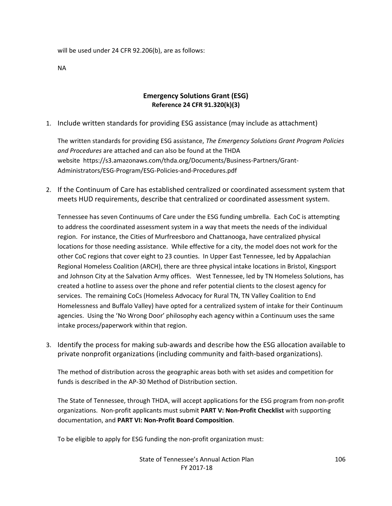will be used under 24 CFR 92.206(b), are as follows:

NA

#### **Emergency Solutions Grant (ESG) Reference 24 CFR 91.320(k)(3)**

1. Include written standards for providing ESG assistance (may include as attachment)

The written standards for providing ESG assistance, *The Emergency Solutions Grant Program Policies and Procedures* are attached and can also be found at the THDA website https://s3.amazonaws.com/thda.org/Documents/Business‐Partners/Grant‐ Administrators/ESG‐Program/ESG‐Policies‐and‐Procedures.pdf

2. If the Continuum of Care has established centralized or coordinated assessment system that meets HUD requirements, describe that centralized or coordinated assessment system.

Tennessee has seven Continuums of Care under the ESG funding umbrella. Each CoC is attempting to address the coordinated assessment system in a way that meets the needs of the individual region. For instance, the Cities of Murfreesboro and Chattanooga, have centralized physical locations for those needing assistance. While effective for a city, the model does not work for the other CoC regions that cover eight to 23 counties. In Upper East Tennessee, led by Appalachian Regional Homeless Coalition (ARCH), there are three physical intake locations in Bristol, Kingsport and Johnson City at the Salvation Army offices. West Tennessee, led by TN Homeless Solutions, has created a hotline to assess over the phone and refer potential clients to the closest agency for services. The remaining CoCs (Homeless Advocacy for Rural TN, TN Valley Coalition to End Homelessness and Buffalo Valley) have opted for a centralized system of intake for their Continuum agencies. Using the 'No Wrong Door' philosophy each agency within a Continuum uses the same intake process/paperwork within that region.

3. Identify the process for making sub‐awards and describe how the ESG allocation available to private nonprofit organizations (including community and faith‐based organizations).

The method of distribution across the geographic areas both with set asides and competition for funds is described in the AP‐30 Method of Distribution section.

The State of Tennessee, through THDA, will accept applications for the ESG program from non‐profit organizations. Non‐profit applicants must submit **PART V: Non‐Profit Checklist** with supporting documentation, and **PART VI: Non‐Profit Board Composition**.

To be eligible to apply for ESG funding the non-profit organization must: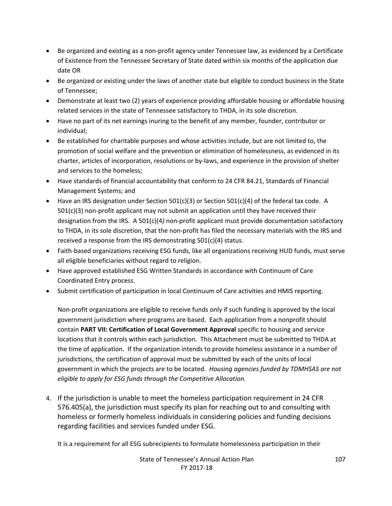- Be organized and existing as a non-profit agency under Tennessee law, as evidenced by a Certificate of Existence from the Tennessee Secretary of State dated within six months of the application due date OR
- Be organized or existing under the laws of another state but eligible to conduct business in the State of Tennessee;
- Demonstrate at least two (2) years of experience providing affordable housing or affordable housing related services in the state of Tennessee satisfactory to THDA, in its sole discretion.
- Have no part of its net earnings inuring to the benefit of any member, founder, contributor or individual;
- Be established for charitable purposes and whose activities include, but are not limited to, the promotion of social welfare and the prevention or elimination of homelessness, as evidenced in its charter, articles of incorporation, resolutions or by-laws, and experience in the provision of shelter and services to the homeless;
- Have standards of financial accountability that conform to 24 CFR 84.21, Standards of Financial Management Systems; and
- Have an IRS designation under Section 501(c)(3) or Section 501(c)(4) of the federal tax code. A  $501(c)(3)$  non-profit applicant may not submit an application until they have received their designation from the IRS. A 501(c)(4) non-profit applicant must provide documentation satisfactory to THDA, in its sole discretion, that the non‐profit has filed the necessary materials with the IRS and received a response from the IRS demonstrating 501(c)(4) status.
- Faith-based organizations receiving ESG funds, like all organizations receiving HUD funds, must serve all eligible beneficiaries without regard to religion.
- Have approved established ESG Written Standards in accordance with Continuum of Care Coordinated Entry process.
- Submit certification of participation in local Continuum of Care activities and HMIS reporting.

Non‐profit organizations are eligible to receive funds only if such funding is approved by the local government jurisdiction where programs are based. Each application from a nonprofit should contain **PART VII: Certification of Local Government Approval** specific to housing and service locations that it controls within each jurisdiction. This Attachment must be submitted to THDA at the time of application. If the organization intends to provide homeless assistance in a number of jurisdictions, the certification of approval must be submitted by each of the units of local government in which the projects are to be located. *Housing agencies funded by TDMHSAS are not eligible to apply for ESG funds through the Competitive Allocation.*

4. If the jurisdiction is unable to meet the homeless participation requirement in 24 CFR 576.405(a), the jurisdiction must specify its plan for reaching out to and consulting with homeless or formerly homeless individuals in considering policies and funding decisions regarding facilities and services funded under ESG.

It is a requirement for all ESG subrecipients to formulate homelessness participation in their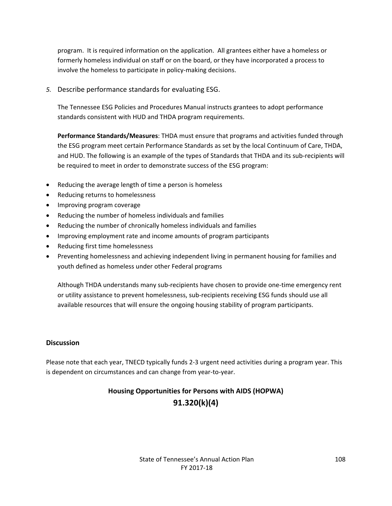program. It is required information on the application. All grantees either have a homeless or formerly homeless individual on staff or on the board, or they have incorporated a process to involve the homeless to participate in policy‐making decisions.

*5.* Describe performance standards for evaluating ESG.

The Tennessee ESG Policies and Procedures Manual instructs grantees to adopt performance standards consistent with HUD and THDA program requirements.

**Performance Standards/Measures**: THDA must ensure that programs and activities funded through the ESG program meet certain Performance Standards as set by the local Continuum of Care, THDA, and HUD. The following is an example of the types of Standards that THDA and its sub‐recipients will be required to meet in order to demonstrate success of the ESG program:

- Reducing the average length of time a person is homeless
- Reducing returns to homelessness
- Improving program coverage
- Reducing the number of homeless individuals and families
- Reducing the number of chronically homeless individuals and families
- Improving employment rate and income amounts of program participants
- Reducing first time homelessness
- Preventing homelessness and achieving independent living in permanent housing for families and youth defined as homeless under other Federal programs

Although THDA understands many sub‐recipients have chosen to provide one‐time emergency rent or utility assistance to prevent homelessness, sub‐recipients receiving ESG funds should use all available resources that will ensure the ongoing housing stability of program participants.

## **Discussion**

Please note that each year, TNECD typically funds 2‐3 urgent need activities during a program year. This is dependent on circumstances and can change from year‐to‐year.

## **Housing Opportunities for Persons with AIDS (HOPWA) 91.320(k)(4)**